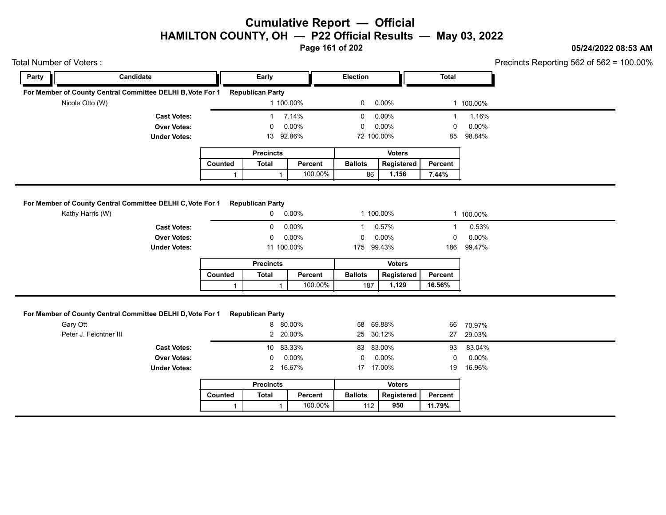**05/24/2022 08:53 AM**

**Page 161 of 202**

#### Total Number of Voters : **ENTIME TOTAL REFERENT PROPERTY OF THE REPARTMENT OF THE REPARTMENT OF THE REPARTMENT OF THE REPARTMENT OF THE REPARTMENT OF THE REPARTMENT OF THE REPARTMENT OF THE REPARTMENT OF THE REPARTMENT OF** Precincts Reporting 562 of 562 = 100.00% **Party Candidate Early Election Total For Member of County Central Committee DELHI B, Vote For 1 Republican Party** Nicole Otto (W) 1 100.00% 0 0.00% 1 100.00% **Cast Votes:** 1 7.14% 0 0.00% 1 1.16% **Over Votes:** 0 0.00% Under Votes: 13 92.86% 0.00% 0 92.86% 72 85 100.00% 0.00% 0 0.00% 98.84% **Precincts** Counted | Total | Percent 1 **Early** Electio<br> **Total Percent**<br>
Total Percent<br>
Total Percent<br>
Total Percent<br>
Total Percent<br>
Total Percent<br>
Ballots<br>
Total Percent<br>
Ballots<br>
Total 1 100.00% 1 100.00% **1,156 7.44% Voters** 86 1,156 Election Total<br>
0 0.00% 1 100.00%<br>
0 0.00% 1 1.16%<br>
0 0.00% 0 0.00%<br>
72 100.00% 85 98.84%<br>
Voters<br>
Ballots Registered Percent<br>
86 1,156 7.44% **For Member of County Central Committee DELHI C, Vote For 1 Republican Party** Kathy Harris (W) 0 0.00% 1 100.00% 1 100.00% **Cast Votes:** 0 0.00% 1 0.57% 1 0.53% **Over Votes:** 0 0.00% Under Votes: 11 100.00% 0.00% 0 100.00% 175 99.43% 186 99.47% 0.00% 0 0.00% 99.43% 99.47% **Precincts** Counted | Total | Percent 1 1 100.00%<br> **Total Percent**<br>
1 100.00%<br>
1 100.00%<br>
1 100.00%<br>
1 1 100.00%<br>
1 1 100.00%<br>
1 1 100.00%<br>
1 1 100.00%<br>
1 1 100.00%<br>
1 1 100.00%<br>
1 1 100.00% 1 100.00% **1,129 16.56% Voters**  $187$  1.129 86 1,156 7.44%<br>
1 100.00% 1 100.00%<br>
1 0.57% 1 0.53%<br>
0 0.00% 0 0.00%<br>
175 99.43% 186 99.47%<br> **Ballots Registered Percent**<br>
187 1,129 16.56% **For Member of County Central Committee DELHI D, Vote For 1 Republican Party** Gary Ott 8 80.00% 58 69.88% 66 70.97% Peter J. Feichtner III 2 20.00% 25 30.12% 27 29.03% **Cast Votes:** 10 83.33% 83 83.00% 93 83.04% **Over Votes:** 0 0.00% Under Votes: 2 16.67% 0.00% 0 16.67% 17 19 0.00% 0 0.00% 17.00% 16.96% **Precincts** Counted | Total | Percent 1 **Example 18**<br> **Total Percent**<br> **Total Percent**<br> **Total Percent Ballots**<br> **Total Percent Ballots**<br> **Total Percent Ballots**  1 100.00% **950 11.79% Voters**  $112$  950 58 69.88% 66 70.97%<br>
25 30.12% 27 29.03%<br>
83 83.00% 93 83.04%<br>
0 0.00% 0 0.00%<br>
17 17.00% 19 16.96%<br>
Voters<br>
Ballots Registered Percent<br>
112 950 11.79%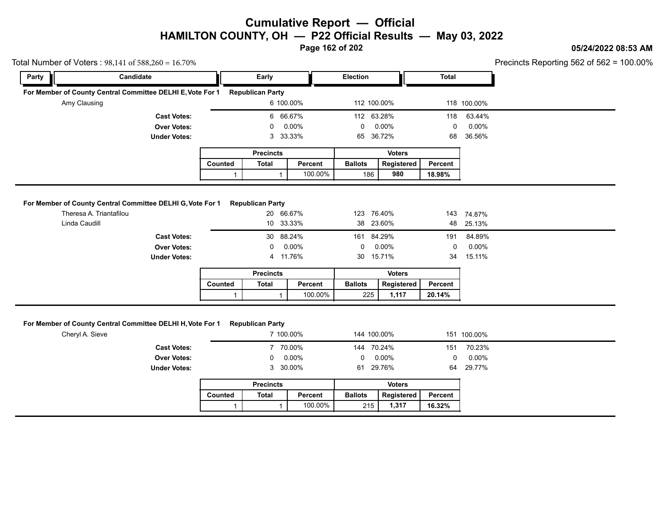**Page 162 of 202**

#### **05/24/2022 08:53 AM**

Precincts Reporting 562 of 562 = 100.00%

|                         | Total Number of Voters: $98,141$ of $588,260 = 16.70\%$    |         |                         |                       |                 |               |              |                    | Precincts Reporting 562 of 562 = $\frac{1}{2}$ |
|-------------------------|------------------------------------------------------------|---------|-------------------------|-----------------------|-----------------|---------------|--------------|--------------------|------------------------------------------------|
| Party                   | Candidate                                                  |         | Early                   |                       | <b>Election</b> |               | <b>Total</b> |                    |                                                |
|                         | For Member of County Central Committee DELHI E, Vote For 1 |         | <b>Republican Party</b> |                       |                 |               |              |                    |                                                |
| Amy Clausing            |                                                            |         |                         | 6 100.00%             | 112 100 00%     |               |              | 118 100.00%        |                                                |
|                         | <b>Cast Votes:</b>                                         |         |                         | 6 66.67%              | 112 63.28%      |               | 118          | 63.44%             |                                                |
|                         | <b>Over Votes:</b>                                         |         | 0                       | $0.00\%$              | 0               | 0.00%         | 0            | 0.00%              |                                                |
|                         | <b>Under Votes:</b>                                        |         | 3                       | 33.33%                | 65              | 36.72%        | 68           | 36.56%             |                                                |
|                         |                                                            |         | <b>Precincts</b>        |                       |                 | <b>Voters</b> |              |                    |                                                |
|                         |                                                            | Counted | <b>Total</b>            | Percent               | <b>Ballots</b>  | Registered    | Percent      |                    |                                                |
|                         |                                                            |         |                         |                       |                 |               |              |                    |                                                |
|                         | For Member of County Central Committee DELHI G, Vote For 1 |         | <b>Republican Party</b> | 100.00%               | 186             | 980           | 18.98%       |                    |                                                |
| Theresa A. Triantafilou |                                                            |         | 20                      | 66.67%                | 123 76.40%      |               | 143          | 74.87%             |                                                |
| Linda Caudill           |                                                            |         |                         | 10 33.33%             | 38 23.60%       |               | 48           | 25.13%             |                                                |
|                         | <b>Cast Votes:</b>                                         |         | 0                       | 30 88.24%<br>$0.00\%$ | 161 84.29%<br>0 | $0.00\%$      | 191<br>0     | 84.89%<br>$0.00\%$ |                                                |
|                         | <b>Over Votes:</b><br><b>Under Votes:</b>                  |         |                         | 4 11.76%              | 30              | 15.71%        | 34           | 15.11%             |                                                |
|                         |                                                            |         | <b>Precincts</b>        |                       |                 | <b>Voters</b> |              |                    |                                                |
|                         |                                                            | Counted | <b>Total</b>            | Percent               | <b>Ballots</b>  | Registered    | Percent      |                    |                                                |

| Member of County Central Committee DELHI H, Vote For 1 | <b>Republican Party</b> |         |                                               |               |                                                        |             |
|--------------------------------------------------------|-------------------------|---------|-----------------------------------------------|---------------|--------------------------------------------------------|-------------|
|                                                        |                         |         |                                               |               |                                                        |             |
|                                                        |                         |         |                                               |               |                                                        |             |
|                                                        |                         |         |                                               |               |                                                        | 151 100.00% |
|                                                        |                         |         |                                               |               | 151                                                    | 70.23%      |
|                                                        | $\mathbf{0}$            |         | 0                                             |               | 0                                                      | $0.00\%$    |
|                                                        |                         |         | 61                                            |               | 64                                                     | 29.77%      |
|                                                        | <b>Precincts</b>        |         |                                               | <b>Voters</b> |                                                        |             |
| Counted                                                | <b>Total</b>            | Percent | <b>Ballots</b>                                | Registered    | Percent                                                |             |
|                                                        |                         | 100.00% |                                               | 1,317         | 16.32%                                                 |             |
|                                                        |                         |         | 7 100.00%<br>7 70.00%<br>$0.00\%$<br>3 30.00% |               | 144 100.00%<br>144 70.24%<br>$0.00\%$<br>29.76%<br>215 |             |

|         | <b>Precincts</b> |         |                | <b>Voters</b> |         |
|---------|------------------|---------|----------------|---------------|---------|
| Counted | Total            | Percent | <b>Ballots</b> | Registered    | Percent |
|         |                  | 100.00% | 215            | 1.317         | 16.32%  |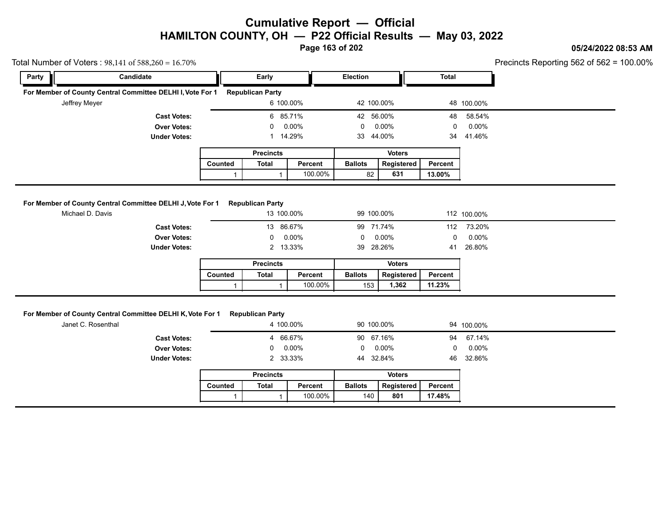**Page 163 of 202**

### **05/24/2022 08:53 AM**

| Total Number of Voters: $98,141$ of $588,260 = 16.70\%$ |                                                                                  |              |                                      |         |                |               |              | Precincts Reporting 562 of 562 = 1 |
|---------------------------------------------------------|----------------------------------------------------------------------------------|--------------|--------------------------------------|---------|----------------|---------------|--------------|------------------------------------|
| Party                                                   | Candidate                                                                        |              | Early                                |         | Election       |               | <b>Total</b> |                                    |
|                                                         | For Member of County Central Committee DELHI I, Vote For 1 Republican Party      |              |                                      |         |                |               |              |                                    |
|                                                         | Jeffrey Meyer                                                                    |              | 6 100.00%                            |         | 42 100.00%     |               |              | 48 100.00%                         |
|                                                         | <b>Cast Votes:</b>                                                               |              | 6 85.71%                             |         | 42 56.00%      |               | 48           | 58.54%                             |
|                                                         | <b>Over Votes:</b>                                                               |              | $\Omega$                             | 0.00%   | 0              | $0.00\%$      | $\mathbf 0$  | $0.00\%$                           |
|                                                         | <b>Under Votes:</b>                                                              |              | 1 14.29%                             |         | 33             | 44.00%        | 34           | 41.46%                             |
|                                                         |                                                                                  |              | <b>Precincts</b>                     |         |                | <b>Voters</b> |              |                                    |
|                                                         |                                                                                  | Counted      | <b>Total</b>                         | Percent | <b>Ballots</b> | Registered    | Percent      |                                    |
|                                                         |                                                                                  | $\mathbf{1}$ | $\mathbf{1}$                         | 100.00% | 82             | 631           | 13.00%       |                                    |
|                                                         | <b>Under Votes:</b>                                                              |              | 2 13.33%<br><b>Precincts</b>         |         | 39 28.26%      | <b>Voters</b> | 41           | 26.80%                             |
|                                                         |                                                                                  |              |                                      |         | <b>Ballots</b> | Registered    | Percent      |                                    |
|                                                         |                                                                                  | Counted      | Total                                | Percent |                |               |              |                                    |
|                                                         |                                                                                  | 1            | 1                                    | 100.00% | 153            | 1,362         | 11.23%       |                                    |
|                                                         | For Member of County Central Committee DELHI K, Vote For 1<br>Janet C. Rosenthal |              | <b>Republican Party</b><br>4 100.00% |         | 90 100.00%     |               |              | 94 100.00%                         |
|                                                         | <b>Cast Votes:</b>                                                               |              | $\overline{4}$                       | 66.67%  | 90 67.16%      |               | 94           | 67.14%                             |
|                                                         | <b>Over Votes:</b>                                                               |              | 0                                    | 0.00%   | 0              | $0.00\%$      | 0            | $0.00\%$                           |
|                                                         | <b>Under Votes:</b>                                                              |              | 2 33.33%                             |         | 44 32.84%      |               | 46           | 32.86%                             |
|                                                         |                                                                                  |              | <b>Precincts</b>                     |         |                | <b>Voters</b> |              |                                    |
|                                                         |                                                                                  | Counted      | <b>Total</b>                         | Percent | <b>Ballots</b> | Registered    | Percent      |                                    |

|         | <b>Precincts</b> |         |                | Voters     |         |
|---------|------------------|---------|----------------|------------|---------|
| Counted | Total            | Percent | <b>Ballots</b> | Registered | Percent |
|         |                  | 100.00% | 140            | 801        | 17.48%  |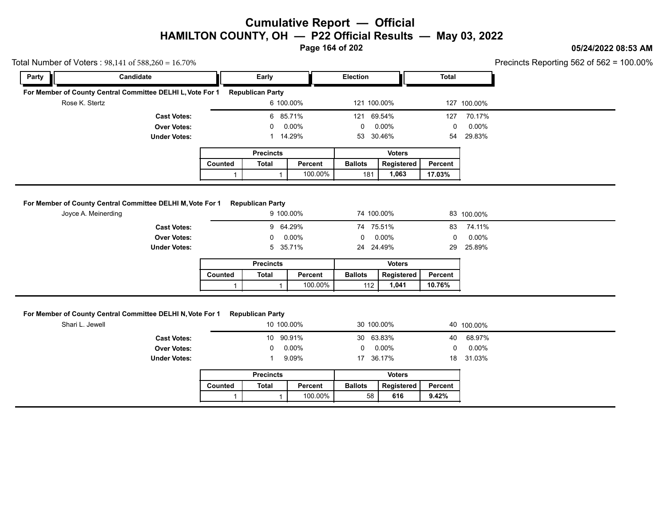**Page 164 of 202**

### **05/24/2022 08:53 AM**

100.00%

|       | Total Number of Voters: $98,141$ of $588,260 = 16.70\%$                           |                |                                      |          |                 |               |              |             | Precincts Reporting 562 of 562 = $\degree$ |
|-------|-----------------------------------------------------------------------------------|----------------|--------------------------------------|----------|-----------------|---------------|--------------|-------------|--------------------------------------------|
| Party | Candidate                                                                         |                | Early                                |          | <b>Election</b> |               | <b>Total</b> |             |                                            |
|       | For Member of County Central Committee DELHI L, Vote For 1                        |                | <b>Republican Party</b>              |          |                 |               |              |             |                                            |
|       | Rose K. Stertz                                                                    |                | 6 100.00%                            |          | 121 100.00%     |               |              | 127 100.00% |                                            |
|       | <b>Cast Votes:</b>                                                                |                | 6 85.71%                             |          | 121             | 69.54%        | 127          | 70.17%      |                                            |
|       | <b>Over Votes:</b>                                                                |                | 0                                    | $0.00\%$ | 0               | $0.00\%$      | 0            | $0.00\%$    |                                            |
|       | <b>Under Votes:</b>                                                               |                |                                      | 14.29%   | 53              | 30.46%        | 54           | 29.83%      |                                            |
|       |                                                                                   |                | <b>Precincts</b>                     |          |                 | <b>Voters</b> |              |             |                                            |
|       |                                                                                   | <b>Counted</b> | <b>Total</b>                         | Percent  | <b>Ballots</b>  | Registered    | Percent      |             |                                            |
|       |                                                                                   |                |                                      |          |                 |               |              |             |                                            |
|       |                                                                                   |                |                                      | 100.00%  | 181             | 1,063         | 17.03%       |             |                                            |
|       | For Member of County Central Committee DELHI M, Vote For 1<br>Joyce A. Meinerding |                | <b>Republican Party</b><br>9 100.00% |          | 74 100.00%      |               |              | 83 100.00%  |                                            |
|       | <b>Cast Votes:</b>                                                                |                | 9 64.29%                             |          | 74 75.51%       |               | 83           | 74.11%      |                                            |
|       | <b>Over Votes:</b>                                                                |                |                                      | 0.00%    | 0               | $0.00\%$      | 0            | $0.00\%$    |                                            |
|       | <b>Under Votes:</b>                                                               |                | 5                                    | 35.71%   | 24 24.49%       |               | 29           | 25.89%      |                                            |
|       |                                                                                   |                | <b>Precincts</b>                     |          |                 | <b>Voters</b> |              |             |                                            |
|       |                                                                                   | Counted        | <b>Total</b>                         | Percent  | <b>Ballots</b>  | Registered    | Percent      |             |                                            |

### **For Member of County Central Committee DELHI N, Vote For 1 Republican Party**

|                                                          |         |                         | 100.00%    | 112 <sub>1</sub> | 1,041         | 10.76%  |            |
|----------------------------------------------------------|---------|-------------------------|------------|------------------|---------------|---------|------------|
|                                                          |         |                         |            |                  |               |         |            |
| r Member of County Central Committee DELHI N, Vote For 1 |         | <b>Republican Party</b> |            |                  |               |         |            |
| Shari L. Jewell                                          |         |                         | 10 100.00% |                  | 30 100.00%    |         | 40 100.00% |
| <b>Cast Votes:</b>                                       |         |                         | 10 90.91%  |                  | 30 63.83%     | 40      | 68.97%     |
| <b>Over Votes:</b>                                       |         | $\mathbf{0}$            | 0.00%      | 0                | $0.00\%$      | 0       | 0.00%      |
| <b>Under Votes:</b>                                      |         |                         | 9.09%      |                  | 17 36.17%     | 18      | 31.03%     |
|                                                          |         | <b>Precincts</b>        |            |                  | <b>Voters</b> |         |            |
|                                                          | Counted | Total                   | Percent    | <b>Ballots</b>   | Registered    | Percent |            |
|                                                          |         |                         | 100.00%    | 58               | 616           | 9.42%   |            |
|                                                          |         |                         |            |                  |               |         |            |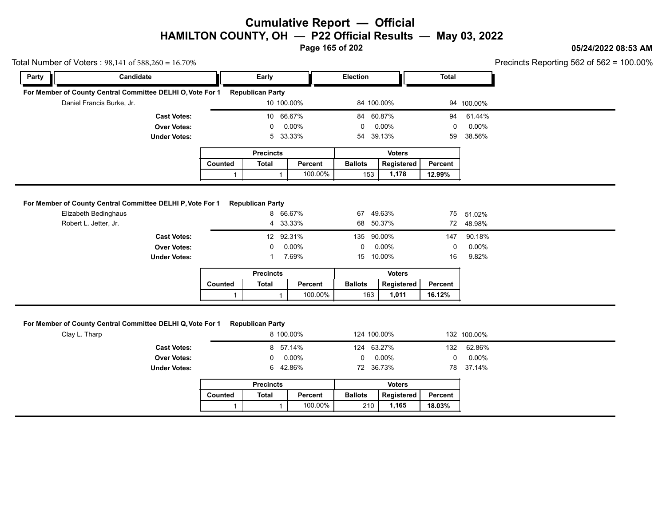**Page 165 of 202**

#### **05/24/2022 08:53 AM**

 $cts$  Reporting 562 of 562 = 100.00%

| otal Number of Voters: $98,141$ of $588,260 = 16.70\%$     |                                           |              |                                      |                 |                 |                             |              |                     | Precincts Reporting 562 of 562 = $\frac{1}{2}$ |
|------------------------------------------------------------|-------------------------------------------|--------------|--------------------------------------|-----------------|-----------------|-----------------------------|--------------|---------------------|------------------------------------------------|
| Party                                                      | Candidate                                 |              | Early                                |                 | Election        |                             | <b>Total</b> |                     |                                                |
| For Member of County Central Committee DELHI O, Vote For 1 |                                           |              | <b>Republican Party</b>              |                 |                 |                             |              |                     |                                                |
| Daniel Francis Burke, Jr.                                  |                                           |              | 10 100.00%                           |                 | 84 100.00%      |                             |              | 94 100.00%          |                                                |
|                                                            | <b>Cast Votes:</b>                        |              | 10 66.67%                            |                 | 84 60.87%       |                             | 94           | 61.44%              |                                                |
|                                                            | <b>Over Votes:</b>                        |              | 0                                    | 0.00%           | 0               | 0.00%                       | 0            | 0.00%               |                                                |
|                                                            | <b>Under Votes:</b>                       |              | 5                                    | 33.33%          | 54 39.13%       |                             | 59           | 38.56%              |                                                |
|                                                            |                                           |              | <b>Precincts</b>                     |                 |                 | <b>Voters</b>               |              |                     |                                                |
|                                                            |                                           | Counted      | <b>Total</b>                         | Percent         | <b>Ballots</b>  | Registered                  | Percent      |                     |                                                |
|                                                            |                                           | $\mathbf{1}$ | $\mathbf{1}$                         | 100.00%         | 153             | 1,178                       | 12.99%       |                     |                                                |
| Elizabeth Bedinghaus                                       |                                           |              | 8 66.67%<br>4                        | 33.33%          | 67<br>68        | 49.63%<br>50.37%            | 75           | 51.02%<br>72 48.98% |                                                |
| For Member of County Central Committee DELHI P, Vote For 1 |                                           |              | <b>Republican Party</b>              |                 |                 |                             |              |                     |                                                |
|                                                            |                                           |              |                                      |                 |                 |                             |              |                     |                                                |
| Robert L. Jetter, Jr.                                      |                                           |              |                                      |                 |                 |                             |              |                     |                                                |
|                                                            | <b>Cast Votes:</b>                        |              | 12 92.31%                            |                 | 135             | 90.00%                      | 147          | 90.18%              |                                                |
|                                                            | <b>Over Votes:</b>                        |              | 0                                    | 0.00%           | 0               | 0.00%                       | 0            | 0.00%               |                                                |
|                                                            | <b>Under Votes:</b>                       |              | 1                                    | 7.69%           | 15              | 10.00%                      | 16           | 9.82%               |                                                |
|                                                            |                                           |              | <b>Precincts</b>                     |                 |                 | <b>Voters</b>               |              |                     |                                                |
|                                                            |                                           | Counted      | <b>Total</b>                         | Percent         | <b>Ballots</b>  | Registered                  | Percent      |                     |                                                |
|                                                            |                                           |              |                                      |                 |                 |                             |              |                     |                                                |
|                                                            |                                           | 1            | $\mathbf{1}$                         | 100.00%         | 163             | 1,011                       | 16.12%       |                     |                                                |
| Clay L. Tharp                                              |                                           |              | <b>Republican Party</b><br>8 100.00% |                 | 124 100.00%     |                             |              | 132 100.00%         |                                                |
|                                                            |                                           |              |                                      |                 |                 |                             |              |                     |                                                |
|                                                            | <b>Cast Votes:</b>                        |              | 8 57.14%<br>0                        |                 | 124 63.27%<br>0 |                             | 132<br>0     | 62.86%              |                                                |
|                                                            | <b>Over Votes:</b><br><b>Under Votes:</b> |              | 6                                    | 0.00%<br>42.86% | 72 36.73%       | 0.00%                       | 78           | 0.00%<br>37.14%     |                                                |
| For Member of County Central Committee DELHI Q, Vote For 1 |                                           |              |                                      |                 |                 |                             |              |                     |                                                |
|                                                            |                                           | Counted      | <b>Precincts</b><br><b>Total</b>     | Percent         | <b>Ballots</b>  | <b>Voters</b><br>Registered | Percent      |                     |                                                |

|                     | <b>Precincts</b> | <b>Voters</b> |             |           |
|---------------------|------------------|---------------|-------------|-----------|
| <b>Under Votes:</b> | 42.86%           | 72 36.73%     |             | 78 37.14% |
| Over Votes:         | $0.00\%$         | $0.00\%$      |             | $0.00\%$  |
| <b>Cast Votes:</b>  | 8 57.14%         | 124 63.27%    | 132         | 62.86%    |
| Clay L. Tharp       | 8 100.00%        | 124 100 00%   | 132 100.00% |           |

|                | <b>Precincts</b> |         |                | <b>Voters</b>     |         |
|----------------|------------------|---------|----------------|-------------------|---------|
| <b>Counted</b> | Total            | Percent | <b>Ballots</b> | <b>Registered</b> | Percent |
|                |                  | 100.00% | 210            | 1.165             | 18.03%  |
|                |                  |         |                |                   |         |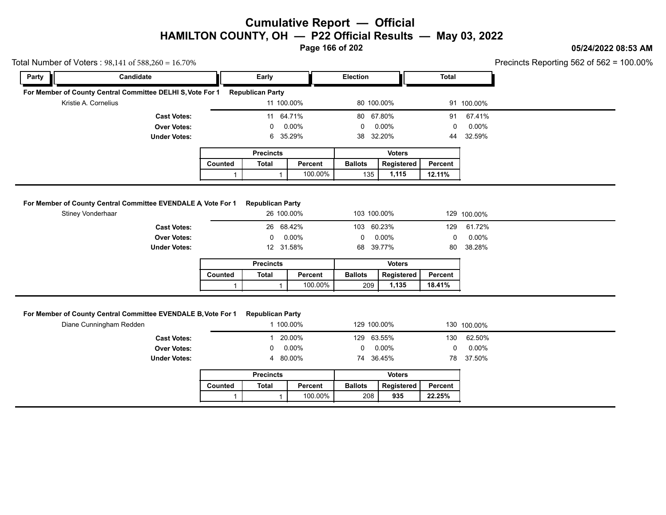**Page 166 of 202**

### **05/24/2022 08:53 AM**

Precincts Reporting 562 of 562 = 100.00%

|       | Iotal Number of Voters : $98,141$ of $588,260 = 16.70\%$                          |         |                                       |          |                 |               |                |             | Precincts Reporting 562 of 562 = |
|-------|-----------------------------------------------------------------------------------|---------|---------------------------------------|----------|-----------------|---------------|----------------|-------------|----------------------------------|
| Party | Candidate                                                                         |         | Early                                 |          | <b>Election</b> |               | <b>Total</b>   |             |                                  |
|       | For Member of County Central Committee DELHI S, Vote For 1                        |         | <b>Republican Party</b>               |          |                 |               |                |             |                                  |
|       | Kristie A. Cornelius                                                              |         | 11 100.00%                            |          | 80 100.00%      |               |                | 91 100.00%  |                                  |
|       | <b>Cast Votes:</b>                                                                |         | 11 64.71%                             |          | 80              | 67.80%        | 91             | 67.41%      |                                  |
|       | <b>Over Votes:</b>                                                                |         | 0                                     | $0.00\%$ | 0               | $0.00\%$      | 0              | $0.00\%$    |                                  |
|       | <b>Under Votes:</b>                                                               |         | 6                                     | 35.29%   | 38              | 32.20%        | 44             | 32.59%      |                                  |
|       |                                                                                   |         | <b>Precincts</b>                      |          |                 | <b>Voters</b> |                |             |                                  |
|       |                                                                                   |         |                                       | Percent  | <b>Ballots</b>  | Registered    | <b>Percent</b> |             |                                  |
|       |                                                                                   | Counted | Total                                 |          |                 |               |                |             |                                  |
|       |                                                                                   |         |                                       | 100.00%  | 135             | 1,115         | 12.11%         |             |                                  |
|       | For Member of County Central Committee EVENDALE A Vote For 1<br>Stiney Vonderhaar |         | <b>Republican Party</b><br>26 100.00% |          | 103 100.00%     |               |                | 129 100.00% |                                  |
|       | <b>Cast Votes:</b>                                                                |         | 26 68.42%                             |          | 103             | 60.23%        | 129            | 61.72%      |                                  |
|       | <b>Over Votes:</b>                                                                |         | $\Omega$                              | $0.00\%$ | 0               | $0.00\%$      | 0              | $0.00\%$    |                                  |
|       | <b>Under Votes:</b>                                                               |         | 12                                    | 31.58%   | 68              | 39.77%        | 80             | 38.28%      |                                  |
|       |                                                                                   |         | <b>Precincts</b>                      |          |                 | <b>Voters</b> |                |             |                                  |
|       |                                                                                   | Counted | Total                                 | Percent  | <b>Ballots</b>  | Registered    | Percent        |             |                                  |

|         | <b>Precincts</b> |         |                | Voters     |         |
|---------|------------------|---------|----------------|------------|---------|
| Counted | Total            | Percent | <b>Ballots</b> | Registered | Percent |
|         |                  | 100.00% | 209            | 1.135      | 18.41%  |

|                                                               |         |                         | 100.00%  | 209            | 1,135         | 18.41%  |             |
|---------------------------------------------------------------|---------|-------------------------|----------|----------------|---------------|---------|-------------|
| For Member of County Central Committee EVENDALE B, Vote For 1 |         | <b>Republican Party</b> |          |                |               |         |             |
| Diane Cunningham Redden                                       |         |                         | 100.00%  |                | 129 100.00%   |         | 130 100.00% |
| <b>Cast Votes:</b>                                            |         |                         | 20.00%   |                | 129 63.55%    | 130     | 62.50%      |
| <b>Over Votes:</b>                                            |         | $\mathbf{0}$            | 0.00%    | $\mathbf{0}$   | 0.00%         | 0       | $0.00\%$    |
| <b>Under Votes:</b>                                           |         |                         | 4 80.00% | 74             | 36.45%        | 78      | 37.50%      |
|                                                               |         | <b>Precincts</b>        |          |                | <b>Voters</b> |         |             |
|                                                               | Counted | Total                   | Percent  | <b>Ballots</b> | Registered    | Percent |             |
|                                                               |         |                         | 100.00%  | 208            | 935           | 22.25%  |             |
|                                                               |         |                         |          |                |               |         |             |

Total Number of Voters : 98,141 of 588,260 = 16.70%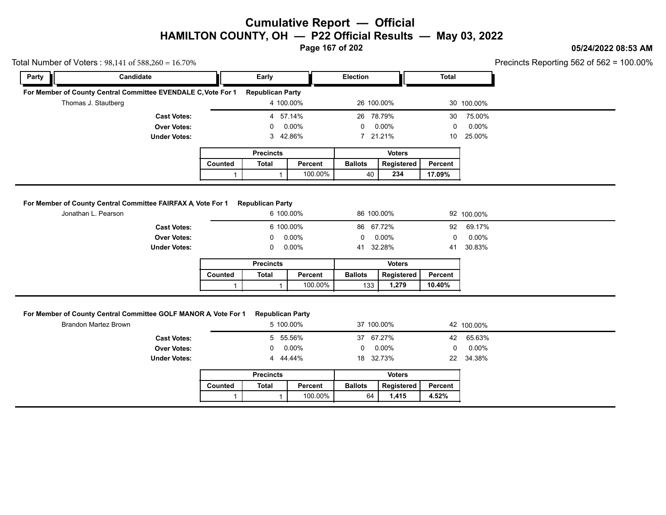**Page 167 of 202**

### **05/24/2022 08:53 AM**

| Party | Candidate                                                                                      |              | Early                                |         | Election                   |               | <b>Total</b> |            |  |
|-------|------------------------------------------------------------------------------------------------|--------------|--------------------------------------|---------|----------------------------|---------------|--------------|------------|--|
|       | For Member of County Central Committee EVENDALE C, Vote For 1                                  |              | <b>Republican Party</b>              |         |                            |               |              |            |  |
|       | Thomas J. Stautberg                                                                            |              | 4 100.00%                            |         | 26 100.00%                 |               |              | 30 100.00% |  |
|       | <b>Cast Votes:</b>                                                                             |              | 4 57.14%                             |         | 26 78.79%                  |               | 30           | 75.00%     |  |
|       | <b>Over Votes:</b>                                                                             |              | 0                                    | 0.00%   | 0                          | 0.00%         | $\mathbf 0$  | 0.00%      |  |
|       | <b>Under Votes:</b>                                                                            |              | 3 42.86%                             |         |                            | 7 21.21%      |              | 25.00%     |  |
|       |                                                                                                |              | <b>Precincts</b>                     |         | <b>Voters</b>              |               |              |            |  |
|       |                                                                                                | Counted      | <b>Total</b>                         | Percent | <b>Ballots</b>             | Registered    | Percent      |            |  |
|       |                                                                                                | $\mathbf{1}$ |                                      | 100.00% | 40                         | 234           | 17.09%       |            |  |
|       | <b>Under Votes:</b>                                                                            |              | 0<br><b>Precincts</b>                | 0.00%   | 41 32.28%<br><b>Voters</b> |               | 41           | 30.83%     |  |
|       |                                                                                                | Counted      | <b>Total</b>                         | Percent | <b>Ballots</b>             | Registered    | Percent      |            |  |
|       |                                                                                                |              |                                      |         |                            |               |              |            |  |
|       |                                                                                                | $\mathbf{1}$ |                                      | 100.00% | 133                        | 1,279         | 10.40%       |            |  |
|       | For Member of County Central Committee GOLF MANOR A, Vote For 1<br><b>Brandon Martez Brown</b> |              | <b>Republican Party</b><br>5 100.00% |         | 37 100.00%                 |               |              | 42 100.00% |  |
|       | <b>Cast Votes:</b>                                                                             |              | 5 55.56%                             |         | 37 67.27%                  |               | 42           | 65.63%     |  |
|       | <b>Over Votes:</b>                                                                             |              | 0                                    | 0.00%   | $\Omega$                   | $0.00\%$      | $\mathbf 0$  | 0.00%      |  |
|       | <b>Under Votes:</b>                                                                            |              | 4 44.44%                             |         | 18 32.73%                  |               | 22           | 34.38%     |  |
|       |                                                                                                |              | <b>Precincts</b>                     |         |                            | <b>Voters</b> |              |            |  |
|       |                                                                                                | Counted      | <b>Total</b>                         | Percent | <b>Ballots</b>             | Registered    | Percent      |            |  |

|         | <b>Precincts</b> |         |                | Voters     |         |
|---------|------------------|---------|----------------|------------|---------|
| Counted | Total            | Percent | <b>Ballots</b> | Registered | Percent |
|         |                  | 100.00% | 64             | 1.415      | 4.52%   |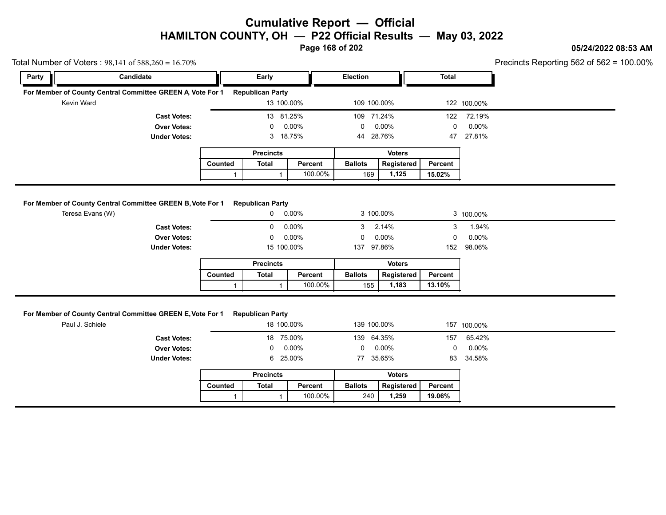**Page 168 of 202**

### **05/24/2022 08:53 AM**

Precincts Reporting 562 of 562 = 100.00%

|            | Total Number of Voters: $98,141$ of $588,260 = 16.70\%$    |         |                         |            |                 |               |         |             | Precincts Reporting 562 of 562 = |
|------------|------------------------------------------------------------|---------|-------------------------|------------|-----------------|---------------|---------|-------------|----------------------------------|
| Party      | <b>Candidate</b>                                           |         | Early                   |            | <b>Election</b> |               | Total   |             |                                  |
|            | For Member of County Central Committee GREEN A Vote For 1  |         | <b>Republican Party</b> |            |                 |               |         |             |                                  |
| Kevin Ward |                                                            |         |                         | 13 100.00% | 109 100.00%     |               |         | 122 100.00% |                                  |
|            | <b>Cast Votes:</b>                                         |         |                         | 13 81.25%  | 109             | 71.24%        | 122     | 72.19%      |                                  |
|            | <b>Over Votes:</b>                                         |         | 0                       | $0.00\%$   | 0               | $0.00\%$      | 0       | $0.00\%$    |                                  |
|            | <b>Under Votes:</b>                                        |         |                         | 3 18.75%   | 44 28.76%       |               | 47      | 27.81%      |                                  |
|            |                                                            |         | <b>Precincts</b>        |            |                 | <b>Voters</b> |         |             |                                  |
|            |                                                            | Counted | Total                   | Percent    | <b>Ballots</b>  | Registered    | Percent |             |                                  |
|            |                                                            |         |                         | 100.00%    | 169             | 1,125         | 15.02%  |             |                                  |
|            | For Member of County Central Committee GREEN B, Vote For 1 |         | <b>Republican Party</b> |            |                 |               |         |             |                                  |
|            | Teresa Evans (W)                                           |         | 0                       | $0.00\%$   |                 | 3 100.00%     |         | 3 100.00%   |                                  |

|                                                           |         |                         | 100.00%        | 169            | 1,125         | 15.02%       |           |
|-----------------------------------------------------------|---------|-------------------------|----------------|----------------|---------------|--------------|-----------|
| or Member of County Central Committee GREEN B, Vote For 1 |         | <b>Republican Party</b> |                |                |               |              |           |
| Teresa Evans (W)                                          |         | 0                       | $0.00\%$       |                | 3 100.00%     |              | 3 100.00% |
| <b>Cast Votes:</b>                                        |         | $\Omega$                | $0.00\%$       | 3              | 2.14%         | 3            | 1.94%     |
| <b>Over Votes:</b>                                        |         | $\mathbf 0$             | 0.00%          | $\Omega$       | $0.00\%$      | $\mathbf{0}$ | $0.00\%$  |
| <b>Under Votes:</b>                                       |         |                         | 15 100.00%     | 137            | 97.86%        | 152          | 98.06%    |
|                                                           |         | <b>Precincts</b>        |                |                | <b>Voters</b> |              |           |
|                                                           | Counted | Total                   | <b>Percent</b> | <b>Ballots</b> | Registered    | Percent      |           |
|                                                           |         |                         | 100.00%        | 155            | 1,183         | 13.10%       |           |

#### **For Member of County Central Committee GREEN E, Vote For 1 Republican Party**

|                                                            |         |                         | 100.00%    | 155            | 1,183         | 13.10%       |             |
|------------------------------------------------------------|---------|-------------------------|------------|----------------|---------------|--------------|-------------|
| For Member of County Central Committee GREEN E, Vote For 1 |         | <b>Republican Party</b> |            |                |               |              |             |
| Paul J. Schiele                                            |         |                         | 18 100.00% |                | 139 100.00%   |              | 157 100.00% |
| <b>Cast Votes:</b>                                         |         |                         | 18 75.00%  |                | 139 64.35%    | 157          | 65.42%      |
| <b>Over Votes:</b>                                         |         | $\mathbf 0$             | 0.00%      | $\Omega$       | $0.00\%$      | $\mathbf{0}$ | 0.00%       |
| <b>Under Votes:</b>                                        |         |                         | 6 25.00%   |                | 77 35.65%     | 83           | 34.58%      |
|                                                            |         | <b>Precincts</b>        |            |                | <b>Voters</b> |              |             |
|                                                            | Counted | Total                   | Percent    | <b>Ballots</b> | Registered    | Percent      |             |
|                                                            |         |                         | 100.00%    | 240            | 1,259         | 19.06%       |             |
|                                                            |         |                         |            |                |               |              |             |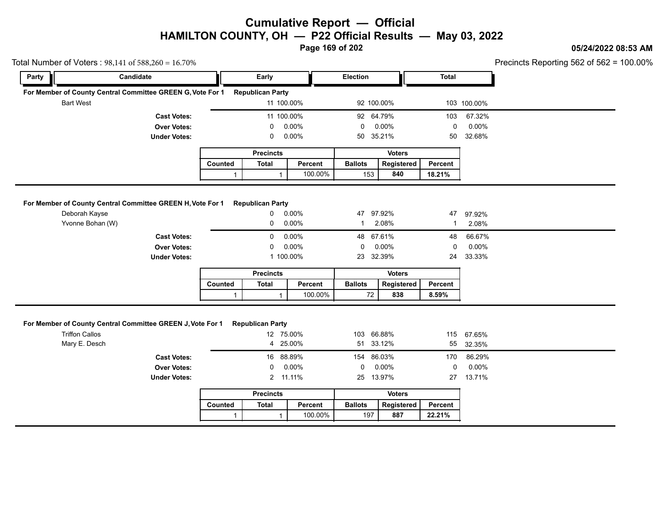**Page 169 of 202**

#### **05/24/2022 08:53 AM**

Precincts Reporting 562 of 562 = 100.00%

|                                        | Total Number of Voters: $98,141$ of $588,260 = 16.70\%$    |              |                                                  |         |                         |               |              | Precincts Reporting 562 of 562 = 1 |
|----------------------------------------|------------------------------------------------------------|--------------|--------------------------------------------------|---------|-------------------------|---------------|--------------|------------------------------------|
| Party                                  | Candidate                                                  |              | Early                                            |         | Election                |               | <b>Total</b> |                                    |
|                                        | For Member of County Central Committee GREEN G, Vote For 1 |              | <b>Republican Party</b>                          |         |                         |               |              |                                    |
| <b>Bart West</b>                       |                                                            |              | 11 100.00%                                       |         | 92 100.00%              |               |              | 103 100.00%                        |
|                                        | <b>Cast Votes:</b>                                         |              | 11 100.00%                                       |         | 92 64.79%               |               | 103          | 67.32%                             |
|                                        | <b>Over Votes:</b>                                         |              | 0                                                | 0.00%   | $\mathbf 0$             | $0.00\%$      | $\mathbf 0$  | $0.00\%$                           |
|                                        | <b>Under Votes:</b>                                        |              | 0                                                | 0.00%   | 50 35.21%               |               | 50           | 32.68%                             |
|                                        |                                                            |              | <b>Precincts</b>                                 |         |                         | <b>Voters</b> |              |                                    |
|                                        |                                                            | Counted      | <b>Total</b>                                     | Percent | <b>Ballots</b>          | Registered    | Percent      |                                    |
|                                        |                                                            | $\mathbf{1}$ | $\mathbf{1}$                                     | 100.00% | 153                     | 840           | 18.21%       |                                    |
|                                        | For Member of County Central Committee GREEN H, Vote For 1 |              | <b>Republican Party</b>                          |         |                         |               |              |                                    |
| Deborah Kayse                          |                                                            |              | 0                                                | 0.00%   | 47 97.92%               |               | 47           | 97.92%                             |
| Yvonne Bohan (W)                       |                                                            |              | 0                                                | 0.00%   | $\mathbf{1}$            | 2.08%         | -1           | 2.08%                              |
|                                        | <b>Cast Votes:</b>                                         |              | 0                                                | 0.00%   | 48 67.61%               |               | 48           | 66.67%                             |
|                                        | <b>Over Votes:</b>                                         |              | 0                                                | 0.00%   | 0                       | 0.00%         | $\pmb{0}$    | 0.00%                              |
|                                        | <b>Under Votes:</b>                                        |              | 1 100.00%                                        |         | 23                      | 32.39%        | 24           | 33.33%                             |
|                                        |                                                            |              | <b>Precincts</b>                                 |         |                         | <b>Voters</b> |              |                                    |
|                                        |                                                            | Counted      | <b>Total</b>                                     | Percent | <b>Ballots</b>          | Registered    | Percent      |                                    |
|                                        |                                                            | $\mathbf{1}$ | $\mathbf{1}$                                     | 100.00% | 72                      | 838           | 8.59%        |                                    |
| <b>Triffon Callos</b><br>Mary E. Desch | For Member of County Central Committee GREEN J, Vote For 1 |              | <b>Republican Party</b><br>12 75.00%<br>4 25.00% |         | 103 66.88%<br>51 33.12% |               | 115<br>55    | 67.65%<br>32.35%                   |
|                                        | <b>Cast Votes:</b>                                         |              | 16 88.89%                                        |         | 154 86.03%              |               | 170          | 86.29%                             |
|                                        | <b>Over Votes:</b>                                         |              | 0                                                | 0.00%   | 0.00%<br>0              |               | $\mathbf 0$  | 0.00%                              |
|                                        | <b>Under Votes:</b>                                        |              | 2 11.11%                                         |         | 25 13.97%               |               |              | 27 13.71%                          |
|                                        |                                                            |              |                                                  |         |                         | <b>Voters</b> |              |                                    |
|                                        |                                                            |              | <b>Precincts</b>                                 |         |                         |               |              |                                    |
|                                        |                                                            | Counted      | <b>Total</b>                                     | Percent | <b>Ballots</b>          | Registered    | Percent      |                                    |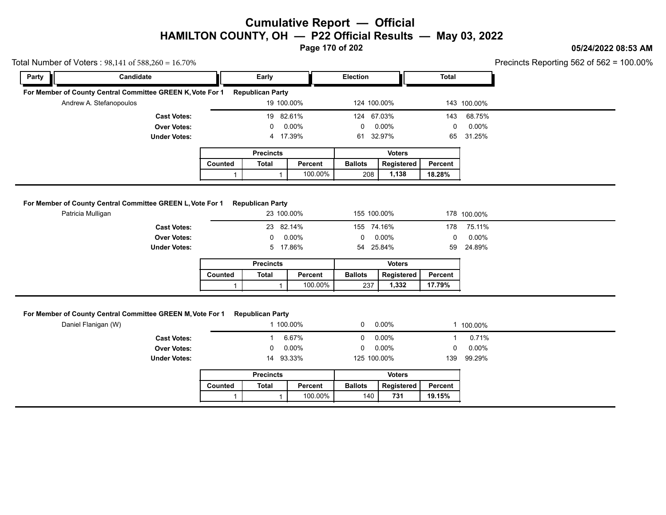**Page 170 of 202**

### **05/24/2022 08:53 AM**

Precincts Reporting 562 of 562 = 100.00%

|       | Total Number of Voters: $98,141$ of $588,260 = 16.70\%$    |         |                         |            |                 |               |              |             | Precincts Reporting 562 of 562 = |
|-------|------------------------------------------------------------|---------|-------------------------|------------|-----------------|---------------|--------------|-------------|----------------------------------|
| Party | Candidate                                                  |         | Early                   |            | <b>Election</b> |               | <b>Total</b> |             |                                  |
|       | For Member of County Central Committee GREEN K, Vote For 1 |         | <b>Republican Party</b> |            |                 |               |              |             |                                  |
|       | Andrew A. Stefanopoulos                                    |         |                         | 19 100.00% |                 | 124 100.00%   |              | 143 100.00% |                                  |
|       | <b>Cast Votes:</b>                                         |         |                         | 19 82.61%  |                 | 124 67.03%    | 143          | 68.75%      |                                  |
|       | <b>Over Votes:</b>                                         |         | $\mathbf{0}$            | 0.00%      | 0               | 0.00%         | 0            | $0.00\%$    |                                  |
|       | <b>Under Votes:</b>                                        |         |                         | 4 17.39%   |                 | 61 32.97%     | 65           | 31.25%      |                                  |
|       |                                                            |         | <b>Precincts</b>        |            |                 | <b>Voters</b> |              |             |                                  |
|       |                                                            | Counted | <b>Total</b>            | Percent    | <b>Ballots</b>  | Registered    | Percent      |             |                                  |
|       |                                                            |         |                         | 100.00%    | 208             | 1,138         | 18.28%       |             |                                  |
|       |                                                            |         |                         |            |                 |               |              |             |                                  |

#### **For Member of County Central Committee GREEN L, Vote For 1 Republican Party**

|                                                                                 |         |                         | 100.00%         | 208            | 1,138         | 18.28%  |             |
|---------------------------------------------------------------------------------|---------|-------------------------|-----------------|----------------|---------------|---------|-------------|
|                                                                                 |         |                         |                 |                |               |         |             |
| For Member of County Central Committee GREEN L, Vote For 1<br>Patricia Mulligan |         | <b>Republican Party</b> | 23 100.00%      |                | 155 100.00%   |         | 178 100.00% |
| <b>Cast Votes:</b>                                                              |         |                         | 23 82.14%       | 155 74.16%     |               | 178     | 75.11%      |
| <b>Over Votes:</b>                                                              |         |                         | $0\quad 0.00\%$ | $\mathbf{0}$   | $0.00\%$      | 0       | $0.00\%$    |
| <b>Under Votes:</b>                                                             |         |                         | 5 17.86%        |                | 54 25.84%     | 59      | 24.89%      |
|                                                                                 |         | <b>Precincts</b>        |                 |                | <b>Voters</b> |         |             |
|                                                                                 | Counted | <b>Total</b>            | Percent         | <b>Ballots</b> | Registered    | Percent |             |
|                                                                                 |         |                         | 100.00%         | 237            | 1,332         | 17.79%  |             |
|                                                                                 |         |                         |                 |                |               |         |             |

#### **For Member of County Central Committee GREEN M, Vote For 1 Republican Party**

|                                                                                   |         |                         | 100.00%   | 237            | 1,332         | 17.79%   |          |
|-----------------------------------------------------------------------------------|---------|-------------------------|-----------|----------------|---------------|----------|----------|
|                                                                                   |         |                         |           |                |               |          |          |
| For Member of County Central Committee GREEN M, Vote For 1<br>Daniel Flanigan (W) |         | <b>Republican Party</b> | 1 100.00% | $\mathbf{0}$   | 0.00%         |          | 100.00%  |
| <b>Cast Votes:</b>                                                                |         |                         | 6.67%     | $\Omega$       | 0.00%         |          | 0.71%    |
| <b>Over Votes:</b>                                                                |         | 0                       | 0.00%     | $\mathbf{0}$   | $0.00\%$      | $\Omega$ | $0.00\%$ |
| <b>Under Votes:</b>                                                               |         | 14                      | 93.33%    | 125 100.00%    |               | 139      | 99.29%   |
|                                                                                   |         | <b>Precincts</b>        |           |                | <b>Voters</b> |          |          |
|                                                                                   | Counted | Total                   | Percent   | <b>Ballots</b> | Registered    | Percent  |          |
|                                                                                   |         |                         | 100.00%   | 140            | 731           | 19.15%   |          |
|                                                                                   |         |                         |           |                |               |          |          |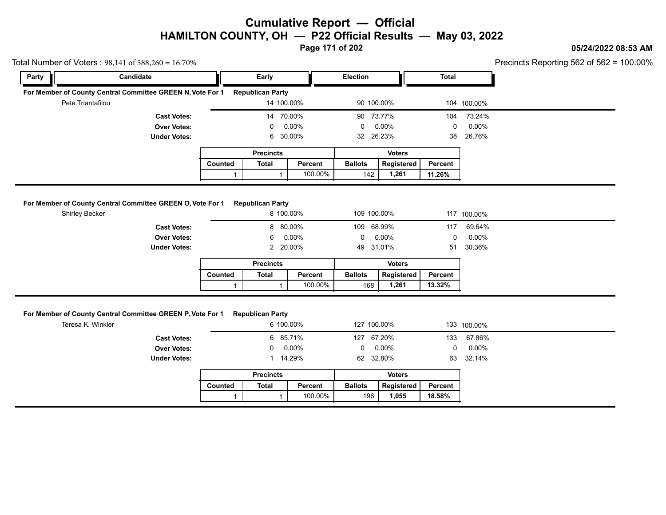**Page 171 of 202**

### **05/24/2022 08:53 AM**

Precincts Reporting 562 of 562 = 100.00%

| Total Number of Voters: $98,141$ of $588,260 = 16.70\%$ |                                                            |               |                                    |           |                              |               |         |             | Precincts Reporting 562 of 562 = |
|---------------------------------------------------------|------------------------------------------------------------|---------------|------------------------------------|-----------|------------------------------|---------------|---------|-------------|----------------------------------|
| Party                                                   | Candidate                                                  |               | Early                              |           | <b>Election</b>              |               | Total   |             |                                  |
|                                                         | For Member of County Central Committee GREEN N, Vote For 1 |               | <b>Republican Party</b>            |           |                              |               |         |             |                                  |
|                                                         | Pete Triantafilou                                          |               | 14 100.00%                         |           |                              | 90 100.00%    |         | 104 100.00% |                                  |
| <b>Cast Votes:</b><br><b>Over Votes:</b>                |                                                            | 70.00%<br>14  |                                    |           | 90 73.77%                    |               | 104     | 73.24%      |                                  |
|                                                         |                                                            | $0.00\%$<br>0 |                                    |           | 0                            | $0.00\%$      | 0       | $0.00\%$    |                                  |
|                                                         | <b>Under Votes:</b>                                        |               | 6                                  | 30.00%    | 32 26.23%                    |               | 38      | 26.76%      |                                  |
|                                                         |                                                            |               | <b>Precincts</b>                   |           |                              | <b>Voters</b> |         |             |                                  |
|                                                         |                                                            |               | Counted<br><b>Total</b><br>Percent |           | <b>Ballots</b><br>Registered |               | Percent |             |                                  |
|                                                         |                                                            |               |                                    |           |                              |               |         |             |                                  |
|                                                         |                                                            |               |                                    | 100.00%   | 142                          | 1,261         | 11.26%  |             |                                  |
| Shirley Becker                                          | For Member of County Central Committee GREEN O, Vote For 1 |               | <b>Republican Party</b>            | 8 100.00% | 109 100.00%                  |               |         | 117 100.00% |                                  |
|                                                         | <b>Cast Votes:</b>                                         |               |                                    | 8 80.00%  | 109 68.99%                   |               | 117     | 69.64%      |                                  |
|                                                         | <b>Over Votes:</b>                                         |               | 0                                  | $0.00\%$  | 0                            | 0.00%         | 0       | $0.00\%$    |                                  |
|                                                         | <b>Under Votes:</b>                                        |               |                                    | 2 20.00%  | 49                           | 31.01%        | 51      | 30.36%      |                                  |
|                                                         |                                                            |               | <b>Precincts</b>                   |           |                              | <b>Voters</b> |         |             |                                  |
|                                                         |                                                            | Counted       | <b>Total</b>                       | Percent   | <b>Ballots</b>               | Registered    | Percent |             |                                  |

#### **For Member of County Central Committee GREEN P, Vote For 1 Republican Party**

|                                                            |                |                         | 100.00%   | 168            | 1,261         | 13.32%       |             |
|------------------------------------------------------------|----------------|-------------------------|-----------|----------------|---------------|--------------|-------------|
| For Member of County Central Committee GREEN P, Vote For 1 |                | <b>Republican Party</b> |           |                |               |              |             |
| Teresa K. Winkler                                          |                |                         | 6 100.00% |                | 127 100.00%   |              | 133 100.00% |
| <b>Cast Votes:</b>                                         |                |                         | 6 85.71%  |                | 127 67.20%    | 133          | 67.86%      |
| <b>Over Votes:</b>                                         |                | 0                       | 0.00%     | $\Omega$       | $0.00\%$      | $\mathbf{0}$ | $0.00\%$    |
| <b>Under Votes:</b>                                        |                |                         | 1 14.29%  |                | 62 32.80%     |              | 63 32.14%   |
|                                                            |                | <b>Precincts</b>        |           |                | <b>Voters</b> |              |             |
|                                                            | <b>Counted</b> | Total                   | Percent   | <b>Ballots</b> | Registered    | Percent      |             |
|                                                            |                |                         | 100.00%   | 196            | 1,055         | 18.58%       |             |
|                                                            |                |                         |           |                |               |              |             |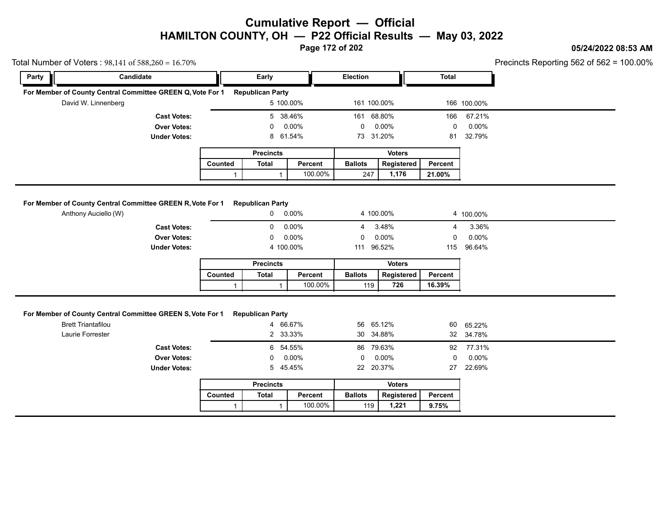**Page 172 of 202**

### **05/24/2022 08:53 AM**

| Party | Candidate                                                                               |                | Early                   |            | <b>Election</b> |               | <b>Total</b> |                     |  |
|-------|-----------------------------------------------------------------------------------------|----------------|-------------------------|------------|-----------------|---------------|--------------|---------------------|--|
|       |                                                                                         |                |                         |            |                 |               |              |                     |  |
|       | For Member of County Central Committee GREEN Q, Vote For 1 Republican Party             |                |                         |            |                 |               |              |                     |  |
|       | David W. Linnenberg                                                                     |                | 5 100.00%               |            | 161 100.00%     |               |              | 166 100.00%         |  |
|       | <b>Cast Votes:</b>                                                                      |                | 5                       | 38.46%     | 161 68.80%      |               | 166          | 67.21%              |  |
|       | <b>Over Votes:</b>                                                                      | 0.00%<br>0     |                         | 0.00%<br>0 |                 | 0             | $0.00\%$     |                     |  |
|       | <b>Under Votes:</b>                                                                     |                | 8 61.54%                |            | 73 31.20%       |               | 81           | 32.79%              |  |
|       |                                                                                         |                | <b>Precincts</b>        |            |                 | <b>Voters</b> |              |                     |  |
|       |                                                                                         | Counted        | <b>Total</b>            | Percent    |                 | Registered    | Percent      |                     |  |
|       |                                                                                         | $\mathbf{1}$   | $\mathbf{1}$            | 100.00%    | 247             | 1,176         | 21.00%       |                     |  |
|       |                                                                                         |                |                         |            |                 |               |              |                     |  |
|       | For Member of County Central Committee GREEN R, Vote For 1                              |                | <b>Republican Party</b> |            |                 |               |              |                     |  |
|       | Anthony Auciello (W)                                                                    | $0.00\%$<br>0  |                         | 4 100.00%  |                 |               | 4 100.00%    |                     |  |
|       | <b>Cast Votes:</b>                                                                      | 0.00%<br>0     |                         | 3.48%<br>4 |                 | 4             | 3.36%        |                     |  |
|       | <b>Over Votes:</b>                                                                      |                | 0                       | 0.00%      | $\Omega$        | 0.00%         | $\Omega$     | 0.00%               |  |
|       | <b>Under Votes:</b>                                                                     | 4 100.00%      |                         |            | 111 96.52%      |               | 115          | 96.64%              |  |
|       |                                                                                         |                | <b>Precincts</b>        |            | <b>Voters</b>   |               |              |                     |  |
|       |                                                                                         |                |                         |            |                 |               | Percent      |                     |  |
|       |                                                                                         | <b>Counted</b> | <b>Total</b>            | Percent    | <b>Ballots</b>  | Registered    |              |                     |  |
|       |                                                                                         | $\mathbf{1}$   | $\mathbf{1}$            | 100.00%    | 119             | 726           | 16.39%       |                     |  |
|       |                                                                                         |                |                         |            |                 |               |              |                     |  |
|       | For Member of County Central Committee GREEN S, Vote For 1<br><b>Brett Triantafilou</b> |                | <b>Republican Party</b> |            | 56 65.12%       |               |              |                     |  |
|       | Laurie Forrester                                                                        |                | 4 66.67%<br>2 33.33%    |            | 30 34.88%       |               | 60           | 65.22%<br>32 34.78% |  |
|       | <b>Cast Votes:</b>                                                                      |                | 6 54.55%                |            | 86 79.63%       |               | 92           | 77.31%              |  |
|       | <b>Over Votes:</b>                                                                      |                | 0                       | 0.00%      | 0               | 0.00%         | $\mathsf 0$  | 0.00%               |  |
|       | <b>Under Votes:</b>                                                                     |                | 5 45.45%                |            | 22 20.37%       |               | 27           | 22.69%              |  |
|       |                                                                                         |                | <b>Precincts</b>        |            |                 | <b>Voters</b> |              |                     |  |
|       |                                                                                         | Counted        | <b>Total</b>            | Percent    | <b>Ballots</b>  | Registered    | Percent      |                     |  |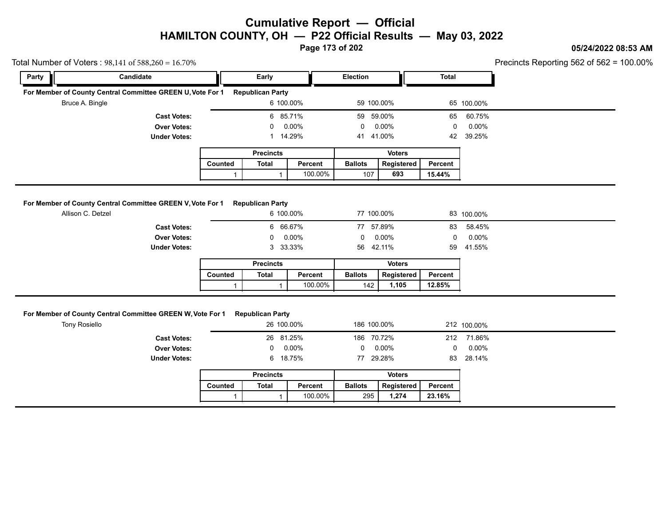**Page 173 of 202**

### **05/24/2022 08:53 AM**

Precincts Reporting 562 of 562 = 100.00%

|       | Total Number of Voters: $98,141$ of $588,260 = 16.70\%$                         |         |                                      |          |                 |                   |                |            | Precincts Reporting 562 of 562 = 1 |
|-------|---------------------------------------------------------------------------------|---------|--------------------------------------|----------|-----------------|-------------------|----------------|------------|------------------------------------|
| Party | Candidate                                                                       |         | Early                                |          | <b>Election</b> |                   | <b>Total</b>   |            |                                    |
|       | For Member of County Central Committee GREEN U, Vote For 1                      |         | <b>Republican Party</b>              |          |                 |                   |                |            |                                    |
|       | Bruce A. Bingle<br><b>Cast Votes:</b><br><b>Over Votes:</b>                     |         | 6 100.00%<br>6 85.71%                |          |                 | 59 100.00%        |                | 65 100.00% |                                    |
|       |                                                                                 |         |                                      |          |                 | 59.00%            | 65             | 60.75%     |                                    |
|       |                                                                                 |         | 0                                    | $0.00\%$ | 0               | $0.00\%$          | 0              | $0.00\%$   |                                    |
|       | <b>Under Votes:</b>                                                             |         |                                      | 14.29%   | 41              | 41.00%            | 42             | 39.25%     |                                    |
|       |                                                                                 |         | <b>Precincts</b>                     |          |                 | <b>Voters</b>     |                |            |                                    |
|       | Counted                                                                         |         | <b>Total</b>                         | Percent  | <b>Ballots</b>  | Registered        | <b>Percent</b> |            |                                    |
|       |                                                                                 |         |                                      |          |                 | 693               |                |            |                                    |
|       |                                                                                 |         |                                      | 100.00%  | 107             |                   | 15.44%         |            |                                    |
|       | For Member of County Central Committee GREEN V, Vote For 1<br>Allison C. Detzel |         | <b>Republican Party</b><br>6 100.00% |          | 77 100.00%      |                   |                | 83 100.00% |                                    |
|       | <b>Cast Votes:</b>                                                              |         | 6 66.67%                             |          | 77              | 57.89%            | 83             | 58.45%     |                                    |
|       | <b>Over Votes:</b>                                                              |         |                                      | $0.00\%$ | $\Omega$        | $0.00\%$          | 0              | $0.00\%$   |                                    |
|       | <b>Under Votes:</b>                                                             |         | 3                                    | 33.33%   | 56              | 42.11%            | 59             | 41.55%     |                                    |
|       |                                                                                 |         | <b>Precincts</b>                     |          |                 | <b>Voters</b>     |                |            |                                    |
|       |                                                                                 | Counted | <b>Total</b>                         | Percent  | <b>Ballots</b>  | <b>Registered</b> | Percent        |            |                                    |

### **For Member of County Central Committee GREEN W, Vote For 1 Republican Party**

|                                                               |         |                         | 100.00%    | 142            | 1,105         | 12.85%  |             |
|---------------------------------------------------------------|---------|-------------------------|------------|----------------|---------------|---------|-------------|
|                                                               |         |                         |            |                |               |         |             |
| <b>Member of County Central Committee GREEN W, Vote For 1</b> |         | <b>Republican Party</b> |            |                |               |         |             |
| <b>Tony Rosiello</b>                                          |         |                         | 26 100.00% | 186 100.00%    |               |         | 212 100.00% |
| <b>Cast Votes:</b>                                            |         |                         | 26 81.25%  | 186 70.72%     |               | 212     | 71.86%      |
| <b>Over Votes:</b>                                            |         | $\mathbf{0}$            | $0.00\%$   | $^{\circ}$     | $0.00\%$      | 0       | $0.00\%$    |
| <b>Under Votes:</b>                                           |         |                         | 6 18.75%   |                | 77 29.28%     | 83      | 28.14%      |
|                                                               |         | <b>Precincts</b>        |            |                | <b>Voters</b> |         |             |
|                                                               | Counted | Total                   | Percent    | <b>Ballots</b> | Registered    | Percent |             |
|                                                               |         |                         | 100.00%    | 295            | 1,274         | 23.16%  |             |
|                                                               |         |                         |            |                |               |         |             |

|         | <b>Precincts</b> |         | Voters         |                   |         |  |  |
|---------|------------------|---------|----------------|-------------------|---------|--|--|
| Counted | Total            | Percent | <b>Ballots</b> | <b>Registered</b> | Percent |  |  |
|         |                  | 100.00% | 295            | 1.274             | 23.16%  |  |  |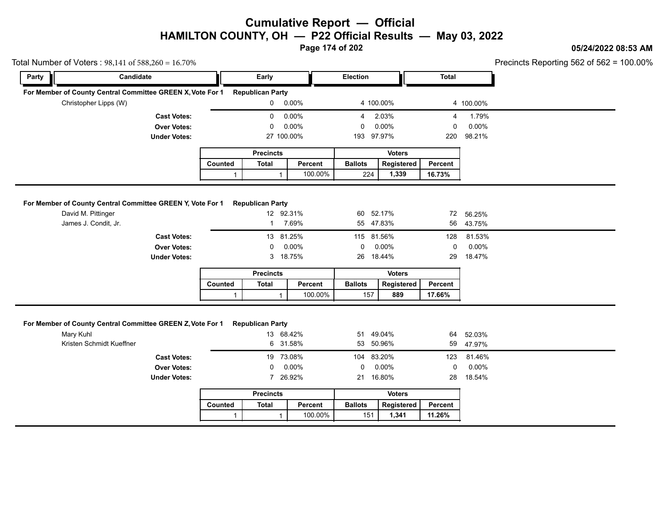**Page 174 of 202**

### **05/24/2022 08:53 AM**

100.00%

|           | Total Number of Voters: $98,141$ of $588,260 = 16.70\%$                                                  |                    |                  |                                                      |               |                        |                     |                   | Precincts Reporting 562 of 562 = |
|-----------|----------------------------------------------------------------------------------------------------------|--------------------|------------------|------------------------------------------------------|---------------|------------------------|---------------------|-------------------|----------------------------------|
| Party     | Candidate                                                                                                |                    |                  | Early                                                |               | Election               |                     | Total             |                                  |
|           | For Member of County Central Committee GREEN X, Vote For 1                                               |                    |                  | <b>Republican Party</b>                              |               |                        |                     |                   |                                  |
|           | Christopher Lipps (W)                                                                                    |                    |                  | $\mathbf{0}$                                         | $0.00\%$      | 4 100.00%              |                     |                   | 4 100.00%                        |
|           |                                                                                                          | <b>Cast Votes:</b> |                  | 0                                                    | 0.00%         | $4\overline{ }$        | 2.03%               | 4                 | 1.79%                            |
|           |                                                                                                          | <b>Over Votes:</b> |                  | 0                                                    | 0.00%         | $\mathbf 0$            | 0.00%               | 0                 | 0.00%                            |
|           | <b>Under Votes:</b>                                                                                      |                    | 27 100.00%       |                                                      | 193 97.97%    |                        | 220                 | 98.21%            |                                  |
|           |                                                                                                          |                    |                  | <b>Precincts</b>                                     |               |                        | <b>Voters</b>       |                   |                                  |
|           |                                                                                                          |                    | Counted          | <b>Total</b>                                         | Percent       | <b>Ballots</b>         | Registered          | Percent           |                                  |
|           |                                                                                                          |                    | $\mathbf{1}$     | $\mathbf{1}$                                         | 100.00%       | 224                    | 1,339               | 16.73%            |                                  |
|           | For Member of County Central Committee GREEN Y, Vote For 1<br>David M. Pittinger<br>James J. Condit, Jr. |                    |                  | <b>Republican Party</b><br>12 92.31%<br>$\mathbf{1}$ | 7.69%         | 60 52.17%<br>55 47.83% |                     | 56                | 72 56.25%<br>43.75%              |
|           |                                                                                                          | <b>Cast Votes:</b> |                  | 13 81.25%                                            |               | 115 81.56%             |                     | 128               | 81.53%                           |
|           |                                                                                                          | <b>Over Votes:</b> |                  | 0                                                    | 0.00%         | 0                      | 0.00%               | 0                 | 0.00%                            |
|           | <b>Under Votes:</b>                                                                                      |                    |                  |                                                      | 3 18.75%      | 26 18.44%              |                     | 29                | 18.47%                           |
|           |                                                                                                          |                    | <b>Precincts</b> |                                                      | <b>Voters</b> |                        |                     |                   |                                  |
|           |                                                                                                          |                    | Counted          | <b>Total</b>                                         | Percent       | <b>Ballots</b>         | Registered          | Percent           |                                  |
|           |                                                                                                          |                    | $\mathbf{1}$     | $\mathbf{1}$                                         | 100.00%       | 157                    | 889                 | 17.66%            |                                  |
| Mary Kuhl | For Member of County Central Committee GREEN Z, Vote For 1<br>Kristen Schmidt Kueffner                   |                    |                  | <b>Republican Party</b><br>13 68.42%<br>6            | 31.58%        | 51<br>53 50.96%        | 49.04%              | 64<br>59          | 52.03%<br>47.97%                 |
|           |                                                                                                          | <b>Cast Votes:</b> |                  | 19 73.08%                                            |               | 104 83.20%             |                     | 123               | 81.46%                           |
|           |                                                                                                          | <b>Over Votes:</b> |                  | 0                                                    | 0.00%         | 0                      | 0.00%               | 0                 | 0.00%                            |
|           | <b>Under Votes:</b>                                                                                      |                    | 7 26.92%         |                                                      | 16.80%<br>21  |                        | 28                  | 18.54%            |                                  |
|           |                                                                                                          | <b>Precincts</b>   |                  | <b>Voters</b>                                        |               |                        |                     |                   |                                  |
|           |                                                                                                          |                    |                  |                                                      |               |                        |                     |                   |                                  |
|           |                                                                                                          |                    | Counted          | <b>Total</b>                                         | Percent       | <b>Ballots</b>         | Registered<br>1,341 | Percent<br>11.26% |                                  |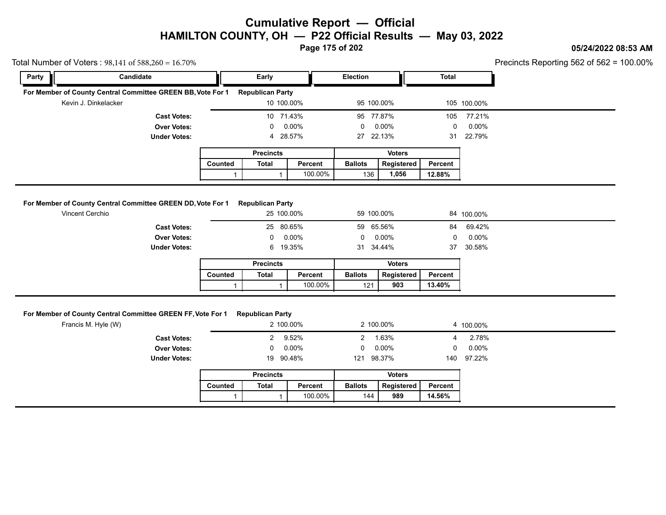**Page 175 of 202**

### **05/24/2022 08:53 AM**

Precincts Reporting 562 of 562 = 100.00%

|       | Total Number of Voters: $98,141$ of $588,260 = 16.70\%$                        |                |                                       |         |                            |               |         |                    | Precincts Reporting 562 of 562 = |
|-------|--------------------------------------------------------------------------------|----------------|---------------------------------------|---------|----------------------------|---------------|---------|--------------------|----------------------------------|
| Party | Candidate                                                                      |                | Early<br><b>Election</b>              |         |                            | Total         |         |                    |                                  |
|       | For Member of County Central Committee GREEN BB, Vote For 1                    |                | <b>Republican Party</b>               |         |                            |               |         |                    |                                  |
|       | Kevin J. Dinkelacker                                                           |                | 10 100.00%                            |         | 95 100.00%                 |               |         | 105 100.00%        |                                  |
|       | <b>Cast Votes:</b>                                                             |                | 10 71.43%                             |         | 95                         | 77.87%        | 105     | 77.21%             |                                  |
|       | <b>Over Votes:</b>                                                             |                | 0                                     | 0.00%   | $0.00\%$<br>0<br>27 22.13% |               | 0       | $0.00\%$<br>22.79% |                                  |
|       | <b>Under Votes:</b>                                                            |                | 4 28.57%                              |         |                            |               | 31      |                    |                                  |
|       |                                                                                |                | <b>Precincts</b>                      |         |                            | <b>Voters</b> |         |                    |                                  |
|       |                                                                                | <b>Counted</b> | Total                                 | Percent | <b>Ballots</b>             | Registered    | Percent |                    |                                  |
|       |                                                                                |                |                                       | 100.00% | 136                        | 1,056         | 12.88%  |                    |                                  |
|       | For Member of County Central Committee GREEN DD, Vote For 1<br>Vincent Cerchio |                | <b>Republican Party</b><br>25 100.00% |         | 59 100 00%                 |               |         | 84 100.00%         |                                  |

| lember of County Central Committee GREEN DD, Vote For 1<br>Vincent Cerchio |                | <b>Republican Party</b> | 25 100.00% |                | 59 100.00%    |         | 84 100.00% |
|----------------------------------------------------------------------------|----------------|-------------------------|------------|----------------|---------------|---------|------------|
| <b>Cast Votes:</b>                                                         |                |                         | 25 80.65%  |                | 59 65.56%     | 84      | 69.42%     |
| <b>Over Votes:</b>                                                         |                | $\mathbf{0}$            | $0.00\%$   | 0              | 0.00%         | 0       | $0.00\%$   |
| <b>Under Votes:</b>                                                        |                |                         | 6 19.35%   |                | 31 34.44%     | 37      | 30.58%     |
|                                                                            |                | <b>Precincts</b>        |            |                | <b>Voters</b> |         |            |
|                                                                            | <b>Counted</b> | Total                   | Percent    | <b>Ballots</b> | Registered    | Percent |            |
|                                                                            |                |                         | 100.00%    | 121            | 903           | 13.40%  |            |

#### **For Member of County Central Committee GREEN FF, Vote For 1 Republican Party**

|                                                             |         |                         | 100.00%   | 121            | 903           | 13.40%         |           |
|-------------------------------------------------------------|---------|-------------------------|-----------|----------------|---------------|----------------|-----------|
| For Member of County Central Committee GREEN FF, Vote For 1 |         | <b>Republican Party</b> |           |                |               |                |           |
| Francis M. Hyle (W)                                         |         |                         | 2 100.00% |                | 2 100.00%     |                | 4 100.00% |
| <b>Cast Votes:</b>                                          |         |                         | 2 9.52%   | $\mathbf{2}$   | 1.63%         | $\overline{4}$ | 2.78%     |
| <b>Over Votes:</b>                                          |         | 0                       | 0.00%     | $\mathbf{0}$   | $0.00\%$      | $\Omega$       | $0.00\%$  |
| <b>Under Votes:</b>                                         |         | 19 90.48%               |           | 121            | 98.37%        | 140            | 97.22%    |
|                                                             |         | <b>Precincts</b>        |           |                | <b>Voters</b> |                |           |
|                                                             | Counted | Total                   | Percent   | <b>Ballots</b> | Registered    | Percent        |           |
|                                                             |         |                         | 100.00%   | 144            | 989           | 14.56%         |           |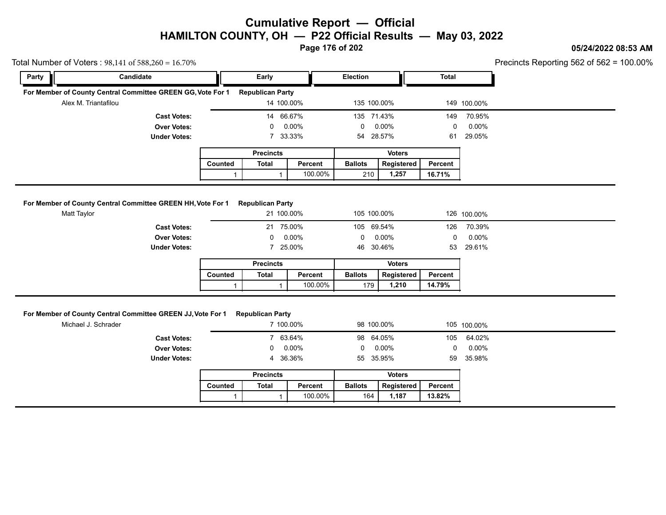**Page 176 of 202**

### **05/24/2022 08:53 AM**

cincts Reporting 562 of 562 =  $100.00\%$ 

|             | Total Number of Voters: 98,141 of 588,260 = 16.70%              |         |                                       |          |                              |               |              |             | Precincts Reporting 562 of 562 = 1 |
|-------------|-----------------------------------------------------------------|---------|---------------------------------------|----------|------------------------------|---------------|--------------|-------------|------------------------------------|
| Party       | Candidate                                                       |         | Early                                 |          | <b>Election</b>              |               | <b>Total</b> |             |                                    |
|             | For Member of County Central Committee GREEN GG, Vote For 1     |         | <b>Republican Party</b>               |          |                              |               |              |             |                                    |
|             | Alex M. Triantafilou                                            |         | 14 100.00%                            |          | 135 100.00%                  |               |              | 149 100.00% |                                    |
|             | <b>Cast Votes:</b><br><b>Over Votes:</b><br><b>Under Votes:</b> |         | 14 66.67%                             |          | 135 71.43%                   |               | 149          | 70.95%      |                                    |
|             |                                                                 |         | 0                                     | $0.00\%$ | 0                            | $0.00\%$      | 0            | $0.00\%$    |                                    |
|             |                                                                 |         |                                       | 7 33.33% | 54                           | 28.57%        | 61           | 29.05%      |                                    |
|             |                                                                 |         | <b>Precincts</b>                      |          |                              | <b>Voters</b> |              |             |                                    |
|             |                                                                 |         | Counted<br>Percent<br>Total           |          | <b>Ballots</b><br>Registered |               | Percent      |             |                                    |
|             |                                                                 |         |                                       |          |                              |               |              |             |                                    |
|             |                                                                 |         |                                       | 100.00%  | 210                          | 1,257         | 16.71%       |             |                                    |
| Matt Taylor | For Member of County Central Committee GREEN HH, Vote For 1     |         | <b>Republican Party</b><br>21 100.00% |          | 105 100.00%                  |               |              | 126 100.00% |                                    |
|             | <b>Cast Votes:</b>                                              |         | 21                                    | 75.00%   | 105 69.54%                   |               | 126          | 70.39%      |                                    |
|             | <b>Over Votes:</b>                                              |         |                                       | $0.00\%$ | 0                            | $0.00\%$      | 0            | $0.00\%$    |                                    |
|             | <b>Under Votes:</b>                                             |         |                                       | 25.00%   | 46                           | 30.46%        | 53           | 29.61%      |                                    |
|             |                                                                 |         | <b>Precincts</b>                      |          |                              | <b>Voters</b> |              |             |                                    |
|             |                                                                 | Counted | Total                                 | Percent  | <b>Ballots</b>               | Registered    | Percent      |             |                                    |

| <b>Ballots</b><br>Total<br>Reaistered<br>Counted<br>Percent<br>Percent<br>100.00%<br>14.79%<br>1.210<br>179 |  | Precincts |  | voters |  |
|-------------------------------------------------------------------------------------------------------------|--|-----------|--|--------|--|
|                                                                                                             |  |           |  |        |  |
|                                                                                                             |  |           |  |        |  |

#### **For Member of County Central Committee GREEN JJ, Vote For 1 Republican Party**

|                                                             |         |                         | 100.00%   | 179            | 1,210         | 14.79%       |             |
|-------------------------------------------------------------|---------|-------------------------|-----------|----------------|---------------|--------------|-------------|
|                                                             |         |                         |           |                |               |              |             |
| For Member of County Central Committee GREEN JJ, Vote For 1 |         | <b>Republican Party</b> |           |                |               |              |             |
| Michael J. Schrader                                         |         |                         | 7 100.00% |                | 98 100.00%    |              | 105 100.00% |
| <b>Cast Votes:</b>                                          |         |                         | 7 63.64%  |                | 98 64.05%     |              | 105 64.02%  |
| <b>Over Votes:</b>                                          |         | $\mathbf{0}$            | 0.00%     | $\mathbf 0$    | 0.00%         | $\mathbf{0}$ | $0.00\%$    |
| <b>Under Votes:</b>                                         |         |                         | 4 36.36%  |                | 55 35.95%     | 59           | 35.98%      |
|                                                             |         | <b>Precincts</b>        |           |                | <b>Voters</b> |              |             |
|                                                             | Counted | Total                   | Percent   | <b>Ballots</b> | Registered    | Percent      |             |
|                                                             |         |                         | 100.00%   | 164            | 1,187         | 13.82%       |             |
|                                                             |         |                         |           |                |               |              |             |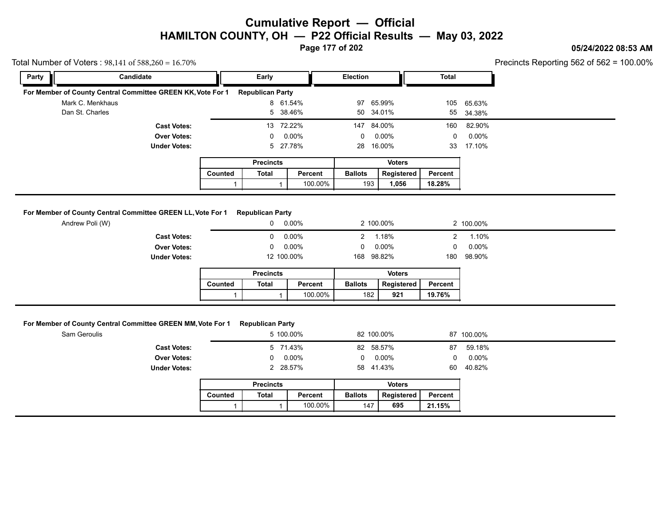**Page 177 of 202**

### **05/24/2022 08:53 AM**

Precincts Reporting 562 of 562 = 100.00%

| Total Number of Voters: $98,141$ of $588,260 = 16.70\%$     |                     |         |                         |           |                |               |         |            | Precincts Reporting 562 of 562 = 1 |
|-------------------------------------------------------------|---------------------|---------|-------------------------|-----------|----------------|---------------|---------|------------|------------------------------------|
| Party                                                       | Candidate           |         | Early                   |           |                | Election      |         |            |                                    |
| For Member of County Central Committee GREEN KK, Vote For 1 |                     |         | <b>Republican Party</b> |           |                |               |         |            |                                    |
| Mark C. Menkhaus                                            |                     |         |                         | 8 61.54%  |                | 97 65.99%     |         | 105 65.63% |                                    |
| Dan St. Charles                                             |                     |         |                         | 5 38.46%  |                | 50 34.01%     |         | 55 34.38%  |                                    |
|                                                             | <b>Cast Votes:</b>  |         |                         | 13 72.22% |                | 147 84.00%    | 160     | 82.90%     |                                    |
|                                                             | <b>Over Votes:</b>  |         | $\Omega$                | 0.00%     | $^{\circ}$     | $0.00\%$      | 0       | $0.00\%$   |                                    |
|                                                             | <b>Under Votes:</b> |         |                         | 5 27.78%  | 28             | 16.00%        | 33      | 17.10%     |                                    |
|                                                             |                     |         | <b>Precincts</b>        |           |                | <b>Voters</b> |         |            |                                    |
|                                                             |                     | Counted | Total                   | Percent   | <b>Ballots</b> | Registered    | Percent |            |                                    |
|                                                             |                     |         |                         | 100.00%   |                | 193<br>1,056  | 18.28%  |            |                                    |
|                                                             |                     |         |                         |           |                |               |         |            |                                    |

### **For Member of County Central Committee GREEN LL, Vote For 1 Republican Party**

|                                                             |         |                         | 100.00%    | 193            | 1,056         | 18.28%  |           |
|-------------------------------------------------------------|---------|-------------------------|------------|----------------|---------------|---------|-----------|
| For Member of County Central Committee GREEN LL, Vote For 1 |         | <b>Republican Party</b> |            |                |               |         |           |
| Andrew Poli (W)                                             |         | $\mathbf 0$             | 0.00%      |                | 2 100.00%     |         | 2 100.00% |
| <b>Cast Votes:</b>                                          |         | $\mathbf{0}$            | $0.00\%$   | $2^{\circ}$    | 1.18%         | 2       | 1.10%     |
| <b>Over Votes:</b>                                          |         | $\mathbf{0}$            | 0.00%      | $\mathbf{0}$   | $0.00\%$      | 0       | $0.00\%$  |
| <b>Under Votes:</b>                                         |         |                         | 12 100.00% |                | 168 98.82%    | 180     | 98.90%    |
|                                                             |         | <b>Precincts</b>        |            |                | <b>Voters</b> |         |           |
|                                                             | Counted | Total                   | Percent    | <b>Ballots</b> | Registered    | Percent |           |
|                                                             |         |                         | 100.00%    | 182            | 921           | 19.76%  |           |

| For Member of County Central Committee GREEN MM, Vote For 1 Republican Party |  |
|------------------------------------------------------------------------------|--|
|                                                                              |  |

| or Member of County Central Committee GREEN MM, Vote For 1 |         | <b>Republican Party</b> |           |                |               |         |            |
|------------------------------------------------------------|---------|-------------------------|-----------|----------------|---------------|---------|------------|
| Sam Geroulis                                               |         |                         | 5 100.00% |                | 82 100.00%    |         | 87 100.00% |
| <b>Cast Votes:</b>                                         |         |                         | 5 71.43%  |                | 82 58.57%     | 87      | 59.18%     |
| <b>Over Votes:</b>                                         |         | $\Omega$                | $0.00\%$  | $\mathbf{0}$   | 0.00%         | 0       | $0.00\%$   |
| <b>Under Votes:</b>                                        |         |                         | 2 28.57%  |                | 58 41.43%     | 60      | 40.82%     |
|                                                            |         | <b>Precincts</b>        |           |                | <b>Voters</b> |         |            |
|                                                            | Counted | <b>Total</b>            | Percent   | <b>Ballots</b> | Registered    | Percent |            |
|                                                            |         |                         | 100.00%   | 147            | 695           | 21.15%  |            |

| <b>Ballots</b><br>Counted<br>Registered<br>Total<br>Percent<br>Percent<br>100.00%<br>21.15%<br>147<br>695 | <b>Precincts</b> |  | Voters |  |
|-----------------------------------------------------------------------------------------------------------|------------------|--|--------|--|
|                                                                                                           |                  |  |        |  |
|                                                                                                           |                  |  |        |  |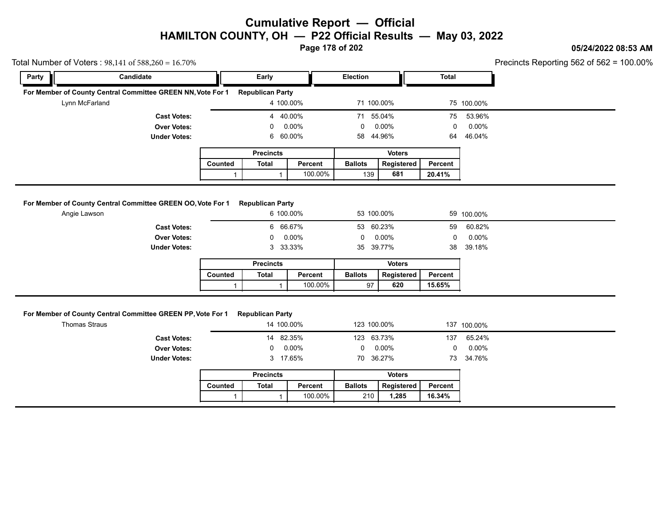**Page 178 of 202**

### **05/24/2022 08:53 AM**

| Party | Candidate                                                                           |              | Early                                 |         | <b>Election</b>           |                   | <b>Total</b>      |                 |  |
|-------|-------------------------------------------------------------------------------------|--------------|---------------------------------------|---------|---------------------------|-------------------|-------------------|-----------------|--|
|       |                                                                                     |              |                                       |         |                           |                   |                   |                 |  |
|       | For Member of County Central Committee GREEN NN, Vote For 1<br>Lynn McFarland       |              | <b>Republican Party</b><br>4 100.00%  |         | 71 100.00%                |                   |                   | 75 100.00%      |  |
|       |                                                                                     |              |                                       |         |                           |                   |                   |                 |  |
|       | <b>Cast Votes:</b>                                                                  |              | 4 40.00%                              |         | 71 55.04%                 |                   | 75                | 53.96%          |  |
|       | <b>Over Votes:</b><br><b>Under Votes:</b>                                           |              | 0<br>6 60.00%                         | 0.00%   | $\mathbf{0}$<br>58 44.96% | 0.00%             | $\Omega$<br>64    | 0.00%<br>46.04% |  |
|       |                                                                                     |              |                                       |         |                           |                   |                   |                 |  |
|       |                                                                                     |              | <b>Precincts</b>                      |         |                           | <b>Voters</b>     |                   |                 |  |
|       |                                                                                     | Counted      | <b>Total</b>                          | Percent | <b>Ballots</b>            | Registered        | Percent           |                 |  |
|       |                                                                                     | $\mathbf{1}$ | $\mathbf{1}$                          | 100.00% | 139                       | 681               | 20.41%            |                 |  |
|       | <b>Under Votes:</b>                                                                 |              | 3 33.33%                              |         | 35 39.77%                 |                   | 38                | 39.18%          |  |
|       |                                                                                     |              |                                       |         |                           |                   |                   |                 |  |
|       |                                                                                     | Counted      | <b>Precincts</b><br><b>Total</b>      | Percent | <b>Ballots</b>            | <b>Voters</b>     |                   |                 |  |
|       |                                                                                     | $\mathbf{1}$ | $\mathbf{1}$                          | 100.00% | 97                        | Registered<br>620 | Percent<br>15.65% |                 |  |
|       | For Member of County Central Committee GREEN PP, Vote For 1<br><b>Thomas Straus</b> |              | <b>Republican Party</b><br>14 100.00% |         | 123 100.00%               |                   |                   | 137 100.00%     |  |
|       | <b>Cast Votes:</b>                                                                  |              | 14 82.35%                             |         | 123 63.73%                |                   | 137               | 65.24%          |  |
|       | <b>Over Votes:</b>                                                                  |              | 0                                     | 0.00%   | 0                         | 0.00%             | $\mathbf 0$       | $0.00\%$        |  |
|       | <b>Under Votes:</b>                                                                 |              | 3 17.65%                              |         | 70 36.27%                 |                   | 73                | 34.76%          |  |
|       |                                                                                     |              | <b>Precincts</b>                      |         |                           | <b>Voters</b>     |                   |                 |  |
|       |                                                                                     | Counted      | <b>Total</b>                          | Percent | <b>Ballots</b>            | Registered        | Percent           |                 |  |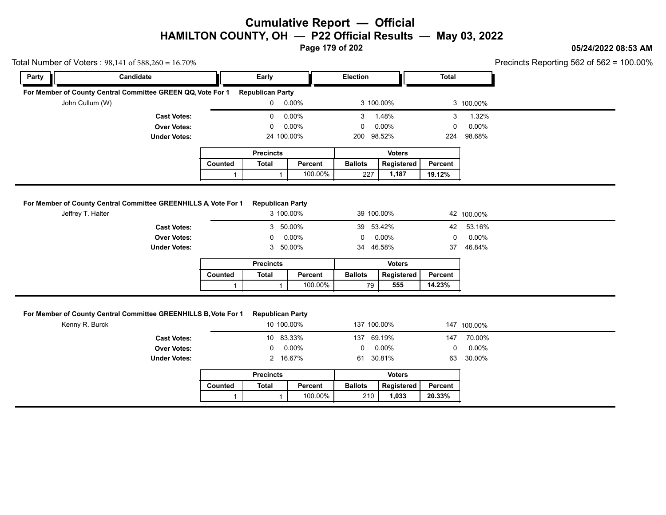**Page 179 of 202**

### **05/24/2022 08:53 AM**

100.00%

| Total Number of Voters: $98,141$ of $588,260 = 16.70\%$ |                                                                 |              |                                       |         |                 |                             |              |                 |  |
|---------------------------------------------------------|-----------------------------------------------------------------|--------------|---------------------------------------|---------|-----------------|-----------------------------|--------------|-----------------|--|
| Party                                                   | Candidate                                                       |              | Early                                 |         | <b>Election</b> |                             | <b>Total</b> |                 |  |
|                                                         | For Member of County Central Committee GREEN QQ, Vote For 1     |              | <b>Republican Party</b>               |         |                 |                             |              |                 |  |
| John Cullum (W)                                         |                                                                 |              | $0 0.00\%$                            |         | 3 100.00%       |                             |              | 3 100.00%       |  |
|                                                         | <b>Cast Votes:</b>                                              |              | 0                                     | 0.00%   | 3               | 1.48%                       | 3            | 1.32%           |  |
|                                                         | <b>Over Votes:</b>                                              |              | 0                                     | 0.00%   | 0               | 0.00%                       | 0            | 0.00%           |  |
|                                                         | <b>Under Votes:</b>                                             |              | 24 100.00%                            |         | 200 98.52%      |                             | 224          | 98.68%          |  |
|                                                         |                                                                 |              | <b>Precincts</b>                      |         |                 | <b>Voters</b>               |              |                 |  |
|                                                         |                                                                 | Counted      | <b>Total</b>                          | Percent | <b>Ballots</b>  | Registered                  | Percent      |                 |  |
|                                                         |                                                                 | $\mathbf{1}$ | $\mathbf{1}$                          | 100.00% | 227             | 1,187                       | 19.12%       |                 |  |
| Jeffrey T. Halter                                       | <b>Cast Votes:</b>                                              |              | 3 100.00%<br>3 50.00%                 |         | 39 53.42%       |                             | 42           | 53.16%          |  |
|                                                         | <b>Over Votes:</b>                                              |              | 0                                     | 0.00%   | 0               | 0.00%                       | 0            | 0.00%           |  |
|                                                         | <b>Under Votes:</b>                                             |              | 3                                     | 50.00%  | 34              | 46.58%                      | 37           | 46.84%          |  |
|                                                         |                                                                 |              | <b>Precincts</b>                      |         |                 | <b>Voters</b>               |              |                 |  |
|                                                         |                                                                 | Counted      | <b>Total</b>                          | Percent | <b>Ballots</b>  | Registered                  | Percent      |                 |  |
|                                                         |                                                                 | $\mathbf{1}$ | $\mathbf{1}$                          | 100.00% | 79              | 555                         | 14.23%       |                 |  |
| Kenny R. Burck                                          | For Member of County Central Committee GREENHILLS B, Vote For 1 |              | <b>Republican Party</b><br>10 100.00% |         | 137 100.00%     |                             |              | 147 100.00%     |  |
|                                                         | <b>Cast Votes:</b>                                              |              | 10 83.33%<br>0                        |         | 137 69.19%<br>0 |                             | 147<br>0     | 70.00%          |  |
|                                                         | <b>Over Votes:</b><br><b>Under Votes:</b>                       |              | 2 16.67%                              | 0.00%   | 61 30.81%       | 0.00%                       | 63           | 0.00%<br>30.00% |  |
|                                                         |                                                                 |              |                                       |         |                 |                             |              |                 |  |
|                                                         |                                                                 | Counted      | <b>Precincts</b><br><b>Total</b>      | Percent | <b>Ballots</b>  | <b>Voters</b><br>Registered | Percent      |                 |  |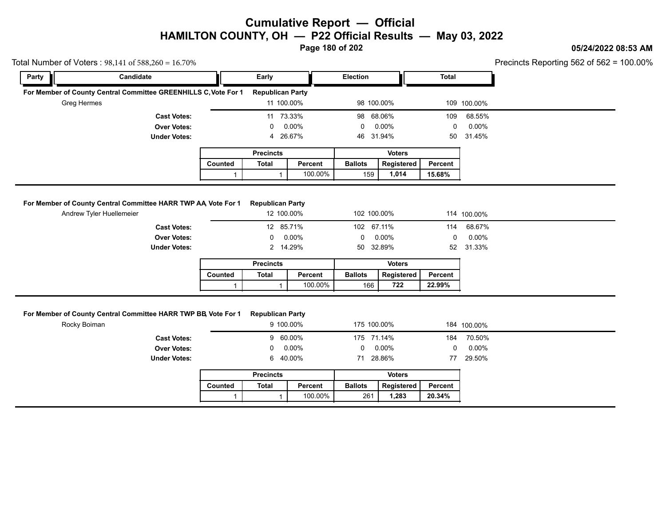**Page 180 of 202**

### **05/24/2022 08:53 AM**

Precincts Reporting 562 of 562 = 100.00%

|             | Total Number of Voters : $98,141$ of $588,260 = 16.70\%$        |         |                                       |          |                             |               |                |                              | Precincts Reporting 562 of 562 = |
|-------------|-----------------------------------------------------------------|---------|---------------------------------------|----------|-----------------------------|---------------|----------------|------------------------------|----------------------------------|
| Party       | Candidate                                                       |         | Early                                 |          | <b>Election</b>             |               | Total          |                              |                                  |
| Greg Hermes | For Member of County Central Committee GREENHILLS C, Vote For 1 |         | <b>Republican Party</b><br>11 100.00% |          | 98 100.00%                  |               |                | 109 100.00%                  |                                  |
|             | <b>Cast Votes:</b><br><b>Over Votes:</b><br><b>Under Votes:</b> |         | 11 73.33%<br>0<br>4 26.67%            | $0.00\%$ | 98 68.06%<br>0<br>46 31.94% | $0.00\%$      | 109<br>0<br>50 | 68.55%<br>$0.00\%$<br>31.45% |                                  |
|             |                                                                 |         | <b>Precincts</b>                      |          |                             | <b>Voters</b> |                |                              |                                  |
|             |                                                                 | Counted | Total                                 | Percent  | <b>Ballots</b>              | Registered    | Percent        |                              |                                  |
|             |                                                                 |         |                                       | 100.00%  | 159                         | 1,014         | 15.68%         |                              |                                  |
|             | For Member of County Central Committee HARR TWP AA, Vote For 1  |         | <b>Republican Party</b>               |          |                             |               |                |                              |                                  |

|                | <b>Republican Party</b> |               |         |             |
|----------------|-------------------------|---------------|---------|-------------|
|                |                         |               |         |             |
|                | 12 100.00%              | 102 100.00%   |         | 114 100.00% |
|                | 12 85.71%               | 102 67.11%    | 114     | 68.67%      |
| $\mathbf{0}$   | 0.00%                   | $0.00\%$      | 0       | $0.00\%$    |
|                | 2 14.29%                | 50 32.89%     | 52      | 31.33%      |
|                | <b>Precincts</b>        | <b>Voters</b> |         |             |
|                | <b>Percent</b>          | Registered    | Percent |             |
| <b>Ballots</b> |                         | 722           | 22.99%  |             |
|                |                         | 100.00%       | 166     |             |

#### **For Member of County Central Committee HARR TWP BB, Vote For 1 Republican Party**

|                                                            |         |                         | 100.00%  | 166            | 722           | 22.99%  |             |
|------------------------------------------------------------|---------|-------------------------|----------|----------------|---------------|---------|-------------|
|                                                            |         |                         |          |                |               |         |             |
| lember of County Central Committee HARR TWP BB, Vote For 1 |         | <b>Republican Party</b> |          |                |               |         |             |
| Rocky Boiman                                               |         | 9 100.00%               |          | 175 100 00%    |               |         | 184 100.00% |
| <b>Cast Votes:</b>                                         |         | 9 60.00%                |          | 175 71.14%     |               | 184     | 70.50%      |
| <b>Over Votes:</b>                                         |         | 0                       | $0.00\%$ | $\mathbf 0$    | $0.00\%$      | 0       | $0.00\%$    |
| <b>Under Votes:</b>                                        |         | 6 40.00%                |          |                | 71 28.86%     | 77      | 29.50%      |
|                                                            |         | <b>Precincts</b>        |          |                | <b>Voters</b> |         |             |
|                                                            | Counted | <b>Total</b>            | Percent  | <b>Ballots</b> | Registered    | Percent |             |
|                                                            |         |                         | 100.00%  | 261            | 1,283         | 20.34%  |             |
|                                                            |         |                         |          |                |               |         |             |

| <b>Ballots</b><br><b>Total</b><br>Counted<br>Reaistered<br>Percent<br>Percent<br>100.00%<br>. 283<br>261<br>20.34% |  | Precincts |  | voters |  |
|--------------------------------------------------------------------------------------------------------------------|--|-----------|--|--------|--|
|                                                                                                                    |  |           |  |        |  |
|                                                                                                                    |  |           |  |        |  |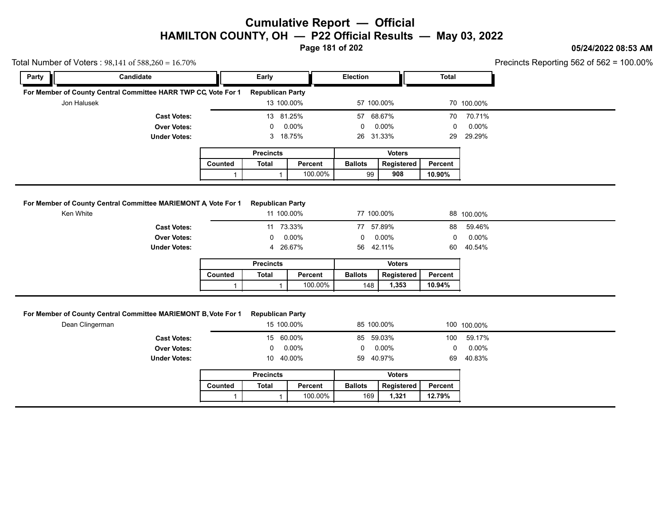**Page 181 of 202**

### **05/24/2022 08:53 AM**

| Party       | Candidate                                                                         |              | Early                                 |                    | Election              |                         | <b>Total</b>      |             |
|-------------|-----------------------------------------------------------------------------------|--------------|---------------------------------------|--------------------|-----------------------|-------------------------|-------------------|-------------|
|             |                                                                                   |              |                                       |                    |                       |                         |                   |             |
|             | For Member of County Central Committee HARR TWP CC, Vote For 1                    |              | <b>Republican Party</b>               |                    |                       |                         |                   |             |
| Jon Halusek |                                                                                   |              | 13 100.00%                            |                    | 57 100.00%            |                         |                   | 70 100.00%  |
|             | <b>Cast Votes:</b>                                                                |              | 13 81.25%                             |                    | 57 68.67%             |                         | 70                | 70.71%      |
|             | <b>Over Votes:</b>                                                                |              | 0                                     | 0.00%              | 0                     | $0.00\%$                | 0                 | 0.00%       |
|             | <b>Under Votes:</b>                                                               |              | 3                                     | 18.75%             | 26 31.33%             |                         | 29                | 29.29%      |
|             |                                                                                   |              | <b>Precincts</b>                      |                    |                       | <b>Voters</b>           |                   |             |
|             |                                                                                   | Counted      | <b>Total</b>                          | Percent            | <b>Ballots</b>        | Registered              | Percent           |             |
|             |                                                                                   | $\mathbf{1}$ | $\mathbf{1}$                          | 100.00%            | 99                    | 908                     | 10.90%            |             |
|             | <b>Under Votes:</b>                                                               |              | 4 26.67%<br><b>Precincts</b>          |                    | 56                    | 42.11%<br><b>Voters</b> | 60                | 40.54%      |
|             |                                                                                   | Counted      | <b>Total</b>                          | Percent            | <b>Ballots</b>        | Registered              | Percent           |             |
|             |                                                                                   | $\mathbf{1}$ | $\mathbf{1}$                          | 100.00%            | 148                   | 1,353                   | 10.94%            |             |
|             | For Member of County Central Committee MARIEMONT B, Vote For 1<br>Dean Clingerman |              | <b>Republican Party</b><br>15 100.00% |                    | 85 100.00%            |                         |                   | 100 100.00% |
|             |                                                                                   |              | 15                                    | 60.00%<br>0.00%    | 85                    | 59.03%                  | 100               | 59.17%      |
|             | <b>Cast Votes:</b>                                                                |              |                                       |                    | 0                     | $0.00\%$                | 0                 | 0.00%       |
|             | <b>Over Votes:</b>                                                                |              | 0                                     |                    |                       |                         |                   |             |
|             | <b>Under Votes:</b>                                                               |              | 10 40.00%                             |                    | 59                    | 40.97%                  | 69                | 40.83%      |
|             |                                                                                   |              | <b>Precincts</b>                      |                    |                       | <b>Voters</b>           |                   |             |
|             |                                                                                   | Counted      | <b>Total</b>                          | Percent<br>100.00% | <b>Ballots</b><br>169 | Registered<br>1,321     | Percent<br>12.79% |             |

|                | <b>Precincts</b> |         | Voters         |            |         |  |
|----------------|------------------|---------|----------------|------------|---------|--|
| <b>Counted</b> | Total            | Percent | <b>Ballots</b> | Reaistered | Percent |  |
|                |                  | 100.00% | 169            | 1.321      | 12.79%  |  |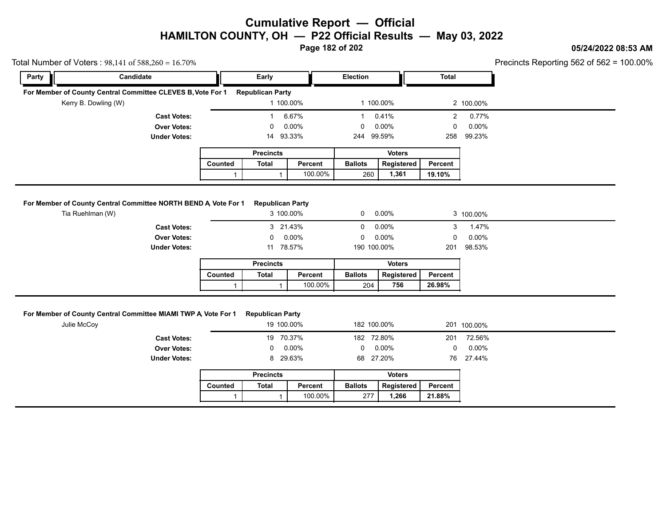**Page 182 of 202**

### **05/24/2022 08:53 AM**

| Total Number of Voters: $98,141$ of $588,260 = 16.70\%$ |                                                                 |              |                                       |         |                    |               |                |                    | Precincts Reporting 562 of 562 = 1 |
|---------------------------------------------------------|-----------------------------------------------------------------|--------------|---------------------------------------|---------|--------------------|---------------|----------------|--------------------|------------------------------------|
| Party                                                   | Candidate                                                       |              | Early                                 |         | <b>Election</b>    |               | <b>Total</b>   |                    |                                    |
|                                                         | For Member of County Central Committee CLEVES B, Vote For 1     |              | <b>Republican Party</b>               |         |                    |               |                |                    |                                    |
| Kerry B. Dowling (W)                                    |                                                                 |              | 1 100.00%                             |         | 1 100.00%          |               |                | 2 100.00%          |                                    |
|                                                         | <b>Cast Votes:</b>                                              |              | -1                                    | 6.67%   | -1                 | 0.41%         | $\overline{2}$ | 0.77%              |                                    |
|                                                         | <b>Over Votes:</b>                                              |              | 0                                     | 0.00%   | 0                  | 0.00%         | 0              | $0.00\%$           |                                    |
|                                                         | <b>Under Votes:</b>                                             |              | 14 93.33%                             |         | 244 99.59%         |               | 258            | 99.23%             |                                    |
|                                                         |                                                                 |              | <b>Precincts</b>                      |         |                    | <b>Voters</b> |                |                    |                                    |
|                                                         |                                                                 | Counted      | <b>Total</b>                          | Percent | <b>Ballots</b>     | Registered    | Percent        |                    |                                    |
|                                                         |                                                                 | $\mathbf{1}$ |                                       | 100.00% | 260                | 1,361         | 19.10%         |                    |                                    |
|                                                         | For Member of County Central Committee NORTH BEND A, Vote For 1 |              | <b>Republican Party</b>               |         |                    |               |                |                    |                                    |
|                                                         |                                                                 |              |                                       |         |                    |               |                |                    |                                    |
| Tia Ruehlman (W)                                        |                                                                 |              | 3 100.00%                             |         | $\mathbf{0}$       | $0.00\%$      |                | 3 100.00%          |                                    |
|                                                         |                                                                 |              |                                       |         |                    |               |                |                    |                                    |
|                                                         | <b>Cast Votes:</b>                                              |              | 3 21.43%                              |         | 0                  | $0.00\%$      | 3              | 1.47%              |                                    |
|                                                         | <b>Over Votes:</b>                                              |              | 0                                     | 0.00%   | 0                  | $0.00\%$      | $\Omega$       | 0.00%              |                                    |
|                                                         | <b>Under Votes:</b>                                             |              | 11 78.57%                             |         | 190 100.00%        |               | 201            | 98.53%             |                                    |
|                                                         |                                                                 |              | <b>Precincts</b>                      |         |                    | <b>Voters</b> |                |                    |                                    |
|                                                         |                                                                 | Counted      | <b>Total</b>                          | Percent | <b>Ballots</b>     | Registered    | Percent        |                    |                                    |
|                                                         |                                                                 |              |                                       |         |                    |               |                |                    |                                    |
| Julie McCoy                                             | For Member of County Central Committee MIAMI TWP A, Vote For 1  | $\mathbf{1}$ | <b>Republican Party</b><br>19 100.00% | 100.00% | 204<br>182 100.00% | 756           | 26.98%         | 201 100.00%        |                                    |
|                                                         |                                                                 |              |                                       |         |                    |               |                |                    |                                    |
|                                                         | <b>Cast Votes:</b>                                              |              | 19<br>0                               | 70.37%  | 182 72.80%<br>0    |               | 201<br>0       | 72.56%             |                                    |
|                                                         | <b>Over Votes:</b><br><b>Under Votes:</b>                       |              | 8 29.63%                              | 0.00%   | 68 27.20%          | $0.00\%$      | 76             | $0.00\%$<br>27.44% |                                    |
|                                                         |                                                                 |              | <b>Precincts</b>                      |         |                    | <b>Voters</b> |                |                    |                                    |
|                                                         |                                                                 | Counted      | <b>Total</b>                          | Percent | <b>Ballots</b>     | Registered    | <b>Percent</b> |                    |                                    |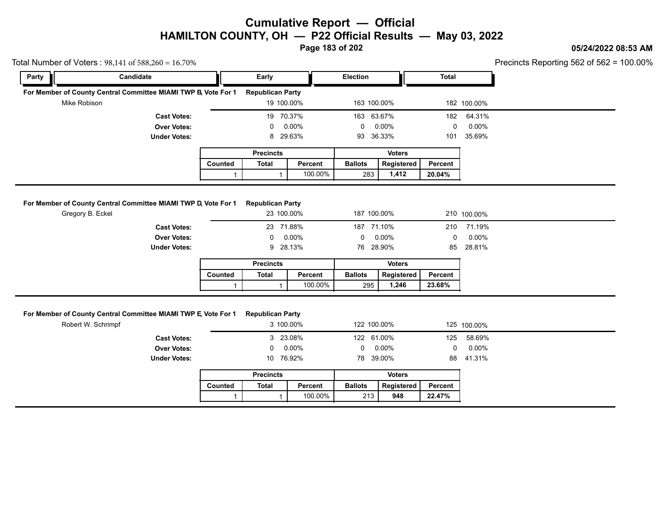**Page 183 of 202**

#### **05/24/2022 08:53 AM**

Precincts Reporting 562 of 562 = 100.00%

| Party | Candidate                                                                            |              | Early                                |         | <b>Election</b> |               | <b>Total</b> |             |
|-------|--------------------------------------------------------------------------------------|--------------|--------------------------------------|---------|-----------------|---------------|--------------|-------------|
|       |                                                                                      |              |                                      |         |                 |               |              |             |
|       | For Member of County Central Committee MIAMI TWP B, Vote For 1                       |              | <b>Republican Party</b>              |         |                 |               |              |             |
|       | Mike Robison                                                                         |              | 19 100.00%                           |         | 163 100.00%     |               |              | 182 100.00% |
|       | <b>Cast Votes:</b>                                                                   |              | 19 70.37%                            |         | 163 63.67%      |               | 182          | 64.31%      |
|       | <b>Over Votes:</b>                                                                   |              | 0                                    | 0.00%   | $\Omega$        | 0.00%         | $\mathbf 0$  | $0.00\%$    |
|       | <b>Under Votes:</b>                                                                  |              | 8 29.63%                             |         | 93 36.33%       |               | 101          | 35.69%      |
|       |                                                                                      |              | <b>Precincts</b>                     |         |                 | <b>Voters</b> |              |             |
|       |                                                                                      | Counted      | <b>Total</b>                         | Percent | <b>Ballots</b>  | Registered    | Percent      |             |
|       |                                                                                      | $\mathbf{1}$ | $\mathbf{1}$                         | 100.00% | 283             | 1,412         | 20.04%       |             |
|       | <b>Under Votes:</b>                                                                  |              | 9 28.13%                             |         | 76 28.90%       |               | 85           | 28.81%      |
|       |                                                                                      |              | <b>Precincts</b>                     |         |                 | <b>Voters</b> |              |             |
|       |                                                                                      | Counted      | <b>Total</b>                         | Percent | <b>Ballots</b>  | Registered    | Percent      |             |
|       |                                                                                      |              |                                      |         |                 |               |              |             |
|       |                                                                                      | $\mathbf{1}$ | $\mathbf{1}$                         | 100.00% | 295             | 1,246         | 23.68%       |             |
|       | For Member of County Central Committee MIAMI TWP E, Vote For 1<br>Robert W. Schrimpf |              | <b>Republican Party</b><br>3 100.00% |         | 122 100.00%     |               |              | 125 100.00% |
|       | <b>Cast Votes:</b>                                                                   |              | 3 23.08%                             |         | 122 61.00%      |               | 125          | 58.69%      |
|       | <b>Over Votes:</b>                                                                   |              | 0                                    | 0.00%   | 0               | 0.00%         | 0            | 0.00%       |
|       | <b>Under Votes:</b>                                                                  |              | 10 76.92%                            |         | 78 39.00%       |               | 88           | 41.31%      |
|       |                                                                                      |              | <b>Precincts</b>                     |         |                 | <b>Voters</b> |              |             |
|       |                                                                                      | Counted      | <b>Total</b>                         | Percent | <b>Ballots</b>  | Registered    | Percent      |             |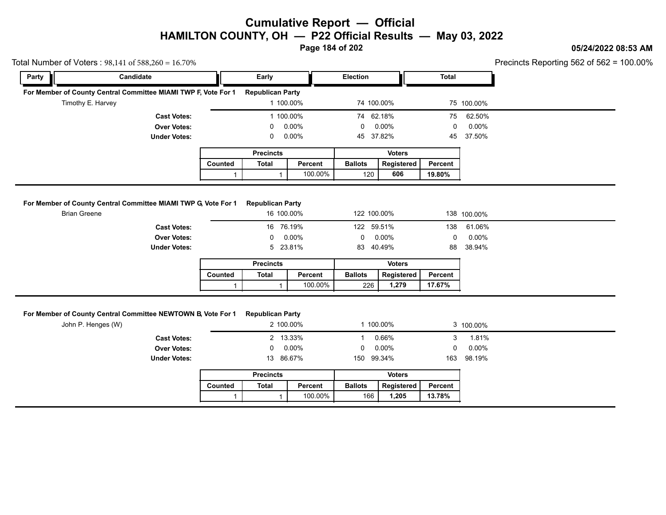**Page 184 of 202**

### **05/24/2022 08:53 AM**

|       | Total Number of Voters: $98,141$ of $588,260 = 16.70\%$                            |              |                         |           |                |               |         | Precincts Reporting 562 of 562 = 1 |
|-------|------------------------------------------------------------------------------------|--------------|-------------------------|-----------|----------------|---------------|---------|------------------------------------|
| Party | Candidate                                                                          |              | Early                   |           | Election       |               | Total   |                                    |
|       | For Member of County Central Committee MIAMI TWP F, Vote For 1                     |              | <b>Republican Party</b> |           |                |               |         |                                    |
|       | Timothy E. Harvey                                                                  |              | 1 100.00%               |           | 74 100.00%     |               |         | 75 100.00%                         |
|       | <b>Cast Votes:</b>                                                                 |              | 1 100.00%               |           | 74 62.18%      |               | 75      | 62.50%                             |
|       | <b>Over Votes:</b>                                                                 |              | 0                       | 0.00%     | 0              | 0.00%         | 0       | 0.00%                              |
|       | <b>Under Votes:</b>                                                                |              | 0                       | 0.00%     | 45             | 37.82%        | 45      | 37.50%                             |
|       |                                                                                    |              | <b>Precincts</b>        |           |                | <b>Voters</b> |         |                                    |
|       |                                                                                    | Counted      | <b>Total</b>            | Percent   | <b>Ballots</b> | Registered    | Percent |                                    |
|       |                                                                                    | $\mathbf{1}$ | 1                       | 100.00%   | 120            | 606           | 19.80%  |                                    |
|       | <b>Under Votes:</b>                                                                |              | 5                       | 23.81%    | 83             | 40.49%        | 88      | 38.94%                             |
|       |                                                                                    |              | <b>Precincts</b>        |           |                | <b>Voters</b> |         |                                    |
|       |                                                                                    | Counted      | <b>Total</b>            | Percent   | <b>Ballots</b> | Registered    | Percent |                                    |
|       |                                                                                    | $\mathbf{1}$ | 1                       | 100.00%   | 226            | 1,279         | 17.67%  |                                    |
|       | For Member of County Central Committee NEWTOWN B, Vote For 1<br>John P. Henges (W) |              | <b>Republican Party</b> | 2 100.00% | 1 100.00%      |               |         | 3 100.00%                          |
|       | <b>Cast Votes:</b>                                                                 |              |                         | 2 13.33%  | $\mathbf{1}$   | 0.66%         | 3       | 1.81%                              |
|       | <b>Over Votes:</b>                                                                 |              | 0                       | 0.00%     | $\mathbf{0}$   | $0.00\%$      | 0       | $0.00\%$                           |
|       | <b>Under Votes:</b>                                                                |              | 13 86.67%               |           | 150 99.34%     |               | 163     | 98.19%                             |
|       |                                                                                    |              | <b>Precincts</b>        |           |                | <b>Voters</b> |         |                                    |
|       |                                                                                    | Counted      | <b>Total</b>            | Percent   | <b>Ballots</b> | Registered    | Percent |                                    |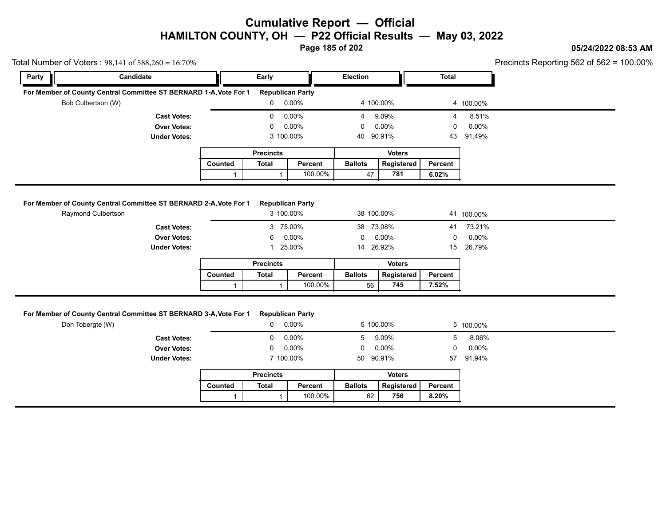**Page 185 of 202**

### **05/24/2022 08:53 AM**

| Total Number of Voters: $98,141$ of $588,260 = 16.70\%$ |                                                                   |              |                                      |         |                |                             |              |                 | Precincts Reporting 562 of 562 = 1 |
|---------------------------------------------------------|-------------------------------------------------------------------|--------------|--------------------------------------|---------|----------------|-----------------------------|--------------|-----------------|------------------------------------|
| Party                                                   | Candidate                                                         |              | Early                                |         | Election       |                             | <b>Total</b> |                 |                                    |
|                                                         | For Member of County Central Committee ST BERNARD 1-A, Vote For 1 |              | <b>Republican Party</b>              |         |                |                             |              |                 |                                    |
| Bob Culbertson (W)                                      |                                                                   |              | $0 0.00\%$                           |         | 4 100.00%      |                             |              | 4 100.00%       |                                    |
|                                                         | <b>Cast Votes:</b>                                                |              | 0                                    | 0.00%   | 4              | 9.09%                       | 4            | 8.51%           |                                    |
|                                                         | <b>Over Votes:</b>                                                |              | $\mathbf 0$                          | 0.00%   | 0              | 0.00%                       | 0            | 0.00%           |                                    |
|                                                         | <b>Under Votes:</b>                                               |              | 3 100.00%                            |         | 40             | 90.91%                      | 43           | 91.49%          |                                    |
|                                                         |                                                                   |              | <b>Precincts</b>                     |         |                | <b>Voters</b>               |              |                 |                                    |
|                                                         |                                                                   | Counted      | Total                                | Percent | <b>Ballots</b> | Registered                  | Percent      |                 |                                    |
|                                                         |                                                                   | $\mathbf{1}$ | $\mathbf{1}$                         | 100.00% | 47             | 781                         | 6.02%        |                 |                                    |
| Raymond Culbertson                                      | For Member of County Central Committee ST BERNARD 2-A, Vote For 1 |              | <b>Republican Party</b><br>3 100.00% |         | 38 100.00%     |                             |              | 41 100.00%      |                                    |
|                                                         |                                                                   |              |                                      |         | 38 73.08%      |                             | 41           | 73.21%          |                                    |
|                                                         |                                                                   |              |                                      |         |                |                             |              |                 |                                    |
|                                                         | <b>Cast Votes:</b>                                                |              | 3 75.00%                             |         |                |                             |              |                 |                                    |
|                                                         | <b>Over Votes:</b><br><b>Under Votes:</b>                         |              | 0<br>1 25.00%                        | 0.00%   | 0<br>14 26.92% | 0.00%                       | 0<br>15      | 0.00%<br>26.79% |                                    |
|                                                         |                                                                   |              |                                      |         |                | <b>Voters</b>               |              |                 |                                    |
|                                                         |                                                                   | Counted      | <b>Precincts</b><br><b>Total</b>     | Percent | <b>Ballots</b> | Registered                  | Percent      |                 |                                    |
|                                                         |                                                                   | $\mathbf{1}$ | $\mathbf{1}$                         | 100.00% | 56             | 745                         | 7.52%        |                 |                                    |
| Don Tobergte (W)                                        | For Member of County Central Committee ST BERNARD 3-A, Vote For 1 |              | <b>Republican Party</b><br>0         | 0.00%   | 5 100.00%      |                             |              | 5 100.00%       |                                    |
|                                                         | <b>Cast Votes:</b>                                                |              | 0                                    | 0.00%   | 5              | 9.09%                       | 5            | 8.06%           |                                    |
|                                                         | <b>Over Votes:</b><br><b>Under Votes:</b>                         |              | 0<br>7 100.00%                       | 0.00%   | 0<br>50        | 0.00%<br>90.91%             | 0<br>57      | 0.00%<br>91.94% |                                    |
|                                                         |                                                                   |              |                                      |         |                |                             |              |                 |                                    |
|                                                         |                                                                   | Counted      | <b>Precincts</b><br><b>Total</b>     | Percent | <b>Ballots</b> | <b>Voters</b><br>Registered | Percent      |                 |                                    |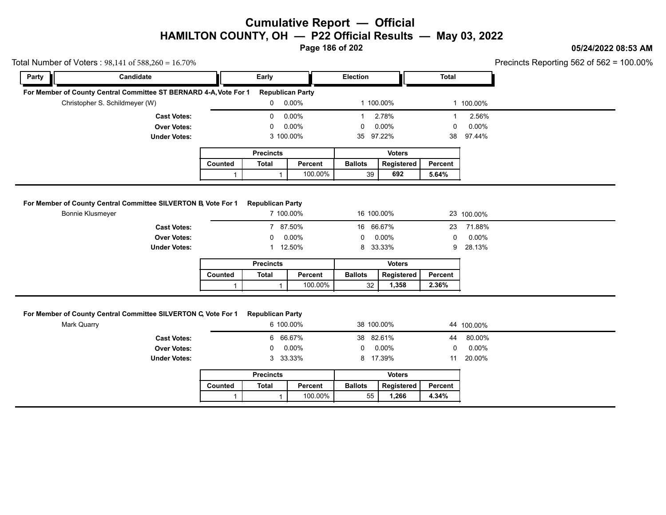**Page 186 of 202**

### **05/24/2022 08:53 AM**

Precincts Reporting 562 of 562 = 100.00%

|       | Total Number of Voters: $98,141$ of $588,260 = 16.70\%$                            |         |                                      |          |                 |                   |                |            | Precincts Reporting 562 of 562 = 1 |
|-------|------------------------------------------------------------------------------------|---------|--------------------------------------|----------|-----------------|-------------------|----------------|------------|------------------------------------|
| Party | Candidate                                                                          |         | Early                                |          | <b>Election</b> |                   | <b>Total</b>   |            |                                    |
|       | For Member of County Central Committee ST BERNARD 4-A, Vote For 1                  |         | <b>Republican Party</b>              |          |                 |                   |                |            |                                    |
|       | Christopher S. Schildmeyer (W)                                                     |         | 0                                    | $0.00\%$ | 1 100.00%       |                   |                | 1 100.00%  |                                    |
|       | <b>Cast Votes:</b>                                                                 |         | $\mathbf{0}$                         | 0.00%    |                 | 2.78%             |                | 2.56%      |                                    |
|       | <b>Over Votes:</b>                                                                 |         | 0                                    | 0.00%    | 0               | $0.00\%$          | 0              | $0.00\%$   |                                    |
|       | <b>Under Votes:</b>                                                                |         | 3 100.00%                            |          | 35              | 97.22%            | 38             | 97.44%     |                                    |
|       |                                                                                    |         | <b>Precincts</b>                     |          |                 | <b>Voters</b>     |                |            |                                    |
|       |                                                                                    | Counted | <b>Total</b>                         | Percent  | <b>Ballots</b>  | Registered        | <b>Percent</b> |            |                                    |
|       |                                                                                    |         |                                      |          |                 |                   |                |            |                                    |
|       |                                                                                    |         |                                      | 100.00%  | 39              | 692               | 5.64%          |            |                                    |
|       | For Member of County Central Committee SILVERTON B, Vote For 1<br>Bonnie Klusmeyer |         | <b>Republican Party</b><br>7 100.00% |          | 16 100.00%      |                   |                | 23 100.00% |                                    |
|       | <b>Cast Votes:</b>                                                                 |         | 7 87.50%                             |          | 16              | 66.67%            | 23             | 71.88%     |                                    |
|       | <b>Over Votes:</b>                                                                 |         | $\Omega$                             | $0.00\%$ | $\Omega$        | $0.00\%$          | 0              | $0.00\%$   |                                    |
|       | <b>Under Votes:</b>                                                                |         |                                      | 12.50%   | 8               | 33.33%            | 9              | 28.13%     |                                    |
|       |                                                                                    |         | <b>Precincts</b>                     |          |                 | <b>Voters</b>     |                |            |                                    |
|       |                                                                                    | Counted | <b>Total</b>                         | Percent  | <b>Ballots</b>  | <b>Registered</b> | Percent        |            |                                    |

#### **For Member of County Central Committee SILVERTON C, Vote For 1 Republican Party**

|         |                                                    | 100.00% | 32                                                                       | 1,358         | 2.36%                                        |            |
|---------|----------------------------------------------------|---------|--------------------------------------------------------------------------|---------------|----------------------------------------------|------------|
|         |                                                    |         |                                                                          |               |                                              |            |
|         |                                                    |         |                                                                          |               |                                              |            |
|         |                                                    |         |                                                                          |               |                                              | 44 100.00% |
|         |                                                    |         |                                                                          |               | 44                                           | 80.00%     |
|         | $\mathbf 0$                                        |         | 0                                                                        |               | 0                                            | $0.00\%$   |
|         |                                                    |         |                                                                          |               | 11                                           | 20.00%     |
|         | <b>Precincts</b>                                   |         |                                                                          | <b>Voters</b> |                                              |            |
| Counted | <b>Total</b>                                       | Percent | <b>Ballots</b>                                                           | Registered    | Percent                                      |            |
|         |                                                    | 100.00% | 55                                                                       | 1,266         | 4.34%                                        |            |
|         | of County Central Committee SILVERTON C Vote For 1 |         | <b>Republican Party</b><br>6 100.00%<br>6 66.67%<br>$0.00\%$<br>3 33.33% |               | 38 100.00%<br>38 82.61%<br>0.00%<br>8 17.39% |            |

|         | <b>Precincts</b> |         | Voters         |            |         |  |
|---------|------------------|---------|----------------|------------|---------|--|
| Counted | Total            | Percent | <b>Ballots</b> | Reaistered | Percent |  |
|         |                  | 100.00% | 55             | .266       | 4.34%   |  |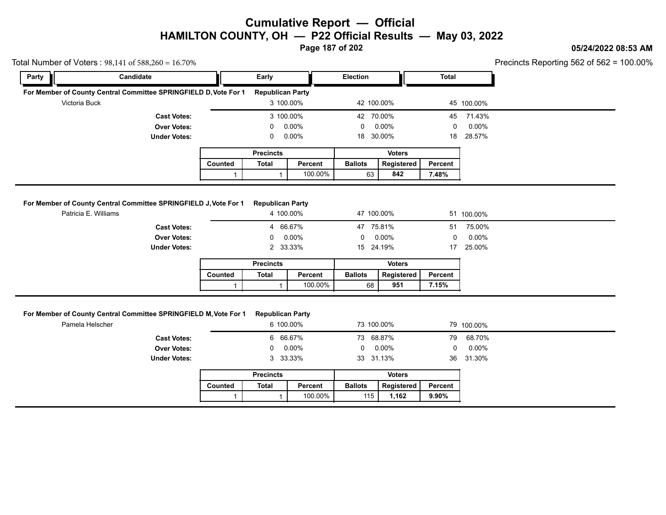**Page 187 of 202**

### **05/24/2022 08:53 AM**

|               | Total Number of Voters: $98,141$ of $588,260 = 16.70\%$<br>Candidate |              |                                  |         | Election       |                             | <b>Total</b>   | Precincts Reporting 562 of 562 = 1 |  |
|---------------|----------------------------------------------------------------------|--------------|----------------------------------|---------|----------------|-----------------------------|----------------|------------------------------------|--|
| Party         |                                                                      |              | Early                            |         |                |                             |                |                                    |  |
|               | For Member of County Central Committee SPRINGFIELD D, Vote For 1     |              | <b>Republican Party</b>          |         |                |                             |                |                                    |  |
| Victoria Buck |                                                                      |              | 3 100.00%                        |         | 42 100.00%     |                             |                | 45 100.00%                         |  |
|               | <b>Cast Votes:</b>                                                   |              | 3 100.00%                        |         | 42 70.00%      |                             | 45             | 71.43%                             |  |
|               | <b>Over Votes:</b>                                                   |              | 0                                | 0.00%   | $\mathbf{0}$   | 0.00%                       | 0              | 0.00%                              |  |
|               | <b>Under Votes:</b>                                                  |              | 0                                | 0.00%   | 18 30.00%      |                             | 18             | 28.57%                             |  |
|               |                                                                      |              | <b>Precincts</b>                 |         |                | <b>Voters</b>               |                |                                    |  |
|               |                                                                      | Counted      | <b>Total</b>                     | Percent | <b>Ballots</b> | Registered                  | Percent        |                                    |  |
|               |                                                                      |              | $\mathbf{1}$                     | 100.00% | 63             | 842                         | 7.48%          |                                    |  |
|               | <b>Cast Votes:</b><br><b>Over Votes:</b>                             |              | 4 66.67%<br>0                    | 0.00%   | 47 75.81%<br>0 | 0.00%                       | 51<br>0        | 75.00%<br>0.00%                    |  |
|               | <b>Under Votes:</b>                                                  |              | 2 33.33%                         |         | 15 24.19%      |                             | 17             | 25.00%                             |  |
|               |                                                                      |              | <b>Precincts</b>                 |         |                | <b>Voters</b>               |                |                                    |  |
|               |                                                                      | Counted      | <b>Total</b>                     | Percent | <b>Ballots</b> | Registered                  | Percent        |                                    |  |
|               |                                                                      | $\mathbf{1}$ | $\mathbf{1}$                     | 100.00% | 68             | 951                         | 7.15%          |                                    |  |
|               |                                                                      |              |                                  |         |                |                             |                |                                    |  |
|               | For Member of County Central Committee SPRINGFIELD M, Vote For 1     |              | <b>Republican Party</b>          |         |                |                             |                |                                    |  |
|               | Pamela Helscher                                                      |              | 6 100.00%                        |         | 73 100.00%     |                             |                | 79 100.00%                         |  |
|               | <b>Cast Votes:</b>                                                   |              | 6 66.67%                         |         | 73 68.87%      |                             | 79             | 68.70%                             |  |
|               | <b>Over Votes:</b><br><b>Under Votes:</b>                            |              | 0<br>3 33.33%                    | 0.00%   | 0<br>33 31.13% | 0.00%                       | $\Omega$<br>36 | 0.00%<br>31.30%                    |  |
|               |                                                                      |              |                                  |         |                |                             |                |                                    |  |
|               |                                                                      | Counted      | <b>Precincts</b><br><b>Total</b> | Percent | <b>Ballots</b> | <b>Voters</b><br>Registered | Percent        |                                    |  |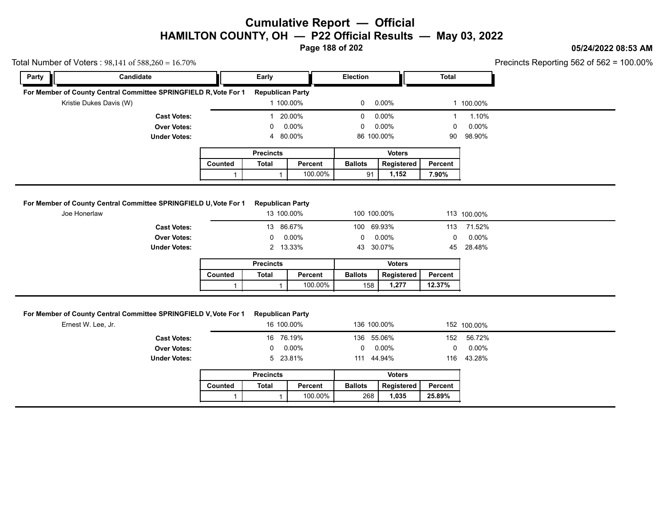**Page 188 of 202**

### **05/24/2022 08:53 AM**

Precincts Reporting 562 of 562 = 100.00%

| Party        | Candidate                                                                                                                          |                         | Early                                                   |                    | Election                       |                     | <b>Total</b>      |                                |  |
|--------------|------------------------------------------------------------------------------------------------------------------------------------|-------------------------|---------------------------------------------------------|--------------------|--------------------------------|---------------------|-------------------|--------------------------------|--|
|              | For Member of County Central Committee SPRINGFIELD R, Vote For 1                                                                   |                         | <b>Republican Party</b>                                 |                    |                                |                     |                   |                                |  |
|              | Kristie Dukes Davis (W)                                                                                                            |                         | 1 100.00%                                               |                    | 0                              | 0.00%               |                   | 1 100.00%                      |  |
|              | <b>Cast Votes:</b>                                                                                                                 |                         | 1 20.00%                                                |                    | 0                              | 0.00%               | $\mathbf{1}$      | 1.10%                          |  |
|              | <b>Over Votes:</b>                                                                                                                 |                         | $\Omega$                                                | $0.00\%$           | 0                              | 0.00%               | 0                 | 0.00%                          |  |
|              | <b>Under Votes:</b>                                                                                                                |                         | $\overline{4}$                                          | 80.00%             | 86 100.00%                     |                     | 90                | 98.90%                         |  |
|              |                                                                                                                                    |                         | <b>Precincts</b>                                        |                    |                                | <b>Voters</b>       |                   |                                |  |
|              |                                                                                                                                    | Counted                 | <b>Total</b>                                            | Percent            | <b>Ballots</b>                 | Registered          | Percent           |                                |  |
|              |                                                                                                                                    | $\mathbf{1}$            | $\mathbf{1}$                                            | 100.00%            | 91                             | 1,152               | 7.90%             |                                |  |
|              | <b>Cast Votes:</b>                                                                                                                 |                         | 13 86.67%                                               |                    | 100                            | 69.93%              |                   | 113 71.52%                     |  |
|              | For Member of County Central Committee SPRINGFIELD U, Vote For 1                                                                   |                         | <b>Republican Party</b>                                 |                    |                                |                     |                   |                                |  |
| Joe Honerlaw |                                                                                                                                    |                         | 13 100.00%                                              |                    | 100 100.00%                    |                     |                   | 113 100.00%                    |  |
|              |                                                                                                                                    |                         |                                                         |                    |                                |                     |                   |                                |  |
|              | <b>Over Votes:</b>                                                                                                                 |                         | 0                                                       | 0.00%              | $\mathbf 0$                    | 0.00%               | 0                 | 0.00%                          |  |
|              | <b>Under Votes:</b>                                                                                                                |                         | 2 13.33%                                                |                    | 43 30.07%                      |                     | 45                | 28.48%                         |  |
|              |                                                                                                                                    |                         | <b>Precincts</b>                                        |                    |                                | <b>Voters</b>       |                   |                                |  |
|              |                                                                                                                                    | Counted                 | <b>Total</b>                                            | Percent            | <b>Ballots</b>                 | Registered          | Percent           |                                |  |
|              |                                                                                                                                    |                         |                                                         |                    |                                |                     |                   |                                |  |
|              |                                                                                                                                    | $\mathbf{1}$            | $\mathbf{1}$                                            | 100.00%            | 158                            | 1,277               | 12.37%            |                                |  |
|              | For Member of County Central Committee SPRINGFIELD V, Vote For 1<br>Ernest W. Lee, Jr.<br><b>Cast Votes:</b><br><b>Over Votes:</b> |                         | <b>Republican Party</b><br>16 100.00%<br>16 76.19%<br>0 | $0.00\%$           | 136 100.00%<br>136 55.06%<br>0 | 0.00%               | 152<br>0<br>116   | 152 100.00%<br>56.72%<br>0.00% |  |
|              | <b>Under Votes:</b>                                                                                                                |                         | 5 23.81%                                                |                    | 111 44.94%                     |                     |                   | 43.28%                         |  |
|              |                                                                                                                                    |                         | <b>Precincts</b>                                        |                    |                                | <b>Voters</b>       |                   |                                |  |
|              |                                                                                                                                    | Counted<br>$\mathbf{1}$ | <b>Total</b><br>$\mathbf{1}$                            | Percent<br>100.00% | <b>Ballots</b><br>268          | Registered<br>1,035 | Percent<br>25.89% |                                |  |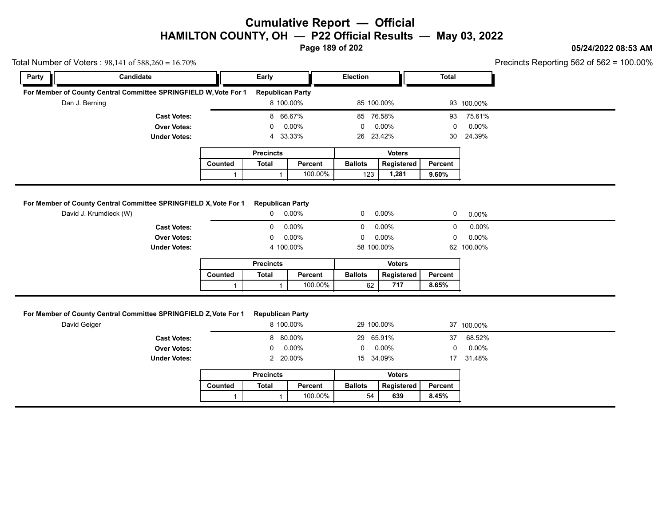**Page 189 of 202**

### **05/24/2022 08:53 AM**

|                | Total Number of Voters: $98,141$ of $588,260 = 16.70\%$                                                      |              |                                                                              |                  |                                    |               |                            |                                  | Precincts Reporting 562 of 562 = 1 |
|----------------|--------------------------------------------------------------------------------------------------------------|--------------|------------------------------------------------------------------------------|------------------|------------------------------------|---------------|----------------------------|----------------------------------|------------------------------------|
| Party          | Candidate                                                                                                    |              | Early                                                                        |                  | Election                           |               | <b>Total</b>               |                                  |                                    |
|                | For Member of County Central Committee SPRINGFIELD W, Vote For 1                                             |              | <b>Republican Party</b>                                                      |                  |                                    |               |                            |                                  |                                    |
| Dan J. Berning |                                                                                                              |              | 8 100.00%                                                                    |                  | 85 100.00%                         |               |                            | 93 100.00%                       |                                    |
|                | <b>Cast Votes:</b>                                                                                           |              | 8 66.67%                                                                     |                  | 85 76.58%                          |               | 93                         | 75.61%                           |                                    |
|                | <b>Over Votes:</b>                                                                                           |              | 0                                                                            | 0.00%            | 0                                  | 0.00%         | 0                          | 0.00%                            |                                    |
|                | <b>Under Votes:</b>                                                                                          |              | 4                                                                            | 33.33%           | 26                                 | 23.42%        | 30                         | 24.39%                           |                                    |
|                |                                                                                                              |              | <b>Precincts</b>                                                             |                  |                                    | <b>Voters</b> |                            |                                  |                                    |
|                |                                                                                                              | Counted      | <b>Total</b>                                                                 | Percent          | <b>Ballots</b>                     | Registered    | Percent                    |                                  |                                    |
|                |                                                                                                              | $\mathbf{1}$ | $\mathbf{1}$                                                                 | 100.00%          | 123                                | 1,281         | 9.60%                      |                                  |                                    |
|                |                                                                                                              |              |                                                                              |                  |                                    |               |                            |                                  |                                    |
|                | For Member of County Central Committee SPRINGFIELD X, Vote For 1                                             |              | <b>Republican Party</b>                                                      |                  |                                    |               |                            |                                  |                                    |
|                | David J. Krumdieck (W)                                                                                       |              | $\mathbf{0}$                                                                 | $0.00\%$         | 0                                  | $0.00\%$      | 0                          | 0.00%                            |                                    |
|                | <b>Cast Votes:</b>                                                                                           |              | 0                                                                            | 0.00%            | 0                                  | 0.00%         | 0                          | 0.00%                            |                                    |
|                |                                                                                                              |              |                                                                              |                  |                                    |               |                            |                                  |                                    |
|                | <b>Over Votes:</b>                                                                                           |              | 0                                                                            | 0.00%            | 0                                  | 0.00%         | $\mathbf 0$                | $0.00\%$                         |                                    |
|                | <b>Under Votes:</b>                                                                                          |              | 4 100.00%                                                                    |                  | 58 100.00%                         |               |                            | 62 100.00%                       |                                    |
|                |                                                                                                              |              | <b>Precincts</b>                                                             |                  |                                    | <b>Voters</b> |                            |                                  |                                    |
|                |                                                                                                              | Counted      | <b>Total</b>                                                                 | Percent          | <b>Ballots</b>                     | Registered    | Percent                    |                                  |                                    |
|                |                                                                                                              |              |                                                                              |                  |                                    |               |                            |                                  |                                    |
| David Geiger   | For Member of County Central Committee SPRINGFIELD Z, Vote For 1<br><b>Cast Votes:</b><br><b>Over Votes:</b> | $\mathbf{1}$ | $\mathbf{1}$<br><b>Republican Party</b><br>8 100.00%<br>8 80.00%<br>$\Omega$ | 100.00%<br>0.00% | 62<br>29 100.00%<br>29 65.91%<br>0 | 717<br>0.00%  | 8.65%<br>37<br>$\mathbf 0$ | 37 100.00%<br>68.52%<br>$0.00\%$ |                                    |
|                | <b>Under Votes:</b>                                                                                          |              | 2 20.00%                                                                     |                  | 15 34.09%                          |               |                            | 17 31.48%                        |                                    |
|                |                                                                                                              |              | <b>Precincts</b>                                                             |                  |                                    | <b>Voters</b> |                            |                                  |                                    |
|                |                                                                                                              | Counted      | <b>Total</b>                                                                 | Percent          | <b>Ballots</b>                     | Registered    | Percent                    |                                  |                                    |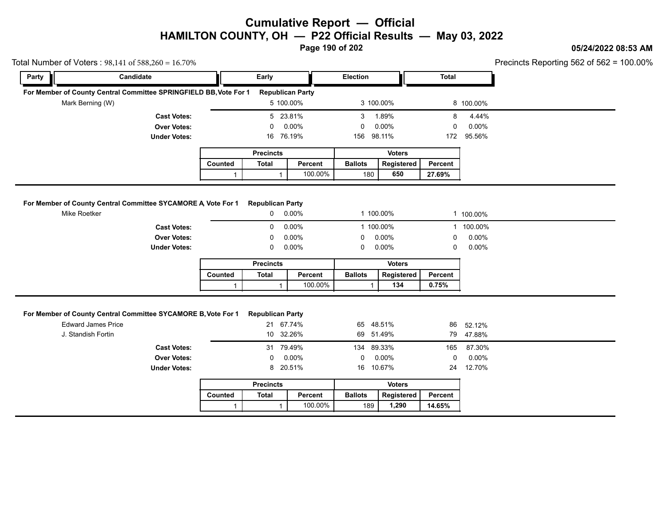**Page 190 of 202**

### **05/24/2022 08:53 AM**

| Total Number of Voters: $98,141$ of $588,260 = 16.70\%$<br>Party | Candidate                                                                                  |              | Early                                |          | <b>Election</b> |               | <b>Total</b> | Precincts Reporting 562 of 562 = 1 |  |
|------------------------------------------------------------------|--------------------------------------------------------------------------------------------|--------------|--------------------------------------|----------|-----------------|---------------|--------------|------------------------------------|--|
|                                                                  |                                                                                            |              |                                      |          |                 |               |              |                                    |  |
|                                                                  | For Member of County Central Committee SPRINGFIELD BB, Vote For 1                          |              | <b>Republican Party</b>              |          |                 |               |              |                                    |  |
|                                                                  | Mark Berning (W)                                                                           |              | 5 100.00%                            |          | 3 100.00%       |               |              | 8 100.00%                          |  |
|                                                                  | <b>Cast Votes:</b>                                                                         |              | 5 23.81%                             |          | 3               | 1.89%         | 8            | 4.44%                              |  |
|                                                                  | <b>Over Votes:</b>                                                                         |              | 0                                    | 0.00%    | 0               | 0.00%         | 0            | 0.00%                              |  |
|                                                                  | <b>Under Votes:</b>                                                                        |              | 16 76.19%                            |          | 156 98.11%      |               | 172          | 95.56%                             |  |
|                                                                  |                                                                                            |              | <b>Precincts</b>                     |          |                 | <b>Voters</b> |              |                                    |  |
|                                                                  |                                                                                            | Counted      | <b>Total</b>                         | Percent  | <b>Ballots</b>  | Registered    | Percent      |                                    |  |
|                                                                  |                                                                                            | $\mathbf{1}$ | $\mathbf{1}$                         | 100.00%  | 180             | 650           | 27.69%       |                                    |  |
|                                                                  | <b>Cast Votes:</b>                                                                         |              | 0                                    | 0.00%    | 1 100.00%       |               |              | 1 100.00%                          |  |
|                                                                  | <b>Over Votes:</b>                                                                         |              | 0                                    | 0.00%    | 0               | 0.00%         | 0            | 0.00%                              |  |
|                                                                  | <b>Under Votes:</b>                                                                        |              | $\mathbf 0$                          | $0.00\%$ | 0               | 0.00%         | 0            | 0.00%                              |  |
|                                                                  |                                                                                            |              | <b>Precincts</b>                     |          |                 | <b>Voters</b> |              |                                    |  |
|                                                                  |                                                                                            | Counted      | Total                                | Percent  | <b>Ballots</b>  | Registered    | Percent      |                                    |  |
|                                                                  |                                                                                            | $\mathbf{1}$ | $\overline{1}$                       | 100.00%  | -1              | 134           | 0.75%        |                                    |  |
|                                                                  | For Member of County Central Committee SYCAMORE B, Vote For 1<br><b>Edward James Price</b> |              | <b>Republican Party</b><br>21 67.74% |          | 65              | 48.51%        | 86           | 52.12%                             |  |
|                                                                  | J. Standish Fortin                                                                         |              | 10 32.26%                            |          | 69 51.49%       |               |              | 79 47.88%                          |  |
|                                                                  | <b>Cast Votes:</b>                                                                         |              | 31 79.49%                            |          | 134             | 89.33%        | 165          | 87.30%                             |  |
|                                                                  | <b>Over Votes:</b>                                                                         |              | $\mathbf 0$                          | 0.00%    | 0               | 0.00%         | 0            | 0.00%                              |  |
|                                                                  | <b>Under Votes:</b>                                                                        |              | 8 20.51%                             |          | 16              | 10.67%        | 24           | 12.70%                             |  |
|                                                                  |                                                                                            |              | <b>Precincts</b>                     |          |                 | <b>Voters</b> |              |                                    |  |
|                                                                  |                                                                                            | Counted      | <b>Total</b>                         | Percent  | <b>Ballots</b>  | Registered    | Percent      |                                    |  |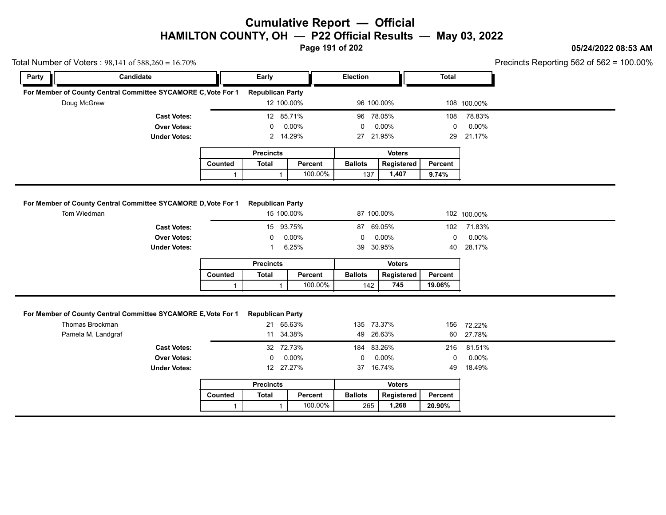**Page 191 of 202**

#### **05/24/2022 08:53 AM**

Precincts Reporting 562 of 562 = 100.00%

|       | Total Number of Voters: $98,141$ of $588,260 = 16.70\%$                                                                      |              |                                                                |                |                                |               |                   | Precincts Reporting 562 of 562 = 1 |
|-------|------------------------------------------------------------------------------------------------------------------------------|--------------|----------------------------------------------------------------|----------------|--------------------------------|---------------|-------------------|------------------------------------|
| Party | Candidate                                                                                                                    |              | Early                                                          |                | <b>Election</b>                |               | <b>Total</b>      |                                    |
|       | For Member of County Central Committee SYCAMORE C, Vote For 1                                                                |              | <b>Republican Party</b>                                        |                |                                |               |                   |                                    |
|       | Doug McGrew                                                                                                                  |              | 12 100.00%                                                     |                | 96 100.00%                     |               |                   | 108 100.00%                        |
|       | <b>Cast Votes:</b>                                                                                                           |              | 12 85.71%                                                      |                | 96 78.05%                      |               | 108               | 78.83%                             |
|       | <b>Over Votes:</b>                                                                                                           |              | 0                                                              | 0.00%          | 0                              | 0.00%         | $\mathbf 0$       | 0.00%                              |
|       | <b>Under Votes:</b>                                                                                                          |              | 2 14.29%                                                       |                | 27 21.95%                      |               | 29                | 21.17%                             |
|       |                                                                                                                              |              | <b>Precincts</b>                                               |                |                                | <b>Voters</b> |                   |                                    |
|       |                                                                                                                              | Counted      | <b>Total</b>                                                   | Percent        | <b>Ballots</b>                 | Registered    | Percent           |                                    |
|       |                                                                                                                              | $\mathbf{1}$ | $\mathbf{1}$                                                   | 100.00%        | 137                            | 1,407         | 9.74%             |                                    |
|       | <b>Over Votes:</b><br><b>Under Votes:</b>                                                                                    |              | $\mathbf 0$<br>-1                                              | 0.00%<br>6.25% | 0<br>39 30.95%                 | 0.00%         | $\mathbf 0$<br>40 | $0.00\%$<br>28.17%                 |
|       | <b>Cast Votes:</b>                                                                                                           |              | 15 93.75%                                                      |                | 87 69.05%                      |               | 102               | 71.83%                             |
|       |                                                                                                                              |              |                                                                |                |                                |               |                   |                                    |
|       |                                                                                                                              |              | <b>Precincts</b>                                               |                |                                | <b>Voters</b> |                   |                                    |
|       |                                                                                                                              | Counted      | <b>Total</b>                                                   | Percent        | <b>Ballots</b>                 | Registered    | Percent           |                                    |
|       |                                                                                                                              |              |                                                                |                |                                |               |                   |                                    |
|       |                                                                                                                              | $\mathbf{1}$ | $\mathbf{1}$                                                   | 100.00%        | 142                            | 745           | 19.06%            |                                    |
|       | For Member of County Central Committee SYCAMORE E, Vote For 1<br>Thomas Brockman<br>Pamela M. Landgraf<br><b>Cast Votes:</b> |              | <b>Republican Party</b><br>21 65.63%<br>11 34.38%<br>32 72.73% |                | 135 73.37%<br>49 26.63%<br>184 | 83.26%        | 156<br>60<br>216  | 72.22%<br>27.78%<br>81.51%         |
|       | <b>Over Votes:</b>                                                                                                           |              | $\mathbf 0$                                                    | 0.00%          | 0                              | 0.00%         | $\mathbf 0$       | 0.00%                              |
|       | <b>Under Votes:</b>                                                                                                          |              | 12 27.27%                                                      |                | 37 16.74%                      |               | 49                | 18.49%                             |
|       |                                                                                                                              |              | <b>Precincts</b>                                               |                |                                | <b>Voters</b> |                   |                                    |
|       |                                                                                                                              | Counted      | <b>Total</b>                                                   | Percent        | <b>Ballots</b>                 | Registered    | Percent           |                                    |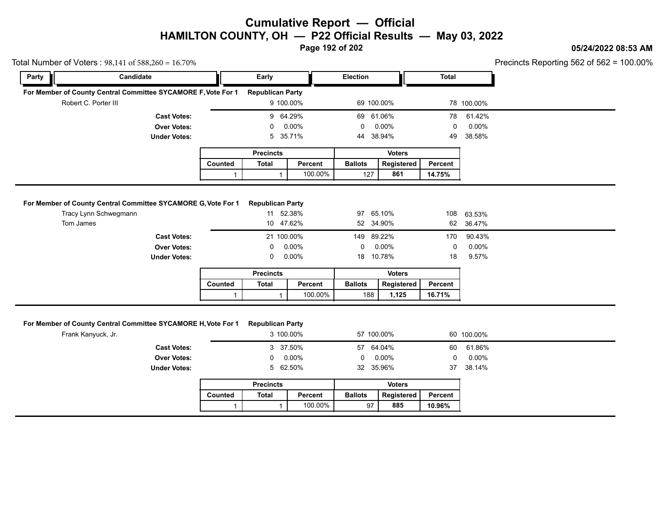**Page 192 of 202**

### **05/24/2022 08:53 AM**

Precincts Reporting 562 of 562 = 100.00%

| Total Number of Voters: $98,141$ of $588,260 = 16.70\%$ |                                                               |              |                              |          |                 |                   |              |            | Precincts Reporting 562 of 562 = 1 |
|---------------------------------------------------------|---------------------------------------------------------------|--------------|------------------------------|----------|-----------------|-------------------|--------------|------------|------------------------------------|
| Party                                                   | Candidate                                                     |              | Early                        |          | <b>Election</b> |                   | <b>Total</b> |            |                                    |
|                                                         | For Member of County Central Committee SYCAMORE F, Vote For 1 |              | <b>Republican Party</b>      |          |                 |                   |              |            |                                    |
|                                                         | Robert C. Porter III                                          |              | 9 100.00%                    |          | 69 100.00%      |                   |              | 78 100.00% |                                    |
|                                                         | <b>Cast Votes:</b>                                            |              | 9 64.29%                     |          | 69 61.06%       |                   | 78           | 61.42%     |                                    |
|                                                         | <b>Over Votes:</b>                                            |              | 0                            | 0.00%    | 0               | 0.00%             | 0            | $0.00\%$   |                                    |
|                                                         | <b>Under Votes:</b>                                           |              | 5                            | 35.71%   | 44              | 38.94%            | 49           | 38.58%     |                                    |
|                                                         |                                                               |              | <b>Precincts</b>             |          |                 | <b>Voters</b>     |              |            |                                    |
|                                                         |                                                               | Counted      | <b>Total</b>                 | Percent  | <b>Ballots</b>  | <b>Registered</b> | Percent      |            |                                    |
|                                                         |                                                               | $\mathbf{1}$ |                              | 100.00%  | 127             | 861               | 14.75%       |            |                                    |
|                                                         | For Member of County Central Committee SYCAMORE G, Vote For 1 |              | <b>Republican Party</b>      |          |                 |                   |              |            |                                    |
|                                                         |                                                               |              |                              |          |                 |                   |              |            |                                    |
|                                                         | Tracy Lynn Schwegmann                                         |              | 11 52.38%                    |          | 97 65.10%       |                   | 108          | 63.53%     |                                    |
| Tom James                                               |                                                               |              | 10 47.62%                    |          | 52 34.90%       |                   | 62           | 36.47%     |                                    |
|                                                         |                                                               |              |                              |          |                 |                   |              |            |                                    |
|                                                         | <b>Cast Votes:</b>                                            |              | 21 100.00%                   |          | 149             | 89.22%            | 170          | 90.43%     |                                    |
|                                                         | <b>Over Votes:</b>                                            |              | 0                            | $0.00\%$ | 0               | 0.00%             | 0            | $0.00\%$   |                                    |
|                                                         | <b>Under Votes:</b>                                           |              | 0                            | 0.00%    | 18              | 10.78%            | 18           | 9.57%      |                                    |
|                                                         |                                                               |              | <b>Precincts</b>             |          |                 | <b>Voters</b>     |              |            |                                    |
|                                                         |                                                               | Counted      | <b>Total</b>                 | Percent  | <b>Ballots</b>  | Registered        | Percent      |            |                                    |
|                                                         |                                                               |              |                              |          |                 |                   |              |            |                                    |
|                                                         | For Member of County Central Committee SYCAMORE H, Vote For 1 | $\mathbf{1}$ | 1<br><b>Republican Party</b> | 100.00%  | 188             | 1,125             | 16.71%       |            |                                    |
|                                                         | Frank Kanyuck, Jr.                                            |              | 3 100.00%                    |          | 57 100.00%      |                   |              | 60 100.00% |                                    |
|                                                         | <b>Cast Votes:</b>                                            |              | 3 37.50%                     |          | 57 64.04%       |                   | 60           | 61.86%     |                                    |
|                                                         | <b>Over Votes:</b>                                            |              | 0                            | 0.00%    | 0               | $0.00\%$          | $\mathbf 0$  | $0.00\%$   |                                    |
|                                                         | <b>Under Votes:</b>                                           |              | 5 62.50%                     |          | 32 35.96%       |                   | 37           | 38.14%     |                                    |
|                                                         |                                                               |              | <b>Precincts</b>             |          |                 | <b>Voters</b>     |              |            |                                    |
|                                                         |                                                               | Counted      | <b>Total</b>                 | Percent  | <b>Ballots</b>  | Registered        | Percent      |            |                                    |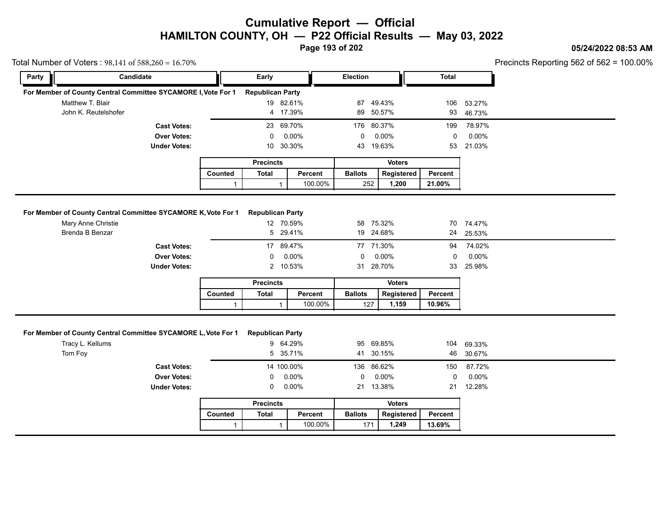**Page 193 of 202**

#### **05/24/2022 08:53 AM**

Precincts Reporting 562 of 562 = 100.00%

| Total Number of Voters: 98,141 of 588,260 = 16.70% |                                                                                     |              |                         |                      |                |                        |              |                  | Precincts Reporting 562 of 562 = 1 |  |
|----------------------------------------------------|-------------------------------------------------------------------------------------|--------------|-------------------------|----------------------|----------------|------------------------|--------------|------------------|------------------------------------|--|
| Party                                              | Candidate                                                                           |              | Early                   |                      | Election       |                        | <b>Total</b> |                  |                                    |  |
|                                                    | For Member of County Central Committee SYCAMORE I, Vote For 1                       |              | <b>Republican Party</b> |                      |                |                        |              |                  |                                    |  |
| Matthew T. Blair                                   |                                                                                     |              |                         | 19 82.61%            | 87 49.43%      |                        | 106          | 53.27%           |                                    |  |
|                                                    | John K. Reutelshofer                                                                |              |                         | 4 17.39%             | 89 50.57%      |                        | 93           | 46.73%           |                                    |  |
|                                                    | <b>Cast Votes:</b>                                                                  |              |                         | 23 69.70%            | 176 80.37%     |                        | 199          | 78.97%           |                                    |  |
|                                                    | <b>Over Votes:</b>                                                                  |              | $\Omega$                | 0.00%                | 0              | 0.00%                  | 0            | 0.00%            |                                    |  |
|                                                    | <b>Under Votes:</b>                                                                 |              | 10                      | 30.30%               | 43 19.63%      |                        | 53           | 21.03%           |                                    |  |
|                                                    |                                                                                     |              | <b>Precincts</b>        |                      |                | <b>Voters</b>          |              |                  |                                    |  |
|                                                    |                                                                                     | Counted      | <b>Total</b>            | Percent              | <b>Ballots</b> | Registered             | Percent      |                  |                                    |  |
|                                                    |                                                                                     | $\mathbf{1}$ | $\mathbf{1}$            | 100.00%              | 252            | 1,200                  | 21.00%       |                  |                                    |  |
|                                                    |                                                                                     |              |                         |                      |                |                        |              |                  |                                    |  |
|                                                    |                                                                                     |              |                         |                      |                |                        |              |                  |                                    |  |
|                                                    | For Member of County Central Committee SYCAMORE K, Vote For 1<br>Mary Anne Christie |              | <b>Republican Party</b> | 12 70.59%            | 58 75.32%      |                        |              | 70 74.47%        |                                    |  |
| Brenda B Benzar                                    |                                                                                     |              |                         | 5 29.41%             | 19 24.68%      |                        | 24           | 25.53%           |                                    |  |
|                                                    |                                                                                     |              |                         |                      |                |                        |              |                  |                                    |  |
|                                                    |                                                                                     |              |                         |                      |                |                        |              |                  |                                    |  |
|                                                    | <b>Cast Votes:</b>                                                                  |              |                         | 17 89.47%            | 77 71.30%      |                        | 94           | 74.02%           |                                    |  |
|                                                    | <b>Over Votes:</b>                                                                  |              | 0                       | 0.00%                | 0              | 0.00%                  | 0            | 0.00%            |                                    |  |
|                                                    | <b>Under Votes:</b>                                                                 |              |                         | 2 10.53%             | 31 28.70%      |                        | 33           | 25.98%           |                                    |  |
|                                                    |                                                                                     |              | <b>Precincts</b>        |                      |                | <b>Voters</b>          |              |                  |                                    |  |
|                                                    |                                                                                     | Counted      | <b>Total</b>            | Percent              | <b>Ballots</b> | Registered             | Percent      |                  |                                    |  |
|                                                    |                                                                                     | 1            | 1                       | 100.00%              | 127            | 1,159                  | 10.96%       |                  |                                    |  |
| Tracy L. Kellums<br>Tom Foy                        | For Member of County Central Committee SYCAMORE L, Vote For 1                       |              | <b>Republican Party</b> | 9 64.29%<br>5 35.71% |                | 95 69.85%<br>41 30.15% | 104<br>46    | 69.33%<br>30.67% |                                    |  |
|                                                    | <b>Cast Votes:</b>                                                                  |              |                         | 14 100.00%           | 136            | 86.62%                 | 150          | 87.72%           |                                    |  |
|                                                    |                                                                                     |              | 0                       | 0.00%                | 0              | 0.00%                  | 0            | 0.00%            |                                    |  |
|                                                    | <b>Over Votes:</b><br><b>Under Votes:</b>                                           |              | 0                       | $0.00\%$             | 21 13.38%      |                        | 21           | 12.28%           |                                    |  |
|                                                    |                                                                                     |              | <b>Precincts</b>        |                      |                | <b>Voters</b>          |              |                  |                                    |  |
|                                                    |                                                                                     | Counted      | <b>Total</b>            | Percent              | <b>Ballots</b> | Registered             | Percent      |                  |                                    |  |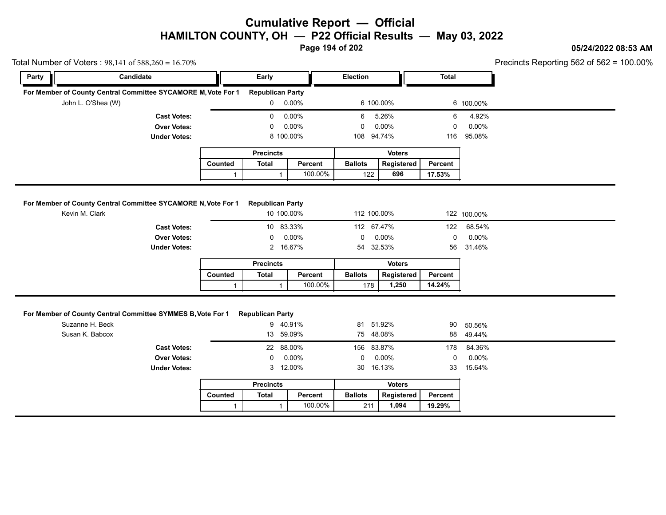**Page 194 of 202**

### **05/24/2022 08:53 AM**

|       | Total Number of Voters: $98,141$ of $588,260 = 16.70\%$                         |              |                                       |         |                |               |              |             | Precincts Reporting 562 of 562 = 1 |
|-------|---------------------------------------------------------------------------------|--------------|---------------------------------------|---------|----------------|---------------|--------------|-------------|------------------------------------|
| Party | Candidate                                                                       |              | Early                                 |         | Election       |               | <b>Total</b> |             |                                    |
|       | For Member of County Central Committee SYCAMORE M, Vote For 1                   |              | <b>Republican Party</b>               |         |                |               |              |             |                                    |
|       | John L. O'Shea (W)                                                              |              | $0\quad 0.00\%$                       |         | 6 100.00%      |               |              | 6 100.00%   |                                    |
|       | <b>Cast Votes:</b>                                                              |              | 0                                     | 0.00%   | 6              | 5.26%         | 6            | 4.92%       |                                    |
|       | <b>Over Votes:</b>                                                              |              | 0                                     | 0.00%   | $\Omega$       | 0.00%         | $\mathbf 0$  | 0.00%       |                                    |
|       | <b>Under Votes:</b>                                                             |              | 8 100.00%                             |         | 108 94.74%     |               | 116          | 95.08%      |                                    |
|       |                                                                                 |              | <b>Precincts</b>                      |         |                | <b>Voters</b> |              |             |                                    |
|       |                                                                                 | Counted      | <b>Total</b>                          | Percent | <b>Ballots</b> | Registered    | Percent      |             |                                    |
|       |                                                                                 | $\mathbf{1}$ | $\mathbf{1}$                          | 100.00% | 122            | 696           | 17.53%       |             |                                    |
|       |                                                                                 |              |                                       |         |                |               |              |             |                                    |
|       | For Member of County Central Committee SYCAMORE N, Vote For 1<br>Kevin M. Clark |              | <b>Republican Party</b><br>10 100.00% |         | 112 100.00%    |               |              | 122 100.00% |                                    |
|       |                                                                                 |              |                                       |         |                |               |              |             |                                    |
|       | <b>Cast Votes:</b>                                                              |              | 10 83.33%                             |         | 112 67.47%     |               | 122          | 68.54%      |                                    |
|       | <b>Over Votes:</b>                                                              |              | 0                                     | 0.00%   | $\mathbf 0$    | 0.00%         | $\mathbf 0$  | 0.00%       |                                    |
|       | <b>Under Votes:</b>                                                             |              | $\mathbf{2}$                          | 16.67%  | 54 32.53%      |               | 56           | 31.46%      |                                    |
|       |                                                                                 |              | <b>Precincts</b>                      |         |                | <b>Voters</b> |              |             |                                    |
|       |                                                                                 | Counted      | Total                                 | Percent | <b>Ballots</b> | Registered    | Percent      |             |                                    |
|       |                                                                                 | $\mathbf{1}$ | $\mathbf{1}$                          | 100.00% | 178            | 1,250         | 14.24%       |             |                                    |
|       |                                                                                 |              |                                       |         |                |               |              |             |                                    |
|       | For Member of County Central Committee SYMMES B, Vote For 1<br>Suzanne H. Beck  |              | <b>Republican Party</b><br>9 40.91%   |         | 81 51.92%      |               | 90           | 50.56%      |                                    |
|       | Susan K. Babcox                                                                 |              | 13 59.09%                             |         | 75 48.08%      |               | 88           | 49.44%      |                                    |
|       | <b>Cast Votes:</b>                                                              |              | 22 88.00%                             |         | 156 83.87%     |               | 178          | 84.36%      |                                    |
|       | <b>Over Votes:</b>                                                              |              | 0                                     | 0.00%   | 0              | 0.00%         | $\mathbf 0$  | 0.00%       |                                    |
|       | <b>Under Votes:</b>                                                             |              | 3 12.00%                              |         | 30 16.13%      |               | 33           | 15.64%      |                                    |
|       |                                                                                 |              | <b>Precincts</b>                      |         |                | <b>Voters</b> |              |             |                                    |
|       |                                                                                 | Counted      | Total                                 | Percent | <b>Ballots</b> | Registered    | Percent      |             |                                    |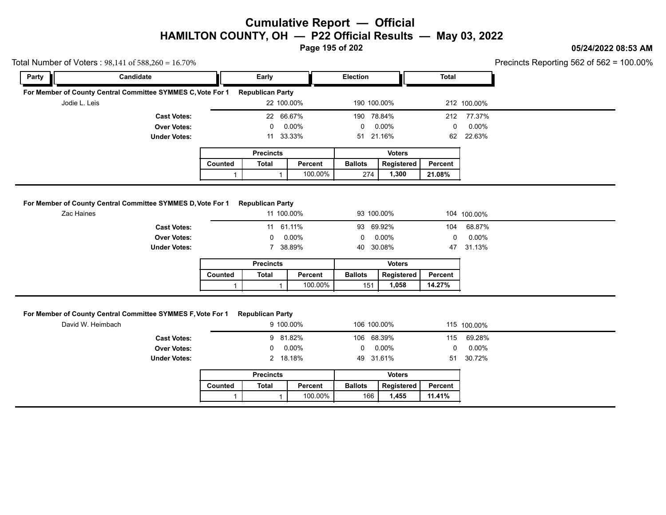**Page 195 of 202**

#### **05/24/2022 08:53 AM**

Precincts Reporting 562 of 562 = 100.00%

|               | Total Number of Voters: $98,141$ of $588,260 = 16.70\%$     |                |                                       |          |                 |               |         |                             | Precincts Reporting 562 of 562 = |
|---------------|-------------------------------------------------------------|----------------|---------------------------------------|----------|-----------------|---------------|---------|-----------------------------|----------------------------------|
| Party         | Candidate                                                   |                | Early                                 |          | <b>Election</b> |               | Total   |                             |                                  |
|               | For Member of County Central Committee SYMMES C, Vote For 1 |                | <b>Republican Party</b>               |          |                 |               |         |                             |                                  |
| Jodie L. Leis |                                                             |                | 22 100.00%                            |          | 190 100.00%     |               |         | 212 100.00%                 |                                  |
|               | <b>Cast Votes:</b>                                          |                | 22 66.67%                             |          | 190             | 78.84%        | 212     | 77.37%                      |                                  |
|               | <b>Over Votes:</b>                                          |                | 0                                     | $0.00\%$ | 0               | $0.00\%$      | 0       | $0.00\%$                    |                                  |
|               | <b>Under Votes:</b>                                         |                | 11 33.33%                             |          | 51 21.16%       |               | 62      | 22.63%                      |                                  |
|               |                                                             |                | <b>Precincts</b>                      |          |                 | <b>Voters</b> |         |                             |                                  |
|               |                                                             | <b>Counted</b> | Total                                 | Percent  | <b>Ballots</b>  | Registered    | Percent |                             |                                  |
|               |                                                             |                |                                       | 100.00%  | 274             | 1,300         | 21.08%  |                             |                                  |
| $7$ aa Hainaa | For Member of County Central Committee SYMMES D, Vote For 1 |                | <b>Republican Party</b><br>44.400.000 |          | 02.400.000      |               |         | $101 \times 200 \times 201$ |                                  |

| r Member of County Central Committee SYMMES D, Vote For 1 |         | <b>Republican Party</b> |            |                |               |         |             |
|-----------------------------------------------------------|---------|-------------------------|------------|----------------|---------------|---------|-------------|
| Zac Haines                                                |         |                         | 11 100.00% |                | 93 100.00%    |         | 104 100.00% |
| <b>Cast Votes:</b>                                        |         |                         | 11 61.11%  |                | 93 69.92%     | 104     | 68.87%      |
| <b>Over Votes:</b>                                        |         | $\mathbf{0}$            | 0.00%      | 0              | 0.00%         | 0       | $0.00\%$    |
| <b>Under Votes:</b>                                       |         |                         | 7 38.89%   |                | 40 30.08%     |         | 47 31.13%   |
|                                                           |         | <b>Precincts</b>        |            |                | <b>Voters</b> |         |             |
|                                                           | Counted | Total                   | Percent    | <b>Ballots</b> | Registered    | Percent |             |
|                                                           |         |                         | 100.00%    | 151            | 1,058         | 14.27%  |             |

| <b>Ballots</b><br>Registered<br>Total<br><b>Counted</b><br>Percent<br>Percent<br>100.00%<br>14.27%<br>1.058<br>151 |  | . |  |  |
|--------------------------------------------------------------------------------------------------------------------|--|---|--|--|
|                                                                                                                    |  |   |  |  |
|                                                                                                                    |  |   |  |  |

#### **For Member of County Central Committee SYMMES F, Vote For 1 Republican Party**

|                                                       |         |                         | 100.00%   | 151            | 1,058         | 14.27%  |             |
|-------------------------------------------------------|---------|-------------------------|-----------|----------------|---------------|---------|-------------|
|                                                       |         |                         |           |                |               |         |             |
| mber of County Central Committee SYMMES F, Vote For 1 |         | <b>Republican Party</b> |           |                |               |         |             |
| David W. Heimbach                                     |         |                         | 9 100.00% |                | 106 100.00%   |         | 115 100.00% |
| <b>Cast Votes:</b>                                    |         |                         | 9 81.82%  |                | 106 68.39%    | 115     | 69.28%      |
| <b>Over Votes:</b>                                    |         | $\mathbf 0$             | 0.00%     | 0              | 0.00%         | 0       | $0.00\%$    |
| <b>Under Votes:</b>                                   |         |                         | 2 18.18%  |                | 49 31.61%     | 51      | 30.72%      |
|                                                       |         | <b>Precincts</b>        |           |                | <b>Voters</b> |         |             |
|                                                       | Counted | Total                   | Percent   | <b>Ballots</b> | Registered    | Percent |             |
|                                                       |         |                         | 100.00%   | 166            | 1,455         | 11.41%  |             |

|         | <b>Precincts</b> |         | <b>Voters</b>  |            |         |  |  |
|---------|------------------|---------|----------------|------------|---------|--|--|
| Counted | Total            | Percent | <b>Ballots</b> | Reaistered | Percent |  |  |
|         |                  | 100.00% | 166            | 1.455      | 11.41%  |  |  |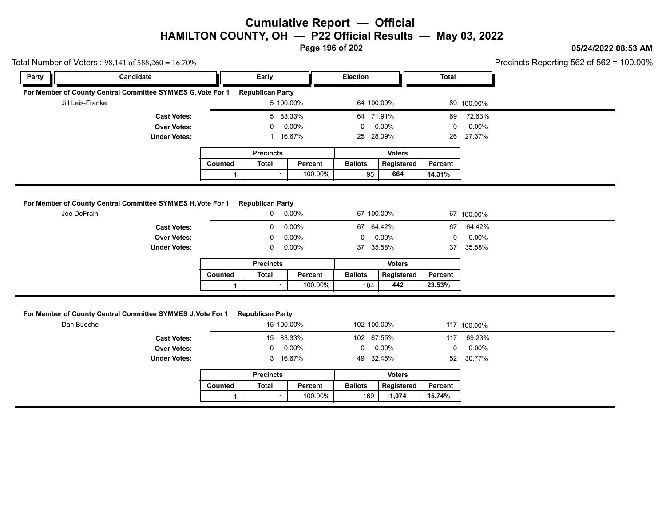**Page 196 of 202**

### **05/24/2022 08:53 AM**

| Party      | Candidate                                                   |                | Early                                 |                | Election       |                             | <b>Total</b> |                 |
|------------|-------------------------------------------------------------|----------------|---------------------------------------|----------------|----------------|-----------------------------|--------------|-----------------|
|            | For Member of County Central Committee SYMMES G, Vote For 1 |                | <b>Republican Party</b>               |                |                |                             |              |                 |
|            | Jill Leis-Franke                                            |                | 5 100.00%                             |                | 64 100.00%     |                             |              | 69 100.00%      |
|            | <b>Cast Votes:</b>                                          |                | 5 83.33%                              |                | 64 71.91%      |                             | 69           | 72.63%          |
|            | <b>Over Votes:</b>                                          |                | 0                                     | 0.00%          | 0              | 0.00%                       | 0            | 0.00%           |
|            | <b>Under Votes:</b>                                         |                | 1 16.67%                              |                | 25 28.09%      |                             | 26           | 27.37%          |
|            |                                                             |                | <b>Precincts</b>                      |                |                | <b>Voters</b>               |              |                 |
|            |                                                             | <b>Counted</b> | <b>Total</b>                          | Percent        | <b>Ballots</b> | Registered                  | Percent      |                 |
|            |                                                             | $\mathbf{1}$   | $\mathbf{1}$                          | 100.00%        | 95             | 664                         | 14.31%       |                 |
|            | <b>Under Votes:</b>                                         |                | 0                                     | 0.00%<br>0.00% | 37 35.58%      | 0.00%                       | 0<br>37      | 0.00%<br>35.58% |
|            |                                                             | Counted        | <b>Precincts</b><br><b>Total</b>      | Percent        | <b>Ballots</b> | <b>Voters</b><br>Registered | Percent      |                 |
|            |                                                             | 1              | $\mathbf{1}$                          | 100.00%        | 104            | 442                         | 23.53%       |                 |
|            |                                                             |                |                                       |                |                |                             |              |                 |
| Dan Bueche | For Member of County Central Committee SYMMES J, Vote For 1 |                | <b>Republican Party</b><br>15 100.00% |                | 102 100.00%    |                             |              | 117 100.00%     |
|            | <b>Cast Votes:</b>                                          |                | 15 83.33%                             |                | 102 67.55%     |                             | 117          | 69.23%          |
|            | <b>Over Votes:</b>                                          |                | 0                                     | 0.00%          | 0              | 0.00%                       | 0            | 0.00%           |
|            | <b>Under Votes:</b>                                         |                | 3 16.67%                              |                | 49 32.45%      |                             | 52           | 30.77%          |
|            |                                                             |                | <b>Precincts</b>                      |                |                | <b>Voters</b>               |              |                 |
|            |                                                             | Counted        | <b>Total</b>                          | Percent        | <b>Ballots</b> | Registered                  | Percent      |                 |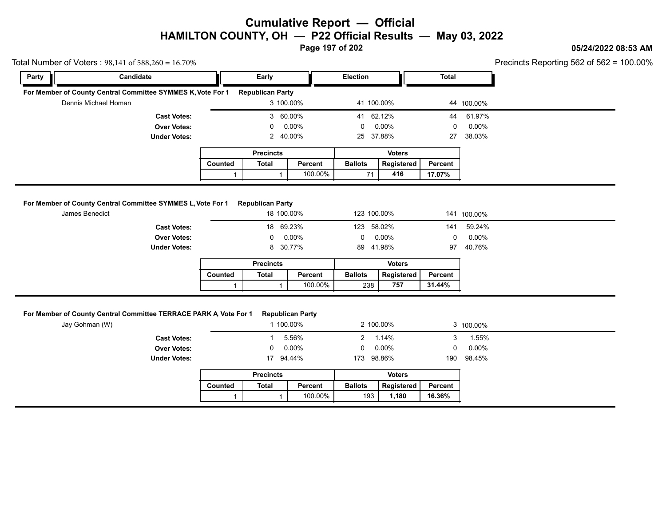**Page 197 of 202**

#### **05/24/2022 08:53 AM**

 $rting 562 of 562 = 100.00\%$ 

|       | Total Number of Voters: $98,141$ of $588,260 = 16.70\%$                       |         |                                       |           |                 |               |              |             | Precincts Reporting 562 of 562 = $\degree$ |
|-------|-------------------------------------------------------------------------------|---------|---------------------------------------|-----------|-----------------|---------------|--------------|-------------|--------------------------------------------|
| Party | Candidate                                                                     |         | Early                                 |           | <b>Election</b> |               | <b>Total</b> |             |                                            |
|       | For Member of County Central Committee SYMMES K, Vote For 1                   |         | <b>Republican Party</b>               |           |                 |               |              |             |                                            |
|       | Dennis Michael Homan                                                          |         |                                       | 3 100.00% | 41 100.00%      |               |              | 44 100.00%  |                                            |
|       | <b>Cast Votes:</b>                                                            |         |                                       | 3 60.00%  | 41 62.12%       |               | 44           | 61.97%      |                                            |
|       | <b>Over Votes:</b>                                                            |         |                                       | 0.00%     | 0               | $0.00\%$      | 0            | $0.00\%$    |                                            |
|       | <b>Under Votes:</b>                                                           |         | $\mathbf{2}^{\prime}$                 | 40.00%    | 25              | 37.88%        | 27           | 38.03%      |                                            |
|       |                                                                               |         | <b>Precincts</b>                      |           |                 | <b>Voters</b> |              |             |                                            |
|       |                                                                               | Counted | <b>Total</b>                          | Percent   | <b>Ballots</b>  | Registered    | Percent      |             |                                            |
|       |                                                                               |         |                                       |           |                 |               |              |             |                                            |
|       |                                                                               |         |                                       | 100.00%   | 71              | 416           | 17.07%       |             |                                            |
|       | For Member of County Central Committee SYMMES L, Vote For 1<br>James Benedict |         | <b>Republican Party</b><br>18 100.00% |           | 123 100.00%     |               |              | 141 100.00% |                                            |
|       | <b>Cast Votes:</b>                                                            |         | 18                                    | 69.23%    | 123             | 58.02%        | 141          | 59.24%      |                                            |
|       | <b>Over Votes:</b>                                                            |         |                                       | 0.00%     | 0               | $0.00\%$      |              | $0.00\%$    |                                            |
|       | <b>Under Votes:</b>                                                           |         | 8                                     | 30.77%    | 89              | 41.98%        | 97           | 40.76%      |                                            |
|       |                                                                               |         | <b>Precincts</b>                      |           |                 | <b>Voters</b> |              |             |                                            |
|       |                                                                               | Counted | <b>Total</b>                          | Percent   | <b>Ballots</b>  | Registered    | Percent      |             |                                            |

| Counted | Total | Percent | <b>Ballots</b> | Registered | Percent |
|---------|-------|---------|----------------|------------|---------|
|         |       | 100.00% | 238            | 757        | 31.44%  |

#### **For Member of County Central Committee TERRACE PARK A, Vote For 1 Republican Party**

|                |       |                                                         |                                                                                      |               |                                              | 3 100.00%                       |
|----------------|-------|---------------------------------------------------------|--------------------------------------------------------------------------------------|---------------|----------------------------------------------|---------------------------------|
|                |       |                                                         |                                                                                      |               | 3                                            | 1.55%                           |
|                | 0     |                                                         | $\mathbf{0}$                                                                         |               | 0                                            | $0.00\%$                        |
|                | 17    |                                                         | 173                                                                                  |               | 190                                          | 98.45%                          |
|                |       |                                                         |                                                                                      | <b>Voters</b> |                                              |                                 |
| <b>Counted</b> | Total | Percent                                                 | <b>Ballots</b>                                                                       | Registered    | Percent                                      |                                 |
|                |       | 100.00%                                                 |                                                                                      | 1,180         | 16.36%                                       |                                 |
|                |       | r of County Central Committee TERRACE PARK A Vote For 1 | <b>Republican Party</b><br>1 100.00%<br>5.56%<br>0.00%<br>94.44%<br><b>Precincts</b> | $2^{\circ}$   | 2 100.00%<br>1.14%<br>0.00%<br>98.86%<br>193 | 100.00%<br>31.44%<br>757<br>238 |

|         | <b>Precincts</b> |         |                | Voters     |         |
|---------|------------------|---------|----------------|------------|---------|
| Counted | Total            | Percent | <b>Ballots</b> | Registered | Percent |
|         |                  | 100.00% | 193            | 1.180      | 16.36%  |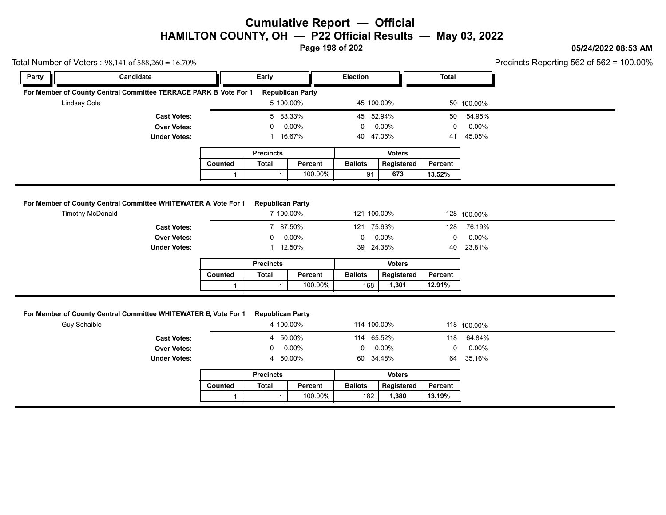**Page 198 of 202**

### **05/24/2022 08:53 AM**

100.00%

|              | Total Number of Voters: $98,141$ of $588,260 = 16.70\%$                                   |         |                                      |                         |                 |               |              |             | Precincts Reporting 562 of 562 = $\degree$ |
|--------------|-------------------------------------------------------------------------------------------|---------|--------------------------------------|-------------------------|-----------------|---------------|--------------|-------------|--------------------------------------------|
| Party        | Candidate                                                                                 |         | Early                                |                         | <b>Election</b> |               | <b>Total</b> |             |                                            |
|              | For Member of County Central Committee TERRACE PARK B, Vote For 1                         |         |                                      | <b>Republican Party</b> |                 |               |              |             |                                            |
| Lindsay Cole |                                                                                           |         | 5 100.00%                            |                         | 45 100.00%      |               |              | 50 100.00%  |                                            |
|              | <b>Cast Votes:</b>                                                                        |         | 5 83.33%                             |                         | 45 52.94%       |               | 50           | 54.95%      |                                            |
|              | <b>Over Votes:</b>                                                                        |         |                                      | 0.00%                   | 0               | $0.00\%$      | 0            | $0.00\%$    |                                            |
|              | <b>Under Votes:</b>                                                                       |         |                                      | 16.67%                  | 40              | 47.06%        | 41           | 45.05%      |                                            |
|              |                                                                                           |         | <b>Precincts</b>                     |                         |                 | <b>Voters</b> |              |             |                                            |
|              |                                                                                           |         |                                      |                         |                 | Registered    | Percent      |             |                                            |
|              |                                                                                           | Counted | <b>Total</b>                         | Percent                 | <b>Ballots</b>  |               |              |             |                                            |
|              |                                                                                           |         |                                      | 100.00%                 | 91              | 673           | 13.52%       |             |                                            |
|              | For Member of County Central Committee WHITEWATER A Vote For 1<br><b>Timothy McDonald</b> |         | <b>Republican Party</b><br>7 100.00% |                         | 121 100.00%     |               |              | 128 100.00% |                                            |
|              | <b>Cast Votes:</b>                                                                        |         | 7 87.50%                             |                         | 121             | 75.63%        | 128          | 76.19%      |                                            |
|              | <b>Over Votes:</b>                                                                        |         |                                      | $0.00\%$                | 0               | $0.00\%$      | 0            | $0.00\%$    |                                            |
|              | <b>Under Votes:</b>                                                                       |         |                                      | 12.50%                  | 39              | 24.38%        | 40           | 23.81%      |                                            |
|              |                                                                                           |         | <b>Precincts</b>                     |                         |                 | <b>Voters</b> |              |             |                                            |
|              |                                                                                           | Counted | <b>Total</b>                         | Percent                 | <b>Ballots</b>  | Registered    | Percent      |             |                                            |

#### **For Member of County Central Committee WHITEWATER B, Vote For 1 Republican Party**

|                                                        |         |                         | 100.00%  | 168             | 1,301         | 12.91%  |             |
|--------------------------------------------------------|---------|-------------------------|----------|-----------------|---------------|---------|-------------|
|                                                        |         |                         |          |                 |               |         |             |
| r of County Central Committee WHITEWATER B, Vote For 1 |         | <b>Republican Party</b> |          |                 |               |         |             |
| Guy Schaible                                           |         | 4 100.00%               |          | 114 100.00%     |               |         | 118 100.00% |
| <b>Cast Votes:</b>                                     |         | 4 50.00%                |          | 114 65.52%      |               | 118     | 64.84%      |
| <b>Over Votes:</b>                                     |         | $\mathbf{0}$            | $0.00\%$ | $0\quad 0.00\%$ |               | 0       | $0.00\%$    |
| <b>Under Votes:</b>                                    |         | 4 50.00%                |          | 60 34.48%       |               | 64      | 35.16%      |
|                                                        |         | <b>Precincts</b>        |          |                 | <b>Voters</b> |         |             |
|                                                        | Counted | Total                   | Percent  | <b>Ballots</b>  | Registered    | Percent |             |
|                                                        |         |                         | 100.00%  | 182             | 1,380         | 13.19%  |             |
|                                                        |         |                         |          |                 |               |         |             |

|         | <b>Precincts</b> |         |                | Voters     |         |
|---------|------------------|---------|----------------|------------|---------|
| Counted | Total            | Percent | <b>Ballots</b> | Reaistered | Percent |
|         |                  | 100.00% | 182            | 1.380      | 13.19%  |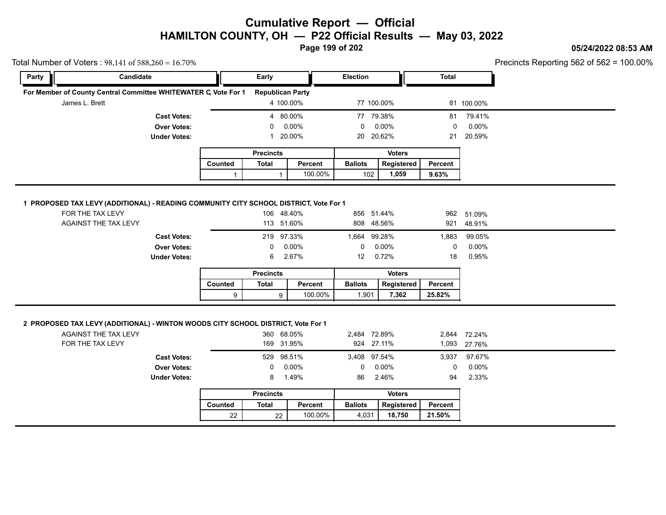**Page 199 of 202**

### **05/24/2022 08:53 AM**

|       | Total Number of Voters: $98,141$ of $588,260 = 16.70\%$                                                                      |                                           |              |                          |                |                            |                |              |                                  | Precincts Reporting 562 of 562 = 1 |
|-------|------------------------------------------------------------------------------------------------------------------------------|-------------------------------------------|--------------|--------------------------|----------------|----------------------------|----------------|--------------|----------------------------------|------------------------------------|
| Party | Candidate                                                                                                                    |                                           |              | Early                    |                | <b>Election</b>            |                | <b>Total</b> |                                  |                                    |
|       | For Member of County Central Committee WHITEWATER C, Vote For 1                                                              |                                           |              | <b>Republican Party</b>  |                |                            |                |              |                                  |                                    |
|       | James L. Brett                                                                                                               |                                           |              | 4 100.00%                |                | 77 100.00%                 |                |              | 81 100.00%                       |                                    |
|       |                                                                                                                              | <b>Cast Votes:</b>                        |              | 4 80.00%                 |                | 77 79.38%                  |                | 81           | 79.41%                           |                                    |
|       |                                                                                                                              | <b>Over Votes:</b>                        |              | $\Omega$                 | 0.00%          | $\mathbf{0}$               | 0.00%          | $\mathbf 0$  | 0.00%                            |                                    |
|       |                                                                                                                              | <b>Under Votes:</b>                       |              | $\mathbf{1}$             | 20.00%         | 20 20.62%                  |                | 21           | 20.59%                           |                                    |
|       |                                                                                                                              |                                           |              | <b>Precincts</b>         |                |                            | <b>Voters</b>  |              |                                  |                                    |
|       |                                                                                                                              |                                           | Counted      | Total                    | Percent        | <b>Ballots</b>             | Registered     | Percent      |                                  |                                    |
|       |                                                                                                                              |                                           | $\mathbf{1}$ | $\mathbf{1}$             | 100.00%        | 102                        | 1,059          | 9.63%        |                                  |                                    |
|       | 1 PROPOSED TAX LEVY (ADDITIONAL) - READING COMMUNITY CITY SCHOOL DISTRICT, Vote For 1<br>FOR THE TAX LEVY                    |                                           |              | 106 48.40%               |                | 856 51.44%                 |                |              |                                  |                                    |
|       | AGAINST THE TAX LEVY                                                                                                         |                                           |              | 113 51.60%               |                | 808 48.56%                 |                | 921          | 962 51.09%<br>48.91%             |                                    |
|       |                                                                                                                              |                                           |              |                          |                |                            |                |              |                                  |                                    |
|       |                                                                                                                              | <b>Cast Votes:</b>                        |              | 219 97.33%               |                | 1,664 99.28%               |                | 1,883        | 99.05%                           |                                    |
|       |                                                                                                                              | <b>Over Votes:</b>                        |              | 0                        | 0.00%          | $\mathbf 0$                | 0.00%          | 0            | 0.00%                            |                                    |
|       |                                                                                                                              | <b>Under Votes:</b>                       |              | 6                        | 2.67%          | 12                         | 0.72%          | 18           | 0.95%                            |                                    |
|       |                                                                                                                              |                                           |              | <b>Precincts</b>         |                |                            | <b>Voters</b>  |              |                                  |                                    |
|       |                                                                                                                              |                                           | Counted      | Total                    | Percent        | <b>Ballots</b>             | Registered     | Percent      |                                  |                                    |
|       |                                                                                                                              |                                           | 9            | 9                        | 100.00%        | 1,901                      | 7,362          | 25.82%       |                                  |                                    |
|       | 2 PROPOSED TAX LEVY (ADDITIONAL) - WINTON WOODS CITY SCHOOL DISTRICT, Vote For 1<br>AGAINST THE TAX LEVY<br>FOR THE TAX LEVY |                                           |              | 360 68.05%<br>169 31.95% |                | 2,484 72.89%<br>924 27.11% |                | 1,093        | 2,844 72.24%<br>27.76%<br>97.67% |                                    |
|       |                                                                                                                              |                                           |              |                          |                |                            |                |              |                                  |                                    |
|       |                                                                                                                              | <b>Cast Votes:</b>                        |              | 529 98.51%               |                | 3,408 97.54%               |                | 3,937        |                                  |                                    |
|       |                                                                                                                              | <b>Over Votes:</b><br><b>Under Votes:</b> |              | 0<br>8                   | 0.00%<br>1.49% | 0<br>86                    | 0.00%<br>2.46% | 0<br>94      | 0.00%<br>2.33%                   |                                    |
|       |                                                                                                                              |                                           |              | <b>Precincts</b>         |                |                            | <b>Voters</b>  |              |                                  |                                    |
|       |                                                                                                                              |                                           | Counted      | Total                    | Percent        | <b>Ballots</b>             | Registered     | Percent      |                                  |                                    |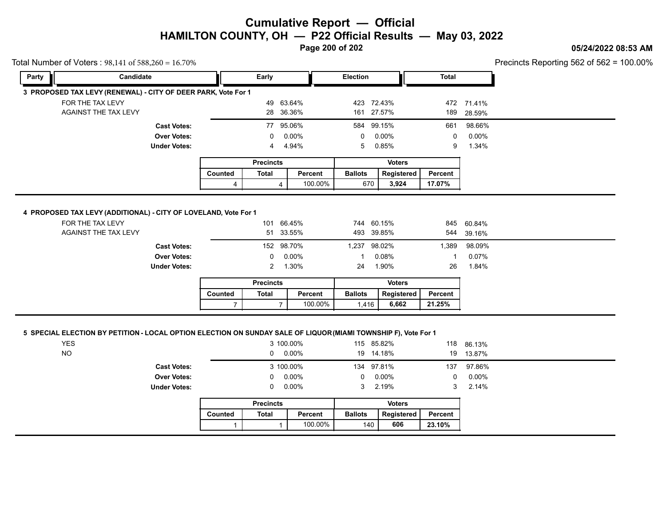#### **05/24/2022 08:53 AM**

Precincts Reporting 562 of 562 = 100.00%

|       | Total Number of Voters: 98,141 of 588,260 = 16.70%                                  |                |                  |              |                |               |              |            | Precincts Reporting 562 of 562 = 1 |
|-------|-------------------------------------------------------------------------------------|----------------|------------------|--------------|----------------|---------------|--------------|------------|------------------------------------|
| Party | Candidate                                                                           |                | Early            |              | Election       |               | <b>Total</b> |            |                                    |
|       | 3 PROPOSED TAX LEVY (RENEWAL) - CITY OF DEER PARK, Vote For 1                       |                |                  |              |                |               |              |            |                                    |
|       | FOR THE TAX LEVY                                                                    |                | 49               | 63.64%       |                | 423 72.43%    |              | 472 71.41% |                                    |
|       | AGAINST THE TAX LEVY                                                                |                | 28               | 36.36%       |                | 161 27.57%    | 189          | 28.59%     |                                    |
|       | <b>Cast Votes:</b>                                                                  |                |                  | 77 95.06%    |                | 584 99.15%    | 661          | 98.66%     |                                    |
|       | <b>Over Votes:</b>                                                                  |                | 0                | $0.00\%$     | $\Omega$       | $0.00\%$      | 0            | $0.00\%$   |                                    |
|       | <b>Under Votes:</b>                                                                 |                | 4                | 4.94%        | 5              | 0.85%         | 9            | 1.34%      |                                    |
|       |                                                                                     |                | <b>Precincts</b> |              |                | <b>Voters</b> |              |            |                                    |
|       |                                                                                     |                |                  |              |                |               |              |            |                                    |
|       |                                                                                     | <b>Counted</b> | <b>Total</b>     | Percent      | <b>Ballots</b> | Registered    | Percent      |            |                                    |
|       |                                                                                     | 4              |                  | 100.00%<br>4 | 670            | 3,924         | 17.07%       |            |                                    |
|       | 4 PROPOSED TAX LEVY (ADDITIONAL) - CITY OF LOVELAND, Vote For 1<br>FOR THE TAX LEVY |                |                  | 101 66.45%   |                | 744 60.15%    | 845          | 60.84%     |                                    |
|       | AGAINST THE TAX LEVY                                                                |                | 51               | 33.55%       |                | 493 39.85%    | 544          | 39.16%     |                                    |
|       | <b>Cast Votes:</b>                                                                  |                |                  | 152 98.70%   | 1,237 98.02%   |               | 1,389        | 98.09%     |                                    |
|       | <b>Over Votes:</b>                                                                  |                | 0                | $0.00\%$     |                | 0.08%         |              | 0.07%      |                                    |
|       | <b>Under Votes:</b>                                                                 |                | $\mathbf{2}$     | 1.30%        | 24             | 1.90%         | 26           | 1.84%      |                                    |
|       |                                                                                     |                | <b>Precincts</b> |              |                | <b>Voters</b> |              |            |                                    |
|       |                                                                                     | Counted        | <b>Total</b>     | Percent      | <b>Ballots</b> | Registered    | Percent      |            |                                    |

#### **5 SPECIAL ELECTION BY PETITION - LOCAL OPTION ELECTION ON SUNDAY SALE OF LIQUOR (MIAMI TOWNSHIP F), Vote For 1**

|                     |                |                  | 3 100.00%<br>$0\quad 0.00\%$ |                | 115 85.82%<br>19 14.18% |              | 118 86.13%<br>19 13.87% |
|---------------------|----------------|------------------|------------------------------|----------------|-------------------------|--------------|-------------------------|
| <b>Cast Votes:</b>  |                |                  | 3 100.00%                    |                | 134 97.81%              |              | 137 97.86%              |
| <b>Over Votes:</b>  |                |                  | $0\quad 0.00\%$              | $\mathbf 0$    | 0.00%                   | $\mathbf{0}$ | $0.00\%$                |
| <b>Under Votes:</b> |                |                  | $0\quad 0.00\%$              |                | 3 2.19%                 |              | $3, 2.14\%$             |
|                     |                | <b>Precincts</b> |                              |                | <b>Voters</b>           |              |                         |
|                     | <b>Counted</b> | <b>Total</b>     | Percent                      | <b>Ballots</b> | Registered              | Percent      |                         |
|                     |                |                  | 100.00%                      |                | 606<br>140              | 23.10%       |                         |

|         | <b>Precincts</b> |         |                | <b>Voters</b> |         |
|---------|------------------|---------|----------------|---------------|---------|
| Counted | Total            | Percent | <b>Ballots</b> | Registered    | Percent |
|         |                  | 100.00% | 140            | 606           | 23.10%  |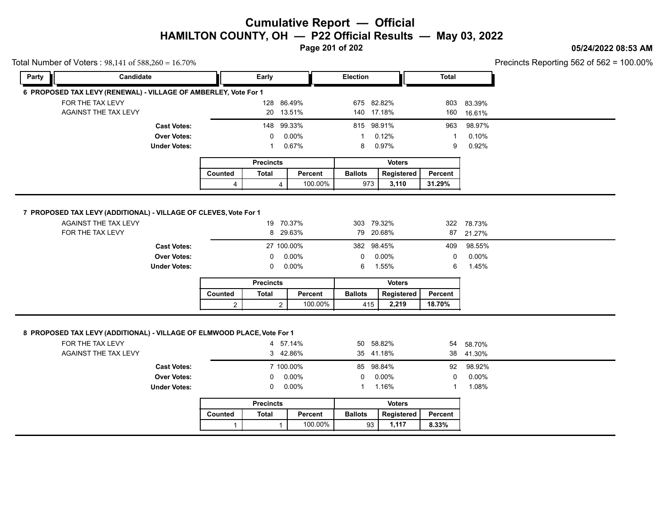**Page 201 of 202**

#### **05/24/2022 08:53 AM**

Precincts Reporting 562 of 562 = 100.00%

| Total Number of Voters: 98,141 of 588,260 = 16.70% |                                                                                          |                |                  |           |                 |               |              |            | Precincts Reporting 562 of 562 = 1 |  |
|----------------------------------------------------|------------------------------------------------------------------------------------------|----------------|------------------|-----------|-----------------|---------------|--------------|------------|------------------------------------|--|
| Party                                              | Candidate                                                                                |                | Early            |           | <b>Election</b> |               | <b>Total</b> |            |                                    |  |
|                                                    | 6 PROPOSED TAX LEVY (RENEWAL) - VILLAGE OF AMBERLEY, Vote For 1                          |                |                  |           |                 |               |              |            |                                    |  |
|                                                    | FOR THE TAX LEVY                                                                         |                | 128 86.49%       |           | 675 82.82%      |               | 803          | 83.39%     |                                    |  |
|                                                    | AGAINST THE TAX LEVY                                                                     |                |                  | 20 13.51% | 140 17.18%      |               | 160          | 16.61%     |                                    |  |
|                                                    | <b>Cast Votes:</b>                                                                       |                | 148 99.33%       |           | 815 98.91%      |               | 963          | 98.97%     |                                    |  |
|                                                    | <b>Over Votes:</b>                                                                       |                | $\Omega$         | 0.00%     | 1               | 0.12%         | -1           | 0.10%      |                                    |  |
|                                                    | <b>Under Votes:</b>                                                                      |                | -1               | 0.67%     | 8               | 0.97%         | 9            | 0.92%      |                                    |  |
|                                                    |                                                                                          |                | <b>Precincts</b> |           |                 | <b>Voters</b> |              |            |                                    |  |
|                                                    |                                                                                          | Counted        | <b>Total</b>     | Percent   | <b>Ballots</b>  | Registered    | Percent      |            |                                    |  |
|                                                    |                                                                                          | 4              | 4                | 100.00%   | 973             | 3,110         | 31.29%       |            |                                    |  |
|                                                    |                                                                                          |                |                  |           |                 |               |              |            |                                    |  |
|                                                    |                                                                                          |                |                  |           |                 |               |              |            |                                    |  |
|                                                    | 7 PROPOSED TAX LEVY (ADDITIONAL) - VILLAGE OF CLEVES, Vote For 1<br>AGAINST THE TAX LEVY |                |                  | 19 70.37% | 303 79.32%      |               |              | 322 78.73% |                                    |  |
|                                                    |                                                                                          |                |                  |           |                 |               |              |            |                                    |  |
|                                                    |                                                                                          |                |                  |           |                 |               |              |            |                                    |  |
|                                                    |                                                                                          |                |                  |           |                 |               |              |            |                                    |  |
|                                                    | <b>Cast Votes:</b>                                                                       |                |                  |           | 382 98.45%      |               | 409          | 98.55%     |                                    |  |
|                                                    | <b>Over Votes:</b>                                                                       |                | 0                |           | $\mathbf{0}$    | 0.00%         | $\mathbf 0$  | $0.00\%$   |                                    |  |
|                                                    | <b>Under Votes:</b>                                                                      |                | 0                |           | 6               | 1.55%         | 6            | 1.45%      |                                    |  |
|                                                    |                                                                                          |                | <b>Precincts</b> |           |                 | <b>Voters</b> |              |            |                                    |  |
|                                                    |                                                                                          | Counted        | <b>Total</b>     | Percent   | <b>Ballots</b>  | Registered    | Percent      |            |                                    |  |
|                                                    | FOR THE TAX LEVY                                                                         |                |                  | 8 29.63%  | 79 20.68%       |               | 87           | 21.27%     |                                    |  |
| 27 100.00%<br>0.00%<br>0.00%                       |                                                                                          |                |                  |           |                 |               |              |            |                                    |  |
|                                                    |                                                                                          | $\overline{2}$ | $\overline{2}$   | 100.00%   | 415             | 2,219         | 18.70%       |            |                                    |  |
|                                                    | 8 PROPOSED TAX LEVY (ADDITIONAL) - VILLAGE OF ELMWOOD PLACE, Vote For 1                  |                |                  |           |                 |               |              |            |                                    |  |
|                                                    | FOR THE TAX LEVY                                                                         |                |                  | 4 57.14%  | 50              | 58.82%        |              | 54 58.70%  |                                    |  |
|                                                    | AGAINST THE TAX LEVY                                                                     |                |                  | 3 42.86%  | 35 41.18%       |               |              | 38 41.30%  |                                    |  |
|                                                    | <b>Cast Votes:</b>                                                                       |                |                  | 7 100.00% | 85 98.84%       |               | 92           | 98.92%     |                                    |  |
|                                                    | <b>Over Votes:</b>                                                                       |                | 0                | 0.00%     | $\mathbf 0$     | 0.00%         | $\mathbf 0$  | 0.00%      |                                    |  |
|                                                    | <b>Under Votes:</b>                                                                      |                | 0                | $0.00\%$  | 1               | 1.16%         | $\mathbf 1$  | 1.08%      |                                    |  |
|                                                    |                                                                                          |                | <b>Precincts</b> |           |                 | <b>Voters</b> |              |            |                                    |  |
|                                                    |                                                                                          | Counted        | <b>Total</b>     | Percent   | <b>Ballots</b>  | Registered    | Percent      |            |                                    |  |